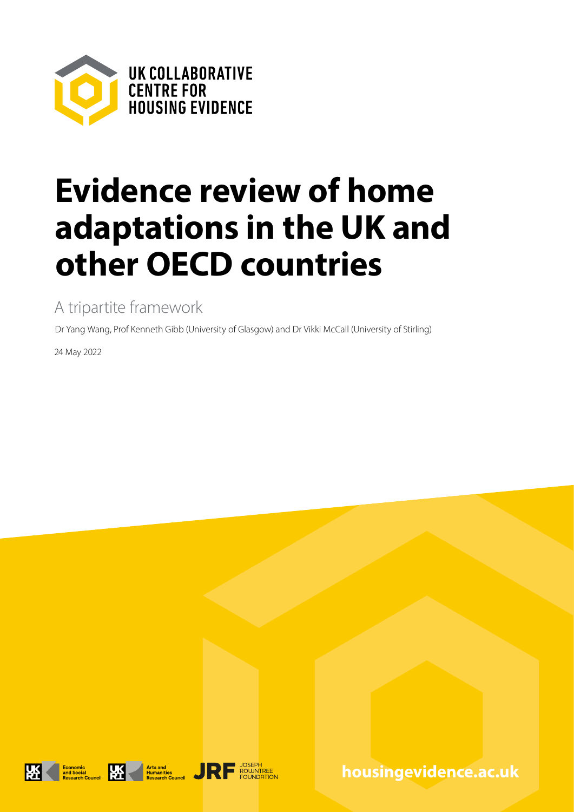

# **Evidence review of home adaptations in the UK and other OECD countries**

A tripartite framework

Dr Yang Wang, Prof Kenneth Gibb (University of Glasgow) and Dr Vikki McCall (University of Stirling)

24 May 2022







**housingevidence.ac.uk**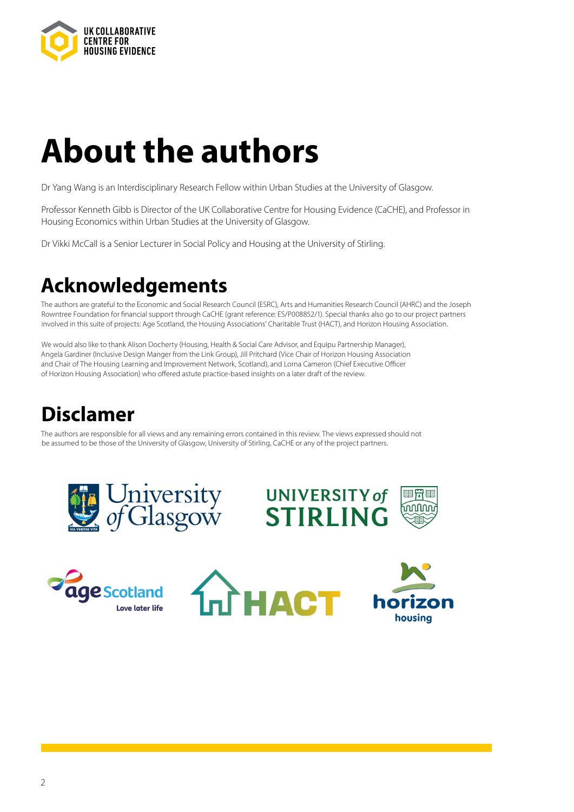

# **About the authors**

Dr Yang Wang is an Interdisciplinary Research Fellow within Urban Studies at the University of Glasgow.

Professor Kenneth Gibb is Director of the UK Collaborative Centre for Housing Evidence (CaCHE), and Professor in Housing Economics within Urban Studies at the University of Glasgow.

Dr Vikki McCall is a Senior Lecturer in Social Policy and Housing at the University of Stirling.

# **Acknowledgements**

The authors are grateful to the Economic and Social Research Council (ESRC), Arts and Humanities Research Council (AHRC) and the Joseph Rowntree Foundation for financial support through CaCHE (grant reference: ES/P008852/1). Special thanks also go to our project partners involved in this suite of projects: Age Scotland, the Housing Associations' Charitable Trust (HACT), and Horizon Housing Association.

We would also like to thank Alison Docherty (Housing, Health & Social Care Advisor, and Equipu Partnership Manager), Angela Gardiner (Inclusive Design Manger from the Link Group), Jill Pritchard (Vice Chair of Horizon Housing Association and Chair of The Housing Learning and Improvement Network, Scotland), and Lorna Cameron (Chief Executive Officer of Horizon Housing Association) who offered astute practice-based insights on a later draft of the review.

# **Disclamer**

The authors are responsible for all views and any remaining errors contained in this review. The views expressed should not be assumed to be those of the University of Glasgow, University of Stirling, CaCHE or any of the project partners.









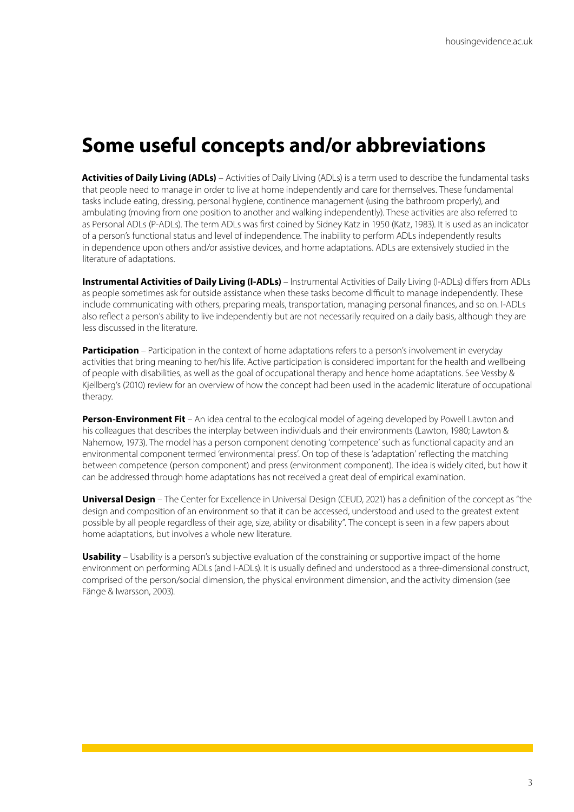## **Some useful concepts and/or abbreviations**

**Activities of Daily Living (ADLs)** – Activities of Daily Living (ADLs) is a term used to describe the fundamental tasks that people need to manage in order to live at home independently and care for themselves. These fundamental tasks include eating, dressing, personal hygiene, continence management (using the bathroom properly), and ambulating (moving from one position to another and walking independently). These activities are also referred to as Personal ADLs (P-ADLs). The term ADLs was first coined by Sidney Katz in 1950 (Katz, 1983). It is used as an indicator of a person's functional status and level of independence. The inability to perform ADLs independently results in dependence upon others and/or assistive devices, and home adaptations. ADLs are extensively studied in the literature of adaptations.

**Instrumental Activities of Daily Living (I-ADLs)** – Instrumental Activities of Daily Living (I-ADLs) differs from ADLs as people sometimes ask for outside assistance when these tasks become difficult to manage independently. These include communicating with others, preparing meals, transportation, managing personal finances, and so on. I-ADLs also reflect a person's ability to live independently but are not necessarily required on a daily basis, although they are less discussed in the literature.

**Participation** – Participation in the context of home adaptations refers to a person's involvement in everyday activities that bring meaning to her/his life. Active participation is considered important for the health and wellbeing of people with disabilities, as well as the goal of occupational therapy and hence home adaptations. See Vessby & Kjellberg's (2010) review for an overview of how the concept had been used in the academic literature of occupational therapy.

**Person-Environment Fit** – An idea central to the ecological model of ageing developed by Powell Lawton and his colleagues that describes the interplay between individuals and their environments (Lawton, 1980; Lawton & Nahemow, 1973). The model has a person component denoting 'competence' such as functional capacity and an environmental component termed 'environmental press'. On top of these is 'adaptation' reflecting the matching between competence (person component) and press (environment component). The idea is widely cited, but how it can be addressed through home adaptations has not received a great deal of empirical examination.

**Universal Design** – The Center for Excellence in Universal Design (CEUD, 2021) has a definition of the concept as "the design and composition of an environment so that it can be accessed, understood and used to the greatest extent possible by all people regardless of their age, size, ability or disability". The concept is seen in a few papers about home adaptations, but involves a whole new literature.

**Usability** – Usability is a person's subjective evaluation of the constraining or supportive impact of the home environment on performing ADLs (and I-ADLs). It is usually defined and understood as a three-dimensional construct, comprised of the person/social dimension, the physical environment dimension, and the activity dimension (see Fänge & Iwarsson, 2003).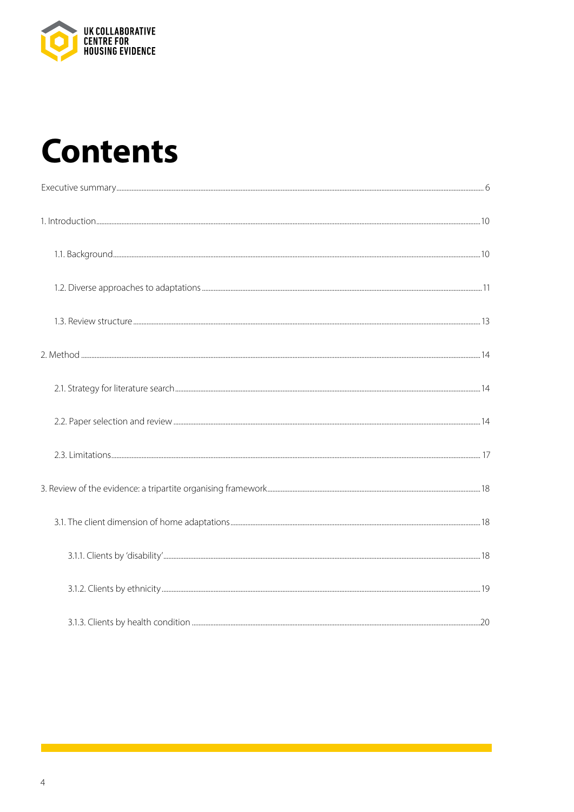

# **Contents**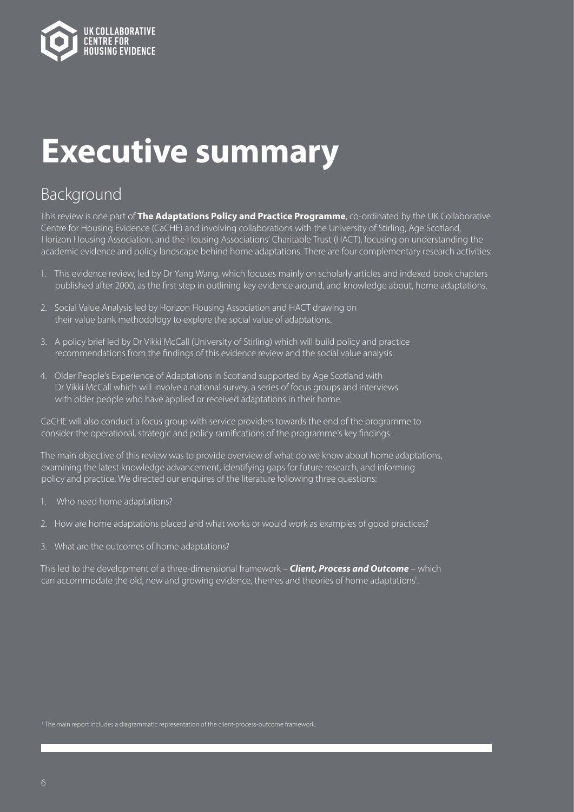

# **Executive summary**

### Background

This review is one part of **The Adaptations Policy and Practice Programme**, co-ordinated by the UK Collaborative Centre for Housing Evidence (CaCHE) and involving collaborations with the University of Stirling, Age Scotland, Horizon Housing Association, and the Housing Associations' Charitable Trust (HACT), focusing on understanding the academic evidence and policy landscape behind home adaptations. There are four complementary research activities:

- 1. This evidence review, led by Dr Yang Wang, which focuses mainly on scholarly articles and indexed book chapters published after 2000, as the first step in outlining key evidence around, and knowledge about, home adaptations.
- 2. Social Value Analysis led by Horizon Housing Association and HACT drawing on their value bank methodology to explore the social value of adaptations.
- 3. A policy brief led by Dr Vikki McCall (University of Stirling) which will build policy and practice recommendations from the findings of this evidence review and the social value analysis.
- 4. Older People's Experience of Adaptations in Scotland supported by Age Scotland with Dr Vikki McCall which will involve a national survey, a series of focus groups and interviews with older people who have applied or received adaptations in their home.

CaCHE will also conduct a focus group with service providers towards the end of the programme to consider the operational, strategic and policy ramifications of the programme's key findings.

The main objective of this review was to provide overview of what do we know about home adaptations, examining the latest knowledge advancement, identifying gaps for future research, and informing policy and practice. We directed our enquires of the literature following three questions:

- 1. Who need home adaptations?
- 2. How are home adaptations placed and what works or would work as examples of good practices?
- 3. What are the outcomes of home adaptations?

This led to the development of a three-dimensional framework – *Client, Process and Outcome* – which can accommodate the old, new and growing evidence, themes and theories of home adaptations<sup>1</sup>.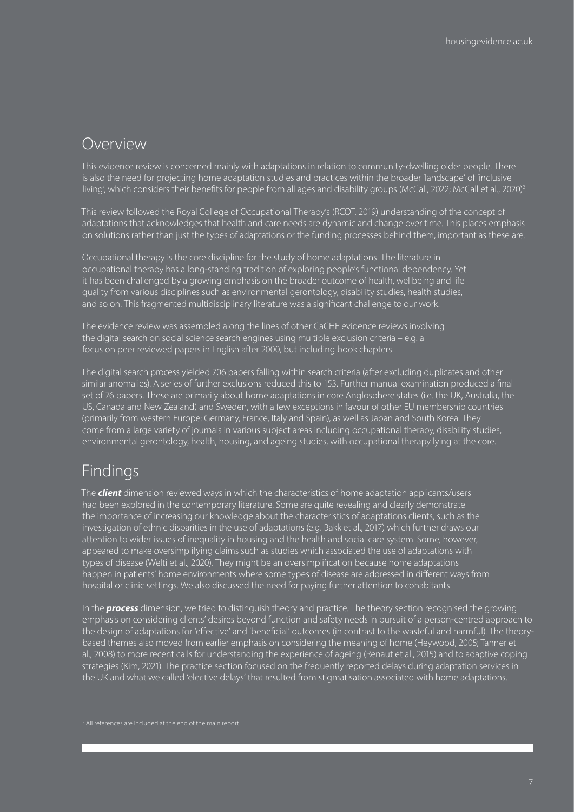### Overview

This evidence review is concerned mainly with adaptations in relation to community-dwelling older people. There is also the need for projecting home adaptation studies and practices within the broader 'landscape' of 'inclusive living', which considers their benefits for people from all ages and disability groups (McCall, 2022; McCall et al., 2020)<sup>2</sup>.

This review followed the Royal College of Occupational Therapy's (RCOT, 2019) understanding of the concept of adaptations that acknowledges that health and care needs are dynamic and change over time. This places emphasis on solutions rather than just the types of adaptations or the funding processes behind them, important as these are.

Occupational therapy is the core discipline for the study of home adaptations. The literature in occupational therapy has a long-standing tradition of exploring people's functional dependency. Yet it has been challenged by a growing emphasis on the broader outcome of health, wellbeing and life quality from various disciplines such as environmental gerontology, disability studies, health studies, and so on. This fragmented multidisciplinary literature was a significant challenge to our work.

The evidence review was assembled along the lines of other CaCHE evidence reviews involving the digital search on social science search engines using multiple exclusion criteria – e.g. a focus on peer reviewed papers in English after 2000, but including book chapters.

The digital search process yielded 706 papers falling within search criteria (after excluding duplicates and other similar anomalies). A series of further exclusions reduced this to 153. Further manual examination produced a final set of 76 papers. These are primarily about home adaptations in core Anglosphere states (i.e. the UK, Australia, the US, Canada and New Zealand) and Sweden, with a few exceptions in favour of other EU membership countries (primarily from western Europe: Germany, France, Italy and Spain), as well as Japan and South Korea. They come from a large variety of journals in various subject areas including occupational therapy, disability studies, environmental gerontology, health, housing, and ageing studies, with occupational therapy lying at the core.

### Findings

The *client* dimension reviewed ways in which the characteristics of home adaptation applicants/users had been explored in the contemporary literature. Some are quite revealing and clearly demonstrate the importance of increasing our knowledge about the characteristics of adaptations clients, such as the investigation of ethnic disparities in the use of adaptations (e.g. Bakk et al., 2017) which further draws our attention to wider issues of inequality in housing and the health and social care system. Some, however, appeared to make oversimplifying claims such as studies which associated the use of adaptations with types of disease (Welti et al., 2020). They might be an oversimplification because home adaptations happen in patients' home environments where some types of disease are addressed in different ways from hospital or clinic settings. We also discussed the need for paying further attention to cohabitants.

In the *process* dimension, we tried to distinguish theory and practice. The theory section recognised the growing emphasis on considering clients' desires beyond function and safety needs in pursuit of a person-centred approach to the design of adaptations for 'effective' and 'beneficial' outcomes (in contrast to the wasteful and harmful). The theorybased themes also moved from earlier emphasis on considering the meaning of home (Heywood, 2005; Tanner et al., 2008) to more recent calls for understanding the experience of ageing (Renaut et al., 2015) and to adaptive coping strategies (Kim, 2021). The practice section focused on the frequently reported delays during adaptation services in the UK and what we called 'elective delays' that resulted from stigmatisation associated with home adaptations.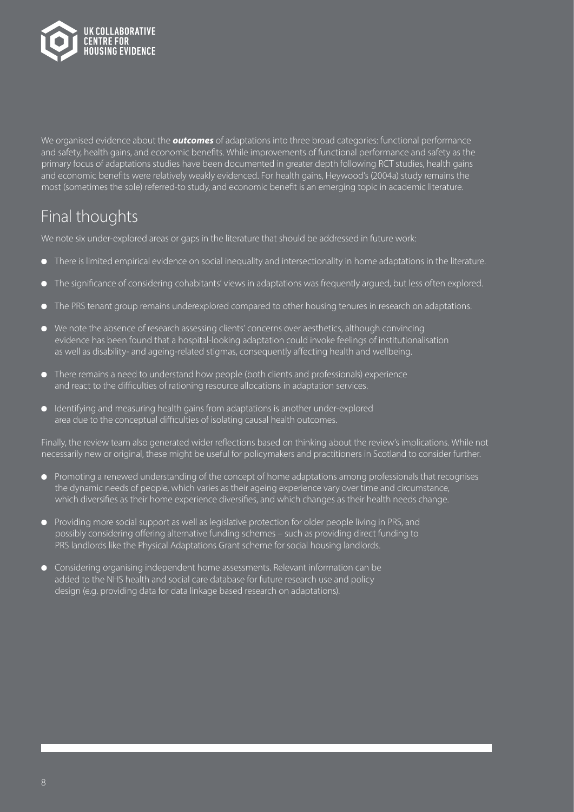

We organised evidence about the *outcomes* of adaptations into three broad categories: functional performance and safety, health gains, and economic benefits. While improvements of functional performance and safety as the primary focus of adaptations studies have been documented in greater depth following RCT studies, health gains and economic benefits were relatively weakly evidenced. For health gains, Heywood's (2004a) study remains the most (sometimes the sole) referred-to study, and economic benefit is an emerging topic in academic literature.

### Final thoughts

We note six under-explored areas or gaps in the literature that should be addressed in future work:

- **There is limited empirical evidence on social inequality and intersectionality in home adaptations in the literature.**
- The significance of considering cohabitants' views in adaptations was frequently argued, but less often explored.
- $\bullet$  The PRS tenant group remains underexplored compared to other housing tenures in research on adaptations.
- $\bullet$  We note the absence of research assessing clients' concerns over aesthetics, although convincing evidence has been found that a hospital-looking adaptation could invoke feelings of institutionalisation as well as disability- and ageing-related stigmas, consequently affecting health and wellbeing.
- **There remains a need to understand how people (both clients and professionals) experience** and react to the difficulties of rationing resource allocations in adaptation services.
- $\bullet$  Identifying and measuring health gains from adaptations is another under-explored area due to the conceptual difficulties of isolating causal health outcomes.

Finally, the review team also generated wider reflections based on thinking about the review's implications. While not necessarily new or original, these might be useful for policymakers and practitioners in Scotland to consider further.

- $\bullet$  Promoting a renewed understanding of the concept of home adaptations among professionals that recognises the dynamic needs of people, which varies as their ageing experience vary over time and circumstance, which diversifies as their home experience diversifies, and which changes as their health needs change.
- **•** Providing more social support as well as legislative protection for older people living in PRS, and possibly considering offering alternative funding schemes – such as providing direct funding to PRS landlords like the Physical Adaptations Grant scheme for social housing landlords.
- **•** Considering organising independent home assessments. Relevant information can be added to the NHS health and social care database for future research use and policy design (e.g. providing data for data linkage based research on adaptations).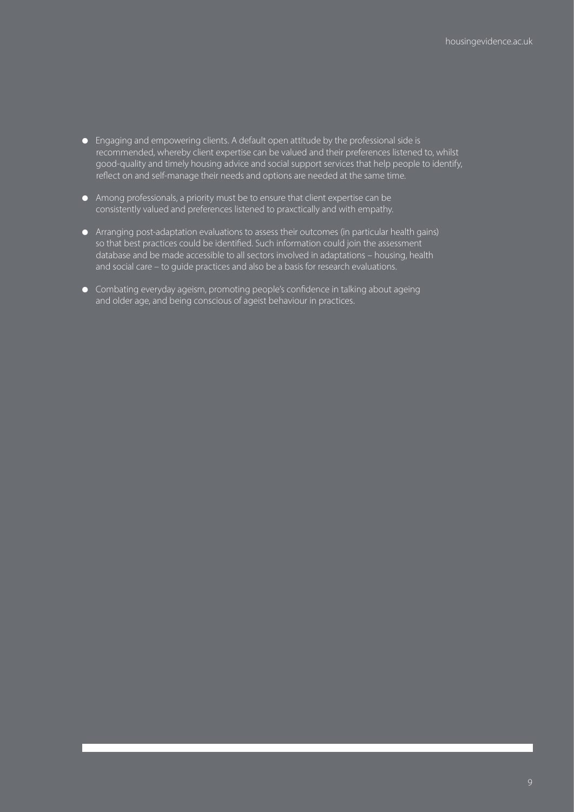- **.** Engaging and empowering clients. A default open attitude by the professional side is recommended, whereby client expertise can be valued and their preferences listened to, whilst good-quality and timely housing advice and social support services that help people to identify, reflect on and self-manage their needs and options are needed at the same time.
- $\bullet$  Among professionals, a priority must be to ensure that client expertise can be consistently valued and preferences listened to praxctically and with empathy.
- Arranging post-adaptation evaluations to assess their outcomes (in particular health gains) so that best practices could be identified. Such information could join the assessment database and be made accessible to all sectors involved in adaptations – housing, health and social care – to guide practices and also be a basis for research evaluations.
- **•** Combating everyday ageism, promoting people's confidence in talking about ageing and older age, and being conscious of ageist behaviour in practices.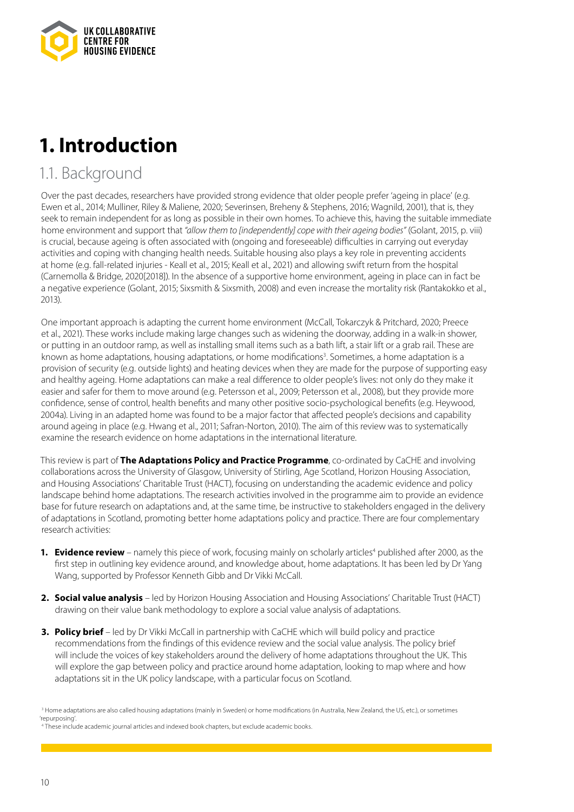

# **1. Introduction**

### 1.1. Background

Over the past decades, researchers have provided strong evidence that older people prefer 'ageing in place' (e.g. Ewen et al., 2014; Mulliner, Riley & Maliene, 2020; Severinsen, Breheny & Stephens, 2016; Wagnild, 2001), that is, they seek to remain independent for as long as possible in their own homes. To achieve this, having the suitable immediate home environment and support that *"allow them to [independently] cope with their ageing bodies"* (Golant, 2015, p. viii) is crucial, because ageing is often associated with (ongoing and foreseeable) difficulties in carrying out everyday activities and coping with changing health needs. Suitable housing also plays a key role in preventing accidents at home (e.g. fall-related injuries - Keall et al., 2015; Keall et al., 2021) and allowing swift return from the hospital (Carnemolla & Bridge, 2020[2018]). In the absence of a supportive home environment, ageing in place can in fact be a negative experience (Golant, 2015; Sixsmith & Sixsmith, 2008) and even increase the mortality risk (Rantakokko et al., 2013).

One important approach is adapting the current home environment (McCall, Tokarczyk & Pritchard, 2020; Preece et al., 2021). These works include making large changes such as widening the doorway, adding in a walk-in shower, or putting in an outdoor ramp, as well as installing small items such as a bath lift, a stair lift or a grab rail. These are known as home adaptations, housing adaptations, or home modifications<sup>3</sup>. Sometimes, a home adaptation is a provision of security (e.g. outside lights) and heating devices when they are made for the purpose of supporting easy and healthy ageing. Home adaptations can make a real difference to older people's lives: not only do they make it easier and safer for them to move around (e.g. Petersson et al., 2009; Petersson et al., 2008), but they provide more confidence, sense of control, health benefits and many other positive socio-psychological benefits (e.g. Heywood, 2004a). Living in an adapted home was found to be a major factor that affected people's decisions and capability around ageing in place (e.g. Hwang et al., 2011; Safran-Norton, 2010). The aim of this review was to systematically examine the research evidence on home adaptations in the international literature.

This review is part of **The Adaptations Policy and Practice Programme**, co-ordinated by CaCHE and involving collaborations across the University of Glasgow, University of Stirling, Age Scotland, Horizon Housing Association, and Housing Associations' Charitable Trust (HACT), focusing on understanding the academic evidence and policy landscape behind home adaptations. The research activities involved in the programme aim to provide an evidence base for future research on adaptations and, at the same time, be instructive to stakeholders engaged in the delivery of adaptations in Scotland, promoting better home adaptations policy and practice. There are four complementary research activities:

- 1. Evidence review namely this piece of work, focusing mainly on scholarly articles<sup>4</sup> published after 2000, as the first step in outlining key evidence around, and knowledge about, home adaptations. It has been led by Dr Yang Wang, supported by Professor Kenneth Gibb and Dr Vikki McCall.
- **2. Social value analysis** led by Horizon Housing Association and Housing Associations' Charitable Trust (HACT) drawing on their value bank methodology to explore a social value analysis of adaptations.
- **3. Policy brief** led by Dr Vikki McCall in partnership with CaCHE which will build policy and practice recommendations from the findings of this evidence review and the social value analysis. The policy brief will include the voices of key stakeholders around the delivery of home adaptations throughout the UK. This will explore the gap between policy and practice around home adaptation, looking to map where and how adaptations sit in the UK policy landscape, with a particular focus on Scotland.

<sup>3</sup> Home adaptations are also called housing adaptations (mainly in Sweden) or home modifications (in Australia, New Zealand, the US, etc.), or sometimes 'repurposing'.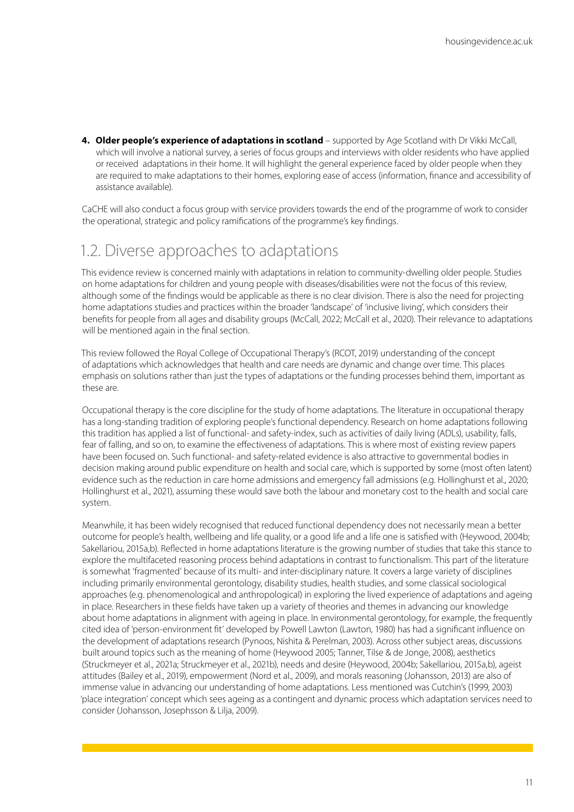**4. Older people's experience of adaptations in scotland** – supported by Age Scotland with Dr Vikki McCall, which will involve a national survey, a series of focus groups and interviews with older residents who have applied or received adaptations in their home. It will highlight the general experience faced by older people when they are required to make adaptations to their homes, exploring ease of access (information, finance and accessibility of assistance available).

CaCHE will also conduct a focus group with service providers towards the end of the programme of work to consider the operational, strategic and policy ramifications of the programme's key findings.

### 1.2. Diverse approaches to adaptations

This evidence review is concerned mainly with adaptations in relation to community-dwelling older people. Studies on home adaptations for children and young people with diseases/disabilities were not the focus of this review, although some of the findings would be applicable as there is no clear division. There is also the need for projecting home adaptations studies and practices within the broader 'landscape' of 'inclusive living', which considers their benefits for people from all ages and disability groups (McCall, 2022; McCall et al., 2020). Their relevance to adaptations will be mentioned again in the final section.

This review followed the Royal College of Occupational Therapy's (RCOT, 2019) understanding of the concept of adaptations which acknowledges that health and care needs are dynamic and change over time. This places emphasis on solutions rather than just the types of adaptations or the funding processes behind them, important as these are.

Occupational therapy is the core discipline for the study of home adaptations. The literature in occupational therapy has a long-standing tradition of exploring people's functional dependency. Research on home adaptations following this tradition has applied a list of functional- and safety-index, such as activities of daily living (ADLs), usability, falls, fear of falling, and so on, to examine the effectiveness of adaptations. This is where most of existing review papers have been focused on. Such functional- and safety-related evidence is also attractive to governmental bodies in decision making around public expenditure on health and social care, which is supported by some (most often latent) evidence such as the reduction in care home admissions and emergency fall admissions (e.g. Hollinghurst et al., 2020; Hollinghurst et al., 2021), assuming these would save both the labour and monetary cost to the health and social care system.

Meanwhile, it has been widely recognised that reduced functional dependency does not necessarily mean a better outcome for people's health, wellbeing and life quality, or a good life and a life one is satisfied with (Heywood, 2004b; Sakellariou, 2015a,b). Reflected in home adaptations literature is the growing number of studies that take this stance to explore the multifaceted reasoning process behind adaptations in contrast to functionalism. This part of the literature is somewhat 'fragmented' because of its multi- and inter-disciplinary nature. It covers a large variety of disciplines including primarily environmental gerontology, disability studies, health studies, and some classical sociological approaches (e.g. phenomenological and anthropological) in exploring the lived experience of adaptations and ageing in place. Researchers in these fields have taken up a variety of theories and themes in advancing our knowledge about home adaptations in alignment with ageing in place. In environmental gerontology, for example, the frequently cited idea of 'person-environment fit' developed by Powell Lawton (Lawton, 1980) has had a significant influence on the development of adaptations research (Pynoos, Nishita & Perelman, 2003). Across other subject areas, discussions built around topics such as the meaning of home (Heywood 2005; Tanner, Tilse & de Jonge, 2008), aesthetics (Struckmeyer et al., 2021a; Struckmeyer et al., 2021b), needs and desire (Heywood, 2004b; Sakellariou, 2015a,b), ageist attitudes (Bailey et al., 2019), empowerment (Nord et al., 2009), and morals reasoning (Johansson, 2013) are also of immense value in advancing our understanding of home adaptations. Less mentioned was Cutchin's (1999, 2003) 'place integration' concept which sees ageing as a contingent and dynamic process which adaptation services need to consider (Johansson, Josephsson & Lilja, 2009).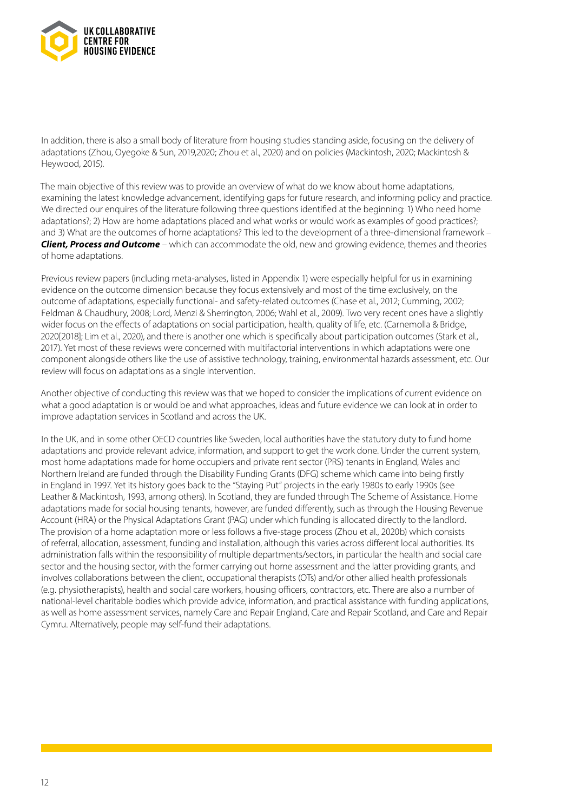

In addition, there is also a small body of literature from housing studies standing aside, focusing on the delivery of adaptations (Zhou, Oyegoke & Sun, 2019,2020; Zhou et al., 2020) and on policies (Mackintosh, 2020; Mackintosh & Heywood, 2015).

The main objective of this review was to provide an overview of what do we know about home adaptations, examining the latest knowledge advancement, identifying gaps for future research, and informing policy and practice. We directed our enquires of the literature following three questions identified at the beginning: 1) Who need home adaptations?; 2) How are home adaptations placed and what works or would work as examples of good practices?; and 3) What are the outcomes of home adaptations? This led to the development of a three-dimensional framework – *Client, Process and Outcome* – which can accommodate the old, new and growing evidence, themes and theories of home adaptations.

Previous review papers (including meta-analyses, listed in Appendix 1) were especially helpful for us in examining evidence on the outcome dimension because they focus extensively and most of the time exclusively, on the outcome of adaptations, especially functional- and safety-related outcomes (Chase et al., 2012; Cumming, 2002; Feldman & Chaudhury, 2008; Lord, Menzi & Sherrington, 2006; Wahl et al., 2009). Two very recent ones have a slightly wider focus on the effects of adaptations on social participation, health, quality of life, etc. (Carnemolla & Bridge, 2020[2018]; Lim et al., 2020), and there is another one which is specifically about participation outcomes (Stark et al., 2017). Yet most of these reviews were concerned with multifactorial interventions in which adaptations were one component alongside others like the use of assistive technology, training, environmental hazards assessment, etc. Our review will focus on adaptations as a single intervention.

Another objective of conducting this review was that we hoped to consider the implications of current evidence on what a good adaptation is or would be and what approaches, ideas and future evidence we can look at in order to improve adaptation services in Scotland and across the UK.

In the UK, and in some other OECD countries like Sweden, local authorities have the statutory duty to fund home adaptations and provide relevant advice, information, and support to get the work done. Under the current system, most home adaptations made for home occupiers and private rent sector (PRS) tenants in England, Wales and Northern Ireland are funded through the Disability Funding Grants (DFG) scheme which came into being firstly in England in 1997. Yet its history goes back to the "Staying Put" projects in the early 1980s to early 1990s (see Leather & Mackintosh, 1993, among others). In Scotland, they are funded through The Scheme of Assistance. Home adaptations made for social housing tenants, however, are funded differently, such as through the Housing Revenue Account (HRA) or the Physical Adaptations Grant (PAG) under which funding is allocated directly to the landlord. The provision of a home adaptation more or less follows a five-stage process (Zhou et al., 2020b) which consists of referral, allocation, assessment, funding and installation, although this varies across different local authorities. Its administration falls within the responsibility of multiple departments/sectors, in particular the health and social care sector and the housing sector, with the former carrying out home assessment and the latter providing grants, and involves collaborations between the client, occupational therapists (OTs) and/or other allied health professionals (e.g. physiotherapists), health and social care workers, housing officers, contractors, etc. There are also a number of national-level charitable bodies which provide advice, information, and practical assistance with funding applications, as well as home assessment services, namely Care and Repair England, Care and Repair Scotland, and Care and Repair Cymru. Alternatively, people may self-fund their adaptations.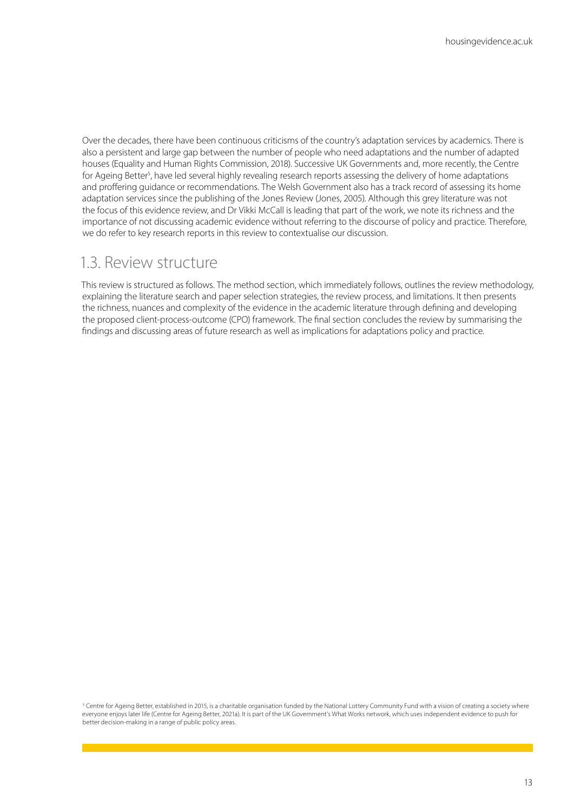Over the decades, there have been continuous criticisms of the country's adaptation services by academics. There is also a persistent and large gap between the number of people who need adaptations and the number of adapted houses (Equality and Human Rights Commission, 2018). Successive UK Governments and, more recently, the Centre for Ageing Better<sup>5</sup>, have led several highly revealing research reports assessing the delivery of home adaptations and proffering guidance or recommendations. The Welsh Government also has a track record of assessing its home adaptation services since the publishing of the Jones Review (Jones, 2005). Although this grey literature was not the focus of this evidence review, and Dr Vikki McCall is leading that part of the work, we note its richness and the importance of not discussing academic evidence without referring to the discourse of policy and practice. Therefore, we do refer to key research reports in this review to contextualise our discussion.

### 1.3. Review structure

This review is structured as follows. The method section, which immediately follows, outlines the review methodology, explaining the literature search and paper selection strategies, the review process, and limitations. It then presents the richness, nuances and complexity of the evidence in the academic literature through defining and developing the proposed client-process-outcome (CPO) framework. The final section concludes the review by summarising the findings and discussing areas of future research as well as implications for adaptations policy and practice.

<sup>5</sup> Centre for Ageing Better, established in 2015, is a charitable organisation funded by the National Lottery Community Fund with a vision of creating a society where everyone enjoys later life (Centre for Ageing Better, 2021a). It is part of the UK Government's What Works network, which uses independent evidence to push for better decision-making in a range of public policy areas.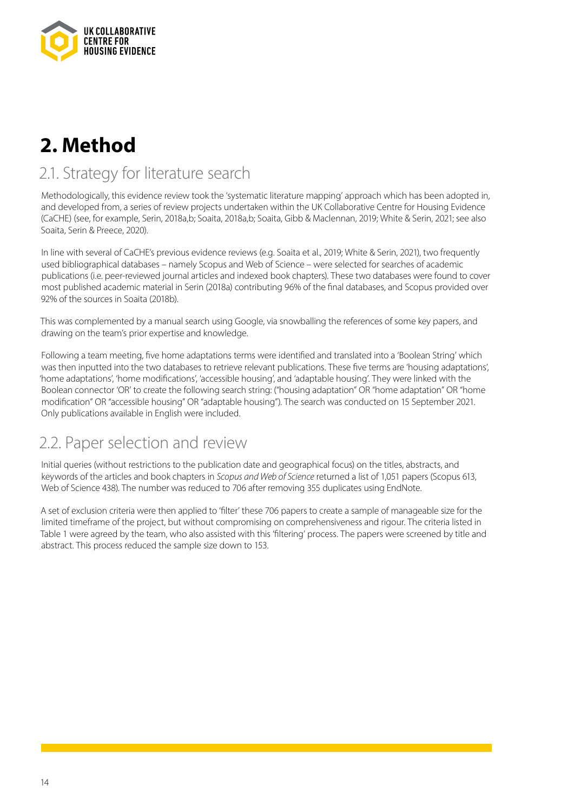

# **2. Method**

### 2.1. Strategy for literature search

Methodologically, this evidence review took the 'systematic literature mapping' approach which has been adopted in, and developed from, a series of review projects undertaken within the UK Collaborative Centre for Housing Evidence (CaCHE) (see, for example, Serin, 2018a,b; Soaita, 2018a,b; Soaita, Gibb & Maclennan, 2019; White & Serin, 2021; see also Soaita, Serin & Preece, 2020).

In line with several of CaCHE's previous evidence reviews (e.g. Soaita et al., 2019; White & Serin, 2021), two frequently used bibliographical databases – namely Scopus and Web of Science – were selected for searches of academic publications (i.e. peer-reviewed journal articles and indexed book chapters). These two databases were found to cover most published academic material in Serin (2018a) contributing 96% of the final databases, and Scopus provided over 92% of the sources in Soaita (2018b).

This was complemented by a manual search using Google, via snowballing the references of some key papers, and drawing on the team's prior expertise and knowledge.

Following a team meeting, five home adaptations terms were identified and translated into a 'Boolean String' which was then inputted into the two databases to retrieve relevant publications. These five terms are 'housing adaptations', 'home adaptations', 'home modifications', 'accessible housing', and 'adaptable housing'. They were linked with the Boolean connector 'OR' to create the following search string: ("housing adaptation" OR "home adaptation" OR "home modification" OR "accessible housing" OR "adaptable housing"). The search was conducted on 15 September 2021. Only publications available in English were included.

### 2.2. Paper selection and review

Initial queries (without restrictions to the publication date and geographical focus) on the titles, abstracts, and keywords of the articles and book chapters in *Scopus and Web of Science* returned a list of 1,051 papers (Scopus 613, Web of Science 438). The number was reduced to 706 after removing 355 duplicates using EndNote.

A set of exclusion criteria were then applied to 'filter' these 706 papers to create a sample of manageable size for the limited timeframe of the project, but without compromising on comprehensiveness and rigour. The criteria listed in Table 1 were agreed by the team, who also assisted with this 'filtering' process. The papers were screened by title and abstract. This process reduced the sample size down to 153.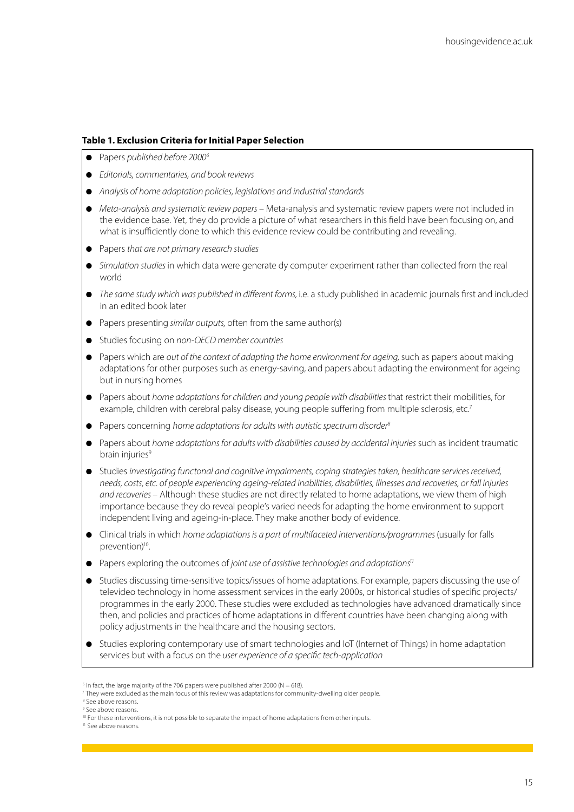#### **Table 1. Exclusion Criteria for Initial Paper Selection**

- **e** Papers *published before 2000<sup>6</sup>*
- *Editorials, commentaries, and book reviews*
- **•** Analysis of home adaptation policies, legislations and industrial standards
- *Meta-analysis and systematic review papers* Meta-analysis and systematic review papers were not included in the evidence base. Yet, they do provide a picture of what researchers in this field have been focusing on, and what is insufficiently done to which this evidence review could be contributing and revealing.
- **•** Papers *that are not primary research studies*
- **•** Simulation studies in which data were generate dy computer experiment rather than collected from the real world
- $\bullet$  The same study which was published in different forms, i.e. a study published in academic journals first and included in an edited book later
- **•** Papers presenting *similar outputs*, often from the same author(s)
- $\bullet$  Studies focusing on *non-OECD member countries*
- Papers which are *out of the context of adapting the home environment for ageing, such as papers about making* adaptations for other purposes such as energy-saving, and papers about adapting the environment for ageing but in nursing homes
- **•** Papers about *home adaptations for children and young people with disabilities that restrict their mobilities, for* example, children with cerebral palsy disease, young people suffering from multiple sclerosis, etc.<sup>7</sup>
- **•** Papers concerning *home adaptations for adults with autistic spectrum disorder<sup>8</sup>*
- **•** Papers about *home adaptations for adults with disabilities caused by accidental injuries* such as incident traumatic brain injuries<sup>9</sup>
- **•** Studies investigating functonal and cognitive impairments, coping strategies taken, healthcare services received, *needs, costs, etc. of people experiencing ageing-related inabilities, disabilities, illnesses and recoveries, or fall injuries and recoveries* – Although these studies are not directly related to home adaptations, we view them of high importance because they do reveal people's varied needs for adapting the home environment to support independent living and ageing-in-place. They make another body of evidence.
- **•** Clinical trials in which *home adaptations is a part of multifaceted interventions/programmes (usually for falls* prevention)<sup>10</sup>.
- **•** Papers exploring the outcomes of *joint use of assistive technologies and adaptations<sup>11</sup>*
- Studies discussing time-sensitive topics/issues of home adaptations. For example, papers discussing the use of televideo technology in home assessment services in the early 2000s, or historical studies of specific projects/ programmes in the early 2000. These studies were excluded as technologies have advanced dramatically since then, and policies and practices of home adaptations in different countries have been changing along with policy adjustments in the healthcare and the housing sectors.
- Studies exploring contemporary use of smart technologies and IoT (Internet of Things) in home adaptation services but with a focus on the *user experience of a specific tech-application*

 $6$  In fact, the large majority of the 706 papers were published after 2000 (N = 618).

<sup>7</sup> They were excluded as the main focus of this review was adaptations for community-dwelling older people.

<sup>8</sup> See above reasons.

<sup>&</sup>lt;sup>9</sup> See above reasons.

<sup>&</sup>lt;sup>10</sup> For these interventions, it is not possible to separate the impact of home adaptations from other inputs.

<sup>11</sup> See above reasons.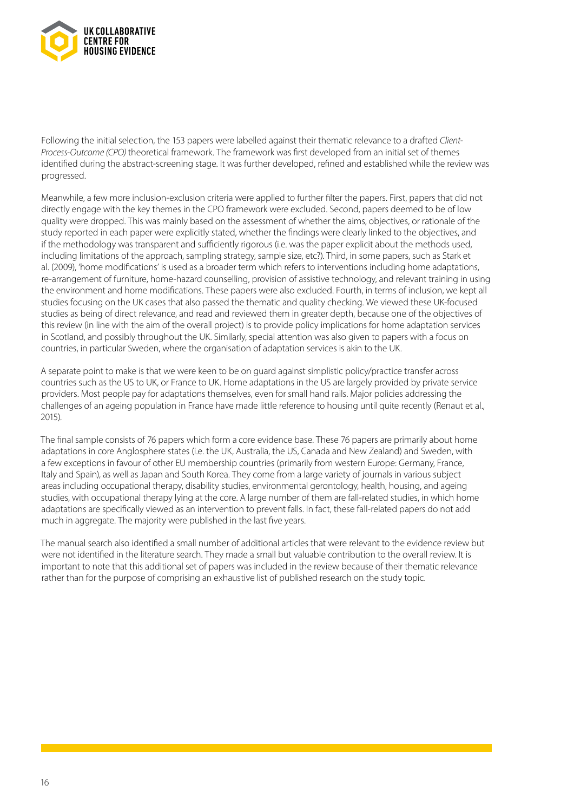

Following the initial selection, the 153 papers were labelled against their thematic relevance to a drafted *Client-Process-Outcome (CPO)* theoretical framework. The framework was first developed from an initial set of themes identified during the abstract-screening stage. It was further developed, refined and established while the review was progressed.

Meanwhile, a few more inclusion-exclusion criteria were applied to further filter the papers. First, papers that did not directly engage with the key themes in the CPO framework were excluded. Second, papers deemed to be of low quality were dropped. This was mainly based on the assessment of whether the aims, objectives, or rationale of the study reported in each paper were explicitly stated, whether the findings were clearly linked to the objectives, and if the methodology was transparent and sufficiently rigorous (i.e. was the paper explicit about the methods used, including limitations of the approach, sampling strategy, sample size, etc?). Third, in some papers, such as Stark et al. (2009), 'home modifications' is used as a broader term which refers to interventions including home adaptations, re-arrangement of furniture, home-hazard counselling, provision of assistive technology, and relevant training in using the environment and home modifications. These papers were also excluded. Fourth, in terms of inclusion, we kept all studies focusing on the UK cases that also passed the thematic and quality checking. We viewed these UK-focused studies as being of direct relevance, and read and reviewed them in greater depth, because one of the objectives of this review (in line with the aim of the overall project) is to provide policy implications for home adaptation services in Scotland, and possibly throughout the UK. Similarly, special attention was also given to papers with a focus on countries, in particular Sweden, where the organisation of adaptation services is akin to the UK.

A separate point to make is that we were keen to be on guard against simplistic policy/practice transfer across countries such as the US to UK, or France to UK. Home adaptations in the US are largely provided by private service providers. Most people pay for adaptations themselves, even for small hand rails. Major policies addressing the challenges of an ageing population in France have made little reference to housing until quite recently (Renaut et al., 2015).

The final sample consists of 76 papers which form a core evidence base. These 76 papers are primarily about home adaptations in core Anglosphere states (i.e. the UK, Australia, the US, Canada and New Zealand) and Sweden, with a few exceptions in favour of other EU membership countries (primarily from western Europe: Germany, France, Italy and Spain), as well as Japan and South Korea. They come from a large variety of journals in various subject areas including occupational therapy, disability studies, environmental gerontology, health, housing, and ageing studies, with occupational therapy lying at the core. A large number of them are fall-related studies, in which home adaptations are specifically viewed as an intervention to prevent falls. In fact, these fall-related papers do not add much in aggregate. The majority were published in the last five years.

The manual search also identified a small number of additional articles that were relevant to the evidence review but were not identified in the literature search. They made a small but valuable contribution to the overall review. It is important to note that this additional set of papers was included in the review because of their thematic relevance rather than for the purpose of comprising an exhaustive list of published research on the study topic.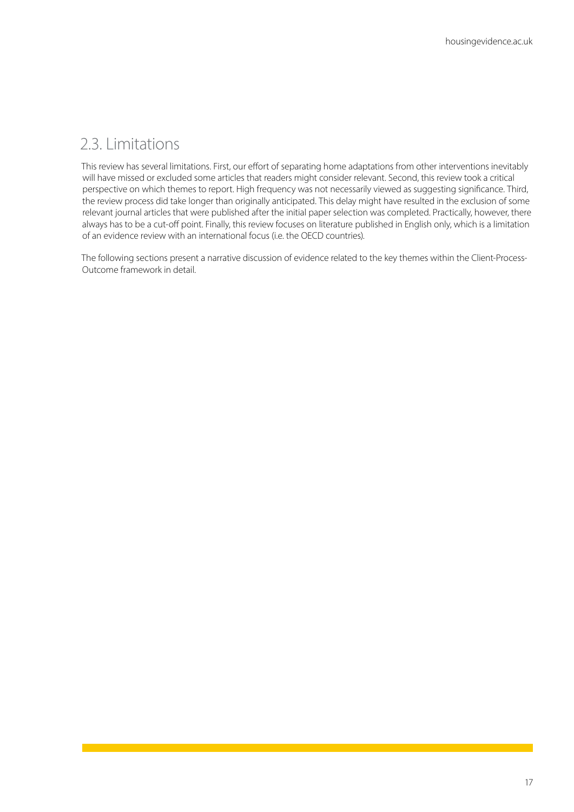### 2.3. Limitations

This review has several limitations. First, our effort of separating home adaptations from other interventions inevitably will have missed or excluded some articles that readers might consider relevant. Second, this review took a critical perspective on which themes to report. High frequency was not necessarily viewed as suggesting significance. Third, the review process did take longer than originally anticipated. This delay might have resulted in the exclusion of some relevant journal articles that were published after the initial paper selection was completed. Practically, however, there always has to be a cut-off point. Finally, this review focuses on literature published in English only, which is a limitation of an evidence review with an international focus (i.e. the OECD countries).

The following sections present a narrative discussion of evidence related to the key themes within the Client-Process-Outcome framework in detail.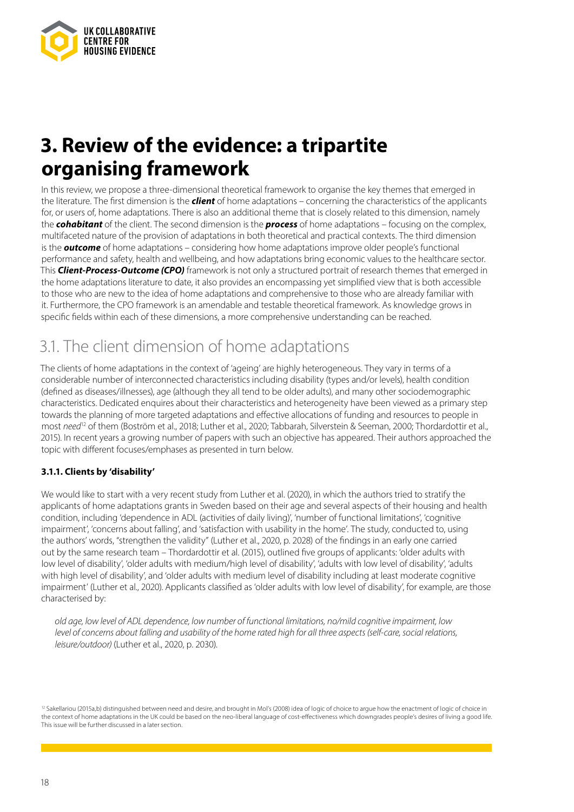

# **3. Review of the evidence: a tripartite organising framework**

In this review, we propose a three-dimensional theoretical framework to organise the key themes that emerged in the literature. The first dimension is the *client* of home adaptations – concerning the characteristics of the applicants for, or users of, home adaptations. There is also an additional theme that is closely related to this dimension, namely the *cohabitant* of the client. The second dimension is the *process* of home adaptations – focusing on the complex, multifaceted nature of the provision of adaptations in both theoretical and practical contexts. The third dimension is the *outcome* of home adaptations – considering how home adaptations improve older people's functional performance and safety, health and wellbeing, and how adaptations bring economic values to the healthcare sector. This *Client-Process-Outcome (CPO)* framework is not only a structured portrait of research themes that emerged in the home adaptations literature to date, it also provides an encompassing yet simplified view that is both accessible to those who are new to the idea of home adaptations and comprehensive to those who are already familiar with it. Furthermore, the CPO framework is an amendable and testable theoretical framework. As knowledge grows in specific fields within each of these dimensions, a more comprehensive understanding can be reached.

### 3.1. The client dimension of home adaptations

The clients of home adaptations in the context of 'ageing' are highly heterogeneous. They vary in terms of a considerable number of interconnected characteristics including disability (types and/or levels), health condition (defined as diseases/illnesses), age (although they all tend to be older adults), and many other sociodemographic characteristics. Dedicated enquires about their characteristics and heterogeneity have been viewed as a primary step towards the planning of more targeted adaptations and effective allocations of funding and resources to people in most need<sup>12</sup> of them (Boström et al., 2018; Luther et al., 2020; Tabbarah, Silverstein & Seeman, 2000; Thordardottir et al., 2015). In recent years a growing number of papers with such an objective has appeared. Their authors approached the topic with different focuses/emphases as presented in turn below.

#### **3.1.1. Clients by 'disability'**

We would like to start with a very recent study from Luther et al. (2020), in which the authors tried to stratify the applicants of home adaptations grants in Sweden based on their age and several aspects of their housing and health condition, including 'dependence in ADL (activities of daily living)', 'number of functional limitations', 'cognitive impairment', 'concerns about falling', and 'satisfaction with usability in the home'. The study, conducted to, using the authors' words, "strengthen the validity" (Luther et al., 2020, p. 2028) of the findings in an early one carried out by the same research team – Thordardottir et al. (2015), outlined five groups of applicants: 'older adults with low level of disability', 'older adults with medium/high level of disability', 'adults with low level of disability', 'adults with high level of disability', and 'older adults with medium level of disability including at least moderate cognitive impairment' (Luther et al., 2020). Applicants classified as 'older adults with low level of disability', for example, are those characterised by:

*old age, low level of ADL dependence, low number of functional limitations, no/mild cognitive impairment, low level of concerns about falling and usability of the home rated high for all three aspects (self-care, social relations, leisure/outdoor)* (Luther et al., 2020, p. 2030).

<sup>&</sup>lt;sup>12</sup> Sakellariou (2015a,b) distinguished between need and desire, and brought in Mol's (2008) idea of logic of choice to argue how the enactment of logic of choice in the context of home adaptations in the UK could be based on the neo-liberal language of cost-effectiveness which downgrades people's desires of living a good life. This issue will be further discussed in a later section.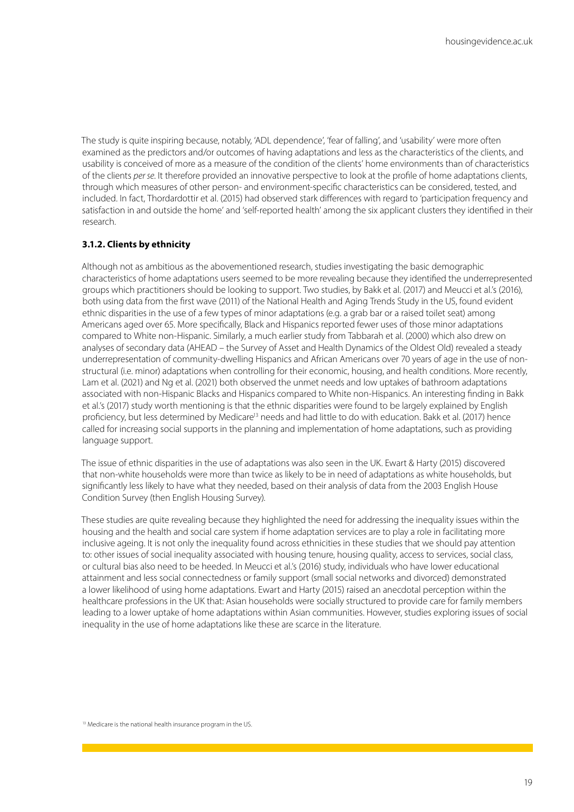The study is quite inspiring because, notably, 'ADL dependence', 'fear of falling', and 'usability' were more often examined as the predictors and/or outcomes of having adaptations and less as the characteristics of the clients, and usability is conceived of more as a measure of the condition of the clients' home environments than of characteristics of the clients *per se*. It therefore provided an innovative perspective to look at the profile of home adaptations clients, through which measures of other person- and environment-specific characteristics can be considered, tested, and included. In fact, Thordardottir et al. (2015) had observed stark differences with regard to 'participation frequency and satisfaction in and outside the home' and 'self-reported health' among the six applicant clusters they identified in their research.

#### **3.1.2. Clients by ethnicity**

Although not as ambitious as the abovementioned research, studies investigating the basic demographic characteristics of home adaptations users seemed to be more revealing because they identified the underrepresented groups which practitioners should be looking to support. Two studies, by Bakk et al. (2017) and Meucci et al.'s (2016), both using data from the first wave (2011) of the National Health and Aging Trends Study in the US, found evident ethnic disparities in the use of a few types of minor adaptations (e.g. a grab bar or a raised toilet seat) among Americans aged over 65. More specifically, Black and Hispanics reported fewer uses of those minor adaptations compared to White non-Hispanic. Similarly, a much earlier study from Tabbarah et al. (2000) which also drew on analyses of secondary data (AHEAD – the Survey of Asset and Health Dynamics of the Oldest Old) revealed a steady underrepresentation of community-dwelling Hispanics and African Americans over 70 years of age in the use of nonstructural (i.e. minor) adaptations when controlling for their economic, housing, and health conditions. More recently, Lam et al. (2021) and Ng et al. (2021) both observed the unmet needs and low uptakes of bathroom adaptations associated with non-Hispanic Blacks and Hispanics compared to White non-Hispanics. An interesting finding in Bakk et al.'s (2017) study worth mentioning is that the ethnic disparities were found to be largely explained by English proficiency, but less determined by Medicare<sup>13</sup> needs and had little to do with education. Bakk et al. (2017) hence called for increasing social supports in the planning and implementation of home adaptations, such as providing language support.

The issue of ethnic disparities in the use of adaptations was also seen in the UK. Ewart & Harty (2015) discovered that non-white households were more than twice as likely to be in need of adaptations as white households, but significantly less likely to have what they needed, based on their analysis of data from the 2003 English House Condition Survey (then English Housing Survey).

These studies are quite revealing because they highlighted the need for addressing the inequality issues within the housing and the health and social care system if home adaptation services are to play a role in facilitating more inclusive ageing. It is not only the inequality found across ethnicities in these studies that we should pay attention to: other issues of social inequality associated with housing tenure, housing quality, access to services, social class, or cultural bias also need to be heeded. In Meucci et al.'s (2016) study, individuals who have lower educational attainment and less social connectedness or family support (small social networks and divorced) demonstrated a lower likelihood of using home adaptations. Ewart and Harty (2015) raised an anecdotal perception within the healthcare professions in the UK that: Asian households were socially structured to provide care for family members leading to a lower uptake of home adaptations within Asian communities. However, studies exploring issues of social inequality in the use of home adaptations like these are scarce in the literature.

<sup>13</sup> Medicare is the national health insurance program in the US.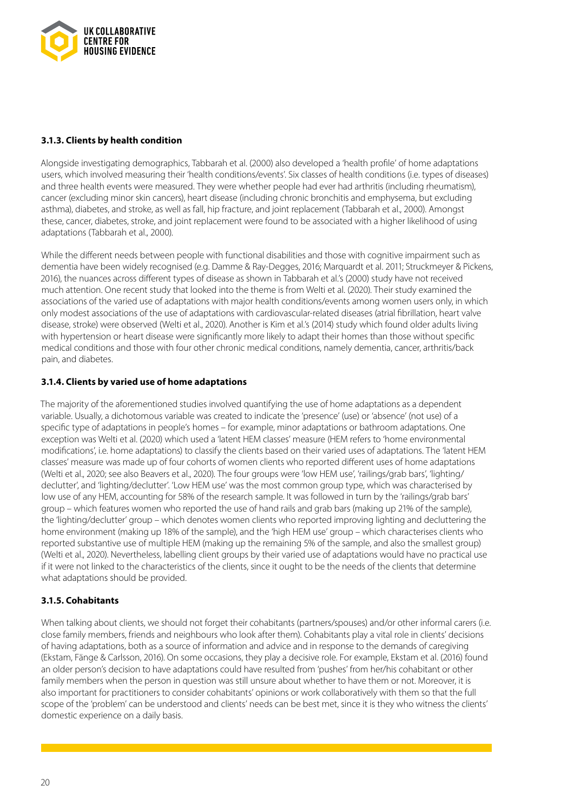

#### **3.1.3. Clients by health condition**

Alongside investigating demographics, Tabbarah et al. (2000) also developed a 'health profile' of home adaptations users, which involved measuring their 'health conditions/events'. Six classes of health conditions (i.e. types of diseases) and three health events were measured. They were whether people had ever had arthritis (including rheumatism), cancer (excluding minor skin cancers), heart disease (including chronic bronchitis and emphysema, but excluding asthma), diabetes, and stroke, as well as fall, hip fracture, and joint replacement (Tabbarah et al., 2000). Amongst these, cancer, diabetes, stroke, and joint replacement were found to be associated with a higher likelihood of using adaptations (Tabbarah et al., 2000).

While the different needs between people with functional disabilities and those with cognitive impairment such as dementia have been widely recognised (e.g. Damme & Ray-Degges, 2016; Marquardt et al. 2011; Struckmeyer & Pickens, 2016), the nuances across different types of disease as shown in Tabbarah et al.'s (2000) study have not received much attention. One recent study that looked into the theme is from Welti et al. (2020). Their study examined the associations of the varied use of adaptations with major health conditions/events among women users only, in which only modest associations of the use of adaptations with cardiovascular-related diseases (atrial fibrillation, heart valve disease, stroke) were observed (Welti et al., 2020). Another is Kim et al.'s (2014) study which found older adults living with hypertension or heart disease were significantly more likely to adapt their homes than those without specific medical conditions and those with four other chronic medical conditions, namely dementia, cancer, arthritis/back pain, and diabetes.

#### **3.1.4. Clients by varied use of home adaptations**

The majority of the aforementioned studies involved quantifying the use of home adaptations as a dependent variable. Usually, a dichotomous variable was created to indicate the 'presence' (use) or 'absence' (not use) of a specific type of adaptations in people's homes – for example, minor adaptations or bathroom adaptations. One exception was Welti et al. (2020) which used a 'latent HEM classes' measure (HEM refers to 'home environmental modifications', i.e. home adaptations) to classify the clients based on their varied uses of adaptations. The 'latent HEM classes' measure was made up of four cohorts of women clients who reported different uses of home adaptations (Welti et al., 2020; see also Beavers et al., 2020). The four groups were 'low HEM use', 'railings/grab bars', 'lighting/ declutter', and 'lighting/declutter'. 'Low HEM use' was the most common group type, which was characterised by low use of any HEM, accounting for 58% of the research sample. It was followed in turn by the 'railings/grab bars' group – which features women who reported the use of hand rails and grab bars (making up 21% of the sample), the 'lighting/declutter' group – which denotes women clients who reported improving lighting and decluttering the home environment (making up 18% of the sample), and the 'high HEM use' group – which characterises clients who reported substantive use of multiple HEM (making up the remaining 5% of the sample, and also the smallest group) (Welti et al., 2020). Nevertheless, labelling client groups by their varied use of adaptations would have no practical use if it were not linked to the characteristics of the clients, since it ought to be the needs of the clients that determine what adaptations should be provided.

#### **3.1.5. Cohabitants**

When talking about clients, we should not forget their cohabitants (partners/spouses) and/or other informal carers (i.e. close family members, friends and neighbours who look after them). Cohabitants play a vital role in clients' decisions of having adaptations, both as a source of information and advice and in response to the demands of caregiving (Ekstam, Fänge & Carlsson, 2016). On some occasions, they play a decisive role. For example, Ekstam et al. (2016) found an older person's decision to have adaptations could have resulted from 'pushes' from her/his cohabitant or other family members when the person in question was still unsure about whether to have them or not. Moreover, it is also important for practitioners to consider cohabitants' opinions or work collaboratively with them so that the full scope of the 'problem' can be understood and clients' needs can be best met, since it is they who witness the clients' domestic experience on a daily basis.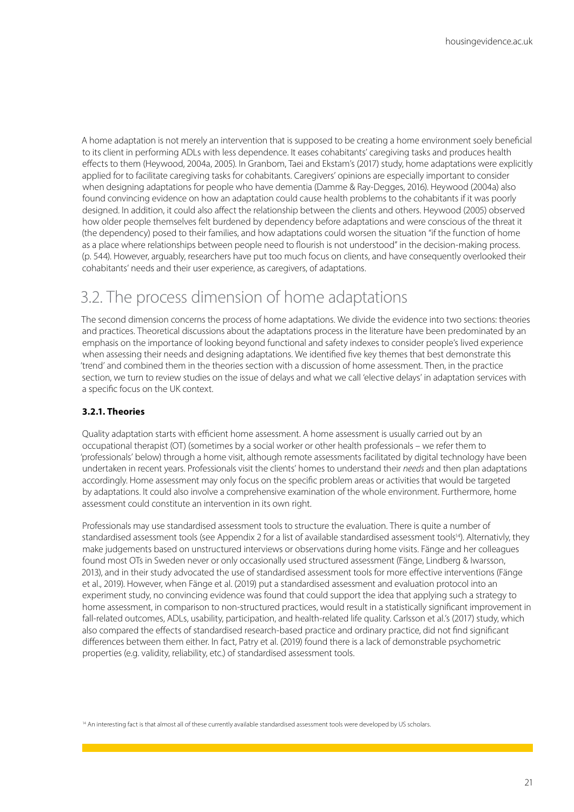A home adaptation is not merely an intervention that is supposed to be creating a home environment soely beneficial to its client in performing ADLs with less dependence. It eases cohabitants' caregiving tasks and produces health effects to them (Heywood, 2004a, 2005). In Granbom, Taei and Ekstam's (2017) study, home adaptations were explicitly applied for to facilitate caregiving tasks for cohabitants. Caregivers' opinions are especially important to consider when designing adaptations for people who have dementia (Damme & Ray-Degges, 2016). Heywood (2004a) also found convincing evidence on how an adaptation could cause health problems to the cohabitants if it was poorly designed. In addition, it could also affect the relationship between the clients and others. Heywood (2005) observed how older people themselves felt burdened by dependency before adaptations and were conscious of the threat it (the dependency) posed to their families, and how adaptations could worsen the situation "if the function of home as a place where relationships between people need to flourish is not understood" in the decision-making process. (p. 544). However, arguably, researchers have put too much focus on clients, and have consequently overlooked their cohabitants' needs and their user experience, as caregivers, of adaptations.

### 3.2. The process dimension of home adaptations

The second dimension concerns the process of home adaptations. We divide the evidence into two sections: theories and practices. Theoretical discussions about the adaptations process in the literature have been predominated by an emphasis on the importance of looking beyond functional and safety indexes to consider people's lived experience when assessing their needs and designing adaptations. We identified five key themes that best demonstrate this 'trend' and combined them in the theories section with a discussion of home assessment. Then, in the practice section, we turn to review studies on the issue of delays and what we call 'elective delays' in adaptation services with a specific focus on the UK context.

#### **3.2.1. Theories**

Quality adaptation starts with efficient home assessment. A home assessment is usually carried out by an occupational therapist (OT) (sometimes by a social worker or other health professionals – we refer them to 'professionals' below) through a home visit, although remote assessments facilitated by digital technology have been undertaken in recent years. Professionals visit the clients' homes to understand their *needs* and then plan adaptations accordingly. Home assessment may only focus on the specific problem areas or activities that would be targeted by adaptations. It could also involve a comprehensive examination of the whole environment. Furthermore, home assessment could constitute an intervention in its own right.

Professionals may use standardised assessment tools to structure the evaluation. There is quite a number of standardised assessment tools (see Appendix 2 for a list of available standardised assessment tools<sup>14</sup>). Alternativly, they make judgements based on unstructured interviews or observations during home visits. Fänge and her colleagues found most OTs in Sweden never or only occasionally used structured assessment (Fänge, Lindberg & Iwarsson, 2013), and in their study advocated the use of standardised assessment tools for more effective interventions (Fänge et al., 2019). However, when Fänge et al. (2019) put a standardised assessment and evaluation protocol into an experiment study, no convincing evidence was found that could support the idea that applying such a strategy to home assessment, in comparison to non-structured practices, would result in a statistically significant improvement in fall-related outcomes, ADLs, usability, participation, and health-related life quality. Carlsson et al.'s (2017) study, which also compared the effects of standardised research-based practice and ordinary practice, did not find significant differences between them either. In fact, Patry et al. (2019) found there is a lack of demonstrable psychometric properties (e.g. validity, reliability, etc.) of standardised assessment tools.

14 An interesting fact is that almost all of these currently available standardised assessment tools were developed by US scholars.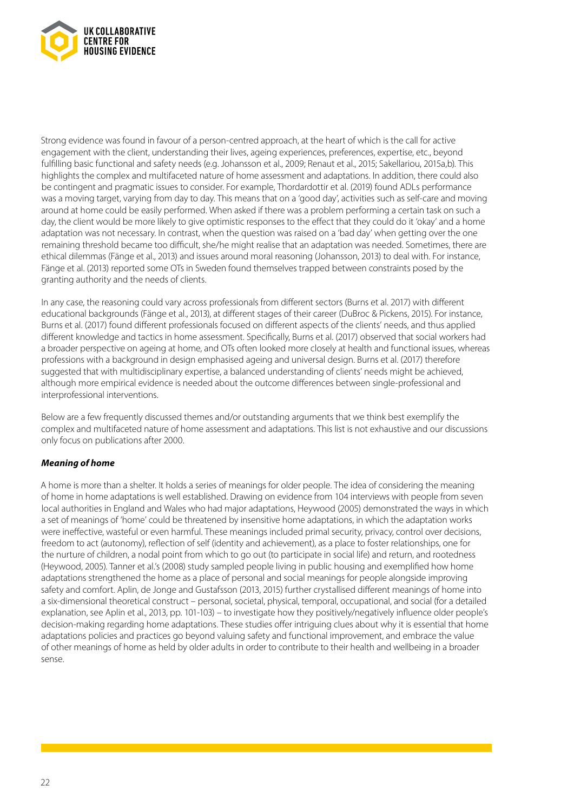

Strong evidence was found in favour of a person-centred approach, at the heart of which is the call for active engagement with the client, understanding their lives, ageing experiences, preferences, expertise, etc., beyond fulfilling basic functional and safety needs (e.g. Johansson et al., 2009; Renaut et al., 2015; Sakellariou, 2015a,b). This highlights the complex and multifaceted nature of home assessment and adaptations. In addition, there could also be contingent and pragmatic issues to consider. For example, Thordardottir et al. (2019) found ADLs performance was a moving target, varying from day to day. This means that on a 'good day', activities such as self-care and moving around at home could be easily performed. When asked if there was a problem performing a certain task on such a day, the client would be more likely to give optimistic responses to the effect that they could do it 'okay' and a home adaptation was not necessary. In contrast, when the question was raised on a 'bad day' when getting over the one remaining threshold became too difficult, she/he might realise that an adaptation was needed. Sometimes, there are ethical dilemmas (Fänge et al., 2013) and issues around moral reasoning (Johansson, 2013) to deal with. For instance, Fänge et al. (2013) reported some OTs in Sweden found themselves trapped between constraints posed by the granting authority and the needs of clients.

In any case, the reasoning could vary across professionals from different sectors (Burns et al. 2017) with different educational backgrounds (Fänge et al., 2013), at different stages of their career (DuBroc & Pickens, 2015). For instance, Burns et al. (2017) found different professionals focused on different aspects of the clients' needs, and thus applied different knowledge and tactics in home assessment. Specifically, Burns et al. (2017) observed that social workers had a broader perspective on ageing at home, and OTs often looked more closely at health and functional issues, whereas professions with a background in design emphasised ageing and universal design. Burns et al. (2017) therefore suggested that with multidisciplinary expertise, a balanced understanding of clients' needs might be achieved, although more empirical evidence is needed about the outcome differences between single-professional and interprofessional interventions.

Below are a few frequently discussed themes and/or outstanding arguments that we think best exemplify the complex and multifaceted nature of home assessment and adaptations. This list is not exhaustive and our discussions only focus on publications after 2000.

#### *Meaning of home*

A home is more than a shelter. It holds a series of meanings for older people. The idea of considering the meaning of home in home adaptations is well established. Drawing on evidence from 104 interviews with people from seven local authorities in England and Wales who had major adaptations, Heywood (2005) demonstrated the ways in which a set of meanings of 'home' could be threatened by insensitive home adaptations, in which the adaptation works were ineffective, wasteful or even harmful. These meanings included primal security, privacy, control over decisions, freedom to act (autonomy), reflection of self (identity and achievement), as a place to foster relationships, one for the nurture of children, a nodal point from which to go out (to participate in social life) and return, and rootedness (Heywood, 2005). Tanner et al.'s (2008) study sampled people living in public housing and exemplified how home adaptations strengthened the home as a place of personal and social meanings for people alongside improving safety and comfort. Aplin, de Jonge and Gustafsson (2013, 2015) further crystallised different meanings of home into a six-dimensional theoretical construct – personal, societal, physical, temporal, occupational, and social (for a detailed explanation, see Aplin et al., 2013, pp. 101-103) – to investigate how they positively/negatively influence older people's decision-making regarding home adaptations. These studies offer intriguing clues about why it is essential that home adaptations policies and practices go beyond valuing safety and functional improvement, and embrace the value of other meanings of home as held by older adults in order to contribute to their health and wellbeing in a broader sense.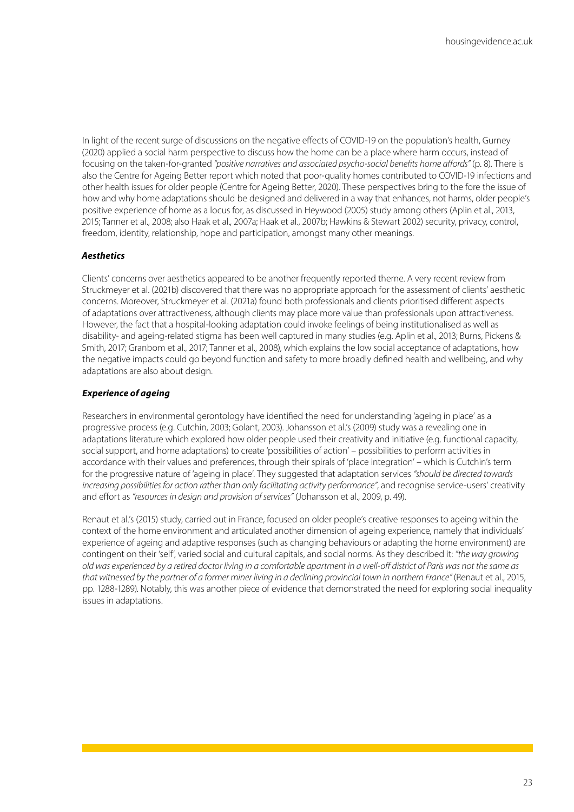In light of the recent surge of discussions on the negative effects of COVID-19 on the population's health, Gurney (2020) applied a social harm perspective to discuss how the home can be a place where harm occurs, instead of focusing on the taken-for-granted *"positive narratives and associated psycho-social benefits home affords"* (p. 8). There is also the Centre for Ageing Better report which noted that poor-quality homes contributed to COVID-19 infections and other health issues for older people (Centre for Ageing Better, 2020). These perspectives bring to the fore the issue of how and why home adaptations should be designed and delivered in a way that enhances, not harms, older people's positive experience of home as a locus for, as discussed in Heywood (2005) study among others (Aplin et al., 2013, 2015; Tanner et al., 2008; also Haak et al., 2007a; Haak et al., 2007b; Hawkins & Stewart 2002) security, privacy, control, freedom, identity, relationship, hope and participation, amongst many other meanings.

#### *Aesthetics*

Clients' concerns over aesthetics appeared to be another frequently reported theme. A very recent review from Struckmeyer et al. (2021b) discovered that there was no appropriate approach for the assessment of clients' aesthetic concerns. Moreover, Struckmeyer et al. (2021a) found both professionals and clients prioritised different aspects of adaptations over attractiveness, although clients may place more value than professionals upon attractiveness. However, the fact that a hospital-looking adaptation could invoke feelings of being institutionalised as well as disability- and ageing-related stigma has been well captured in many studies (e.g. Aplin et al., 2013; Burns, Pickens & Smith, 2017; Granbom et al., 2017; Tanner et al., 2008), which explains the low social acceptance of adaptations, how the negative impacts could go beyond function and safety to more broadly defined health and wellbeing, and why adaptations are also about design.

#### *Experience of ageing*

Researchers in environmental gerontology have identified the need for understanding 'ageing in place' as a progressive process (e.g. Cutchin, 2003; Golant, 2003). Johansson et al.'s (2009) study was a revealing one in adaptations literature which explored how older people used their creativity and initiative (e.g. functional capacity, social support, and home adaptations) to create 'possibilities of action' – possibilities to perform activities in accordance with their values and preferences, through their spirals of 'place integration' – which is Cutchin's term for the progressive nature of 'ageing in place'. They suggested that adaptation services *"should be directed towards increasing possibilities for action rather than only facilitating activity performance"*, and recognise service-users' creativity and effort as *"resources in design and provision of services"* (Johansson et al., 2009, p. 49).

Renaut et al.'s (2015) study, carried out in France, focused on older people's creative responses to ageing within the context of the home environment and articulated another dimension of ageing experience, namely that individuals' experience of ageing and adaptive responses (such as changing behaviours or adapting the home environment) are contingent on their 'self', varied social and cultural capitals, and social norms. As they described it: *"the way growing old was experienced by a retired doctor living in a comfortable apartment in a well-off district of Paris was not the same as that witnessed by the partner of a former miner living in a declining provincial town in northern France"* (Renaut et al., 2015, pp. 1288-1289). Notably, this was another piece of evidence that demonstrated the need for exploring social inequality issues in adaptations.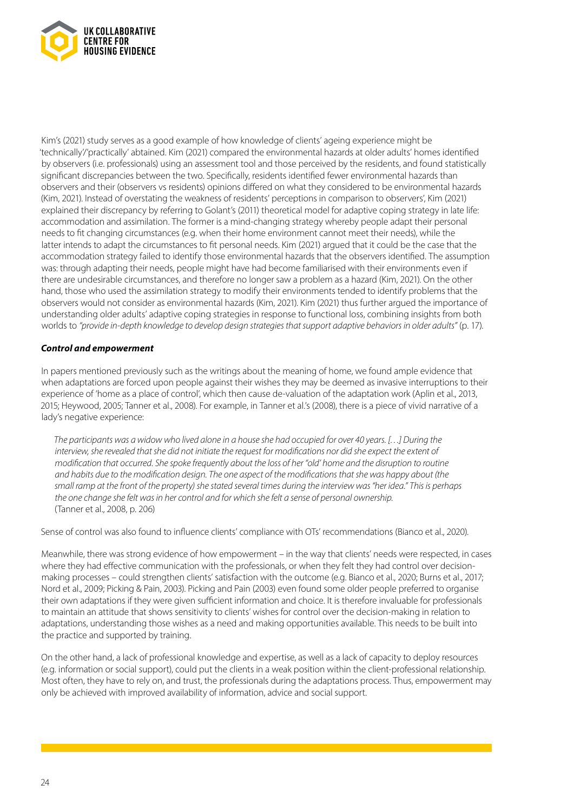

Kim's (2021) study serves as a good example of how knowledge of clients' ageing experience might be 'technically'/'practically' abtained. Kim (2021) compared the environmental hazards at older adults' homes identified by observers (i.e. professionals) using an assessment tool and those perceived by the residents, and found statistically significant discrepancies between the two. Specifically, residents identified fewer environmental hazards than observers and their (observers vs residents) opinions differed on what they considered to be environmental hazards (Kim, 2021). Instead of overstating the weakness of residents' perceptions in comparison to observers', Kim (2021) explained their discrepancy by referring to Golant's (2011) theoretical model for adaptive coping strategy in late life: accommodation and assimilation. The former is a mind-changing strategy whereby people adapt their personal needs to fit changing circumstances (e.g. when their home environment cannot meet their needs), while the latter intends to adapt the circumstances to fit personal needs. Kim (2021) argued that it could be the case that the accommodation strategy failed to identify those environmental hazards that the observers identified. The assumption was: through adapting their needs, people might have had become familiarised with their environments even if there are undesirable circumstances, and therefore no longer saw a problem as a hazard (Kim, 2021). On the other hand, those who used the assimilation strategy to modify their environments tended to identify problems that the observers would not consider as environmental hazards (Kim, 2021). Kim (2021) thus further argued the importance of understanding older adults' adaptive coping strategies in response to functional loss, combining insights from both worlds to *"provide in-depth knowledge to develop design strategies that support adaptive behaviors in older adults"* (p. 17).

#### *Control and empowerment*

In papers mentioned previously such as the writings about the meaning of home, we found ample evidence that when adaptations are forced upon people against their wishes they may be deemed as invasive interruptions to their experience of 'home as a place of control', which then cause de-valuation of the adaptation work (Aplin et al., 2013, 2015; Heywood, 2005; Tanner et al., 2008). For example, in Tanner et al.'s (2008), there is a piece of vivid narrative of a lady's negative experience:

*The participants was a widow who lived alone in a house she had occupied for over 40 years. […] During the interview, she revealed that she did not initiate the request for modifications nor did she expect the extent of modification that occurred. She spoke frequently about the loss of her "old' home and the disruption to routine and habits due to the modification design. The one aspect of the modifications that she was happy about (the small ramp at the front of the property) she stated several times during the interview was "her idea." This is perhaps the one change she felt was in her control and for which she felt a sense of personal ownership.*  (Tanner et al., 2008, p. 206)

Sense of control was also found to influence clients' compliance with OTs' recommendations (Bianco et al., 2020).

Meanwhile, there was strong evidence of how empowerment – in the way that clients' needs were respected, in cases where they had effective communication with the professionals, or when they felt they had control over decisionmaking processes – could strengthen clients' satisfaction with the outcome (e.g. Bianco et al., 2020; Burns et al., 2017; Nord et al., 2009; Picking & Pain, 2003). Picking and Pain (2003) even found some older people preferred to organise their own adaptations if they were given sufficient information and choice. It is therefore invaluable for professionals to maintain an attitude that shows sensitivity to clients' wishes for control over the decision-making in relation to adaptations, understanding those wishes as a need and making opportunities available. This needs to be built into the practice and supported by training.

On the other hand, a lack of professional knowledge and expertise, as well as a lack of capacity to deploy resources (e.g. information or social support), could put the clients in a weak position within the client-professional relationship. Most often, they have to rely on, and trust, the professionals during the adaptations process. Thus, empowerment may only be achieved with improved availability of information, advice and social support.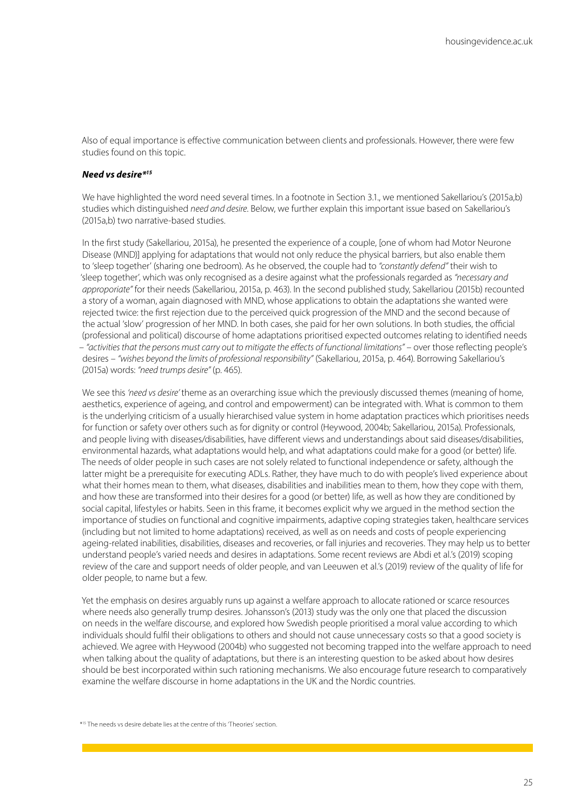Also of equal importance is effective communication between clients and professionals. However, there were few studies found on this topic.

#### *Need vs desire\*15*

We have highlighted the word need several times. In a footnote in Section 3.1., we mentioned Sakellariou's (2015a,b) studies which distinguished *need and desire*. Below, we further explain this important issue based on Sakellariou's (2015a,b) two narrative-based studies.

In the first study (Sakellariou, 2015a), he presented the experience of a couple, [one of whom had Motor Neurone Disease (MND)] applying for adaptations that would not only reduce the physical barriers, but also enable them to 'sleep together' (sharing one bedroom). As he observed, the couple had to *"constantly defend"* their wish to 'sleep together', which was only recognised as a desire against what the professionals regarded as *"necessary and approporiate"* for their needs (Sakellariou, 2015a, p. 463). In the second published study, Sakellariou (2015b) recounted a story of a woman, again diagnosed with MND, whose applications to obtain the adaptations she wanted were rejected twice: the first rejection due to the perceived quick progression of the MND and the second because of the actual 'slow' progression of her MND. In both cases, she paid for her own solutions. In both studies, the official (professional and political) discourse of home adaptations prioritised expected outcomes relating to identified needs – *"activities that the persons must carry out to mitigate the effects of functional limitations"* – over those reflecting people's desires – *"wishes beyond the limits of professional responsibility"* (Sakellariou, 2015a, p. 464). Borrowing Sakellariou's (2015a) words: *"need trumps desire"* (p. 465).

We see this *'need vs desire'* theme as an overarching issue which the previously discussed themes (meaning of home, aesthetics, experience of ageing, and control and empowerment) can be integrated with. What is common to them is the underlying criticism of a usually hierarchised value system in home adaptation practices which prioritises needs for function or safety over others such as for dignity or control (Heywood, 2004b; Sakellariou, 2015a). Professionals, and people living with diseases/disabilities, have different views and understandings about said diseases/disabilities, environmental hazards, what adaptations would help, and what adaptations could make for a good (or better) life. The needs of older people in such cases are not solely related to functional independence or safety, although the latter might be a prerequisite for executing ADLs. Rather, they have much to do with people's lived experience about what their homes mean to them, what diseases, disabilities and inabilities mean to them, how they cope with them, and how these are transformed into their desires for a good (or better) life, as well as how they are conditioned by social capital, lifestyles or habits. Seen in this frame, it becomes explicit why we argued in the method section the importance of studies on functional and cognitive impairments, adaptive coping strategies taken, healthcare services (including but not limited to home adaptations) received, as well as on needs and costs of people experiencing ageing-related inabilities, disabilities, diseases and recoveries, or fall injuries and recoveries. They may help us to better understand people's varied needs and desires in adaptations. Some recent reviews are Abdi et al.'s (2019) scoping review of the care and support needs of older people, and van Leeuwen et al.'s (2019) review of the quality of life for older people, to name but a few.

Yet the emphasis on desires arguably runs up against a welfare approach to allocate rationed or scarce resources where needs also generally trump desires. Johansson's (2013) study was the only one that placed the discussion on needs in the welfare discourse, and explored how Swedish people prioritised a moral value according to which individuals should fulfil their obligations to others and should not cause unnecessary costs so that a good society is achieved. We agree with Heywood (2004b) who suggested not becoming trapped into the welfare approach to need when talking about the quality of adaptations, but there is an interesting question to be asked about how desires should be best incorporated within such rationing mechanisms. We also encourage future research to comparatively examine the welfare discourse in home adaptations in the UK and the Nordic countries.

<sup>\*15</sup> The needs vs desire debate lies at the centre of this 'Theories' section.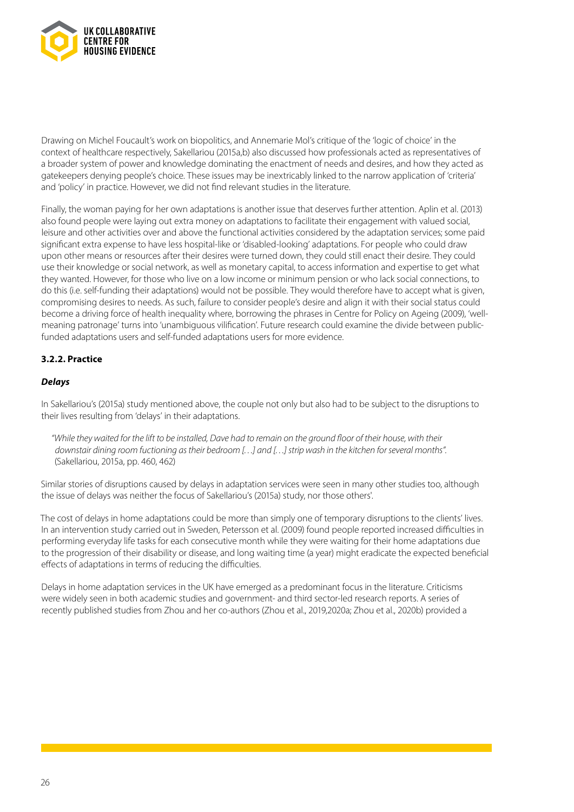

Drawing on Michel Foucault's work on biopolitics, and Annemarie Mol's critique of the 'logic of choice' in the context of healthcare respectively, Sakellariou (2015a,b) also discussed how professionals acted as representatives of a broader system of power and knowledge dominating the enactment of needs and desires, and how they acted as gatekeepers denying people's choice. These issues may be inextricably linked to the narrow application of 'criteria' and 'policy' in practice. However, we did not find relevant studies in the literature.

Finally, the woman paying for her own adaptations is another issue that deserves further attention. Aplin et al. (2013) also found people were laying out extra money on adaptations to facilitate their engagement with valued social, leisure and other activities over and above the functional activities considered by the adaptation services; some paid significant extra expense to have less hospital-like or 'disabled-looking' adaptations. For people who could draw upon other means or resources after their desires were turned down, they could still enact their desire. They could use their knowledge or social network, as well as monetary capital, to access information and expertise to get what they wanted. However, for those who live on a low income or minimum pension or who lack social connections, to do this (i.e. self-funding their adaptations) would not be possible. They would therefore have to accept what is given, compromising desires to needs. As such, failure to consider people's desire and align it with their social status could become a driving force of health inequality where, borrowing the phrases in Centre for Policy on Ageing (2009), 'wellmeaning patronage' turns into 'unambiguous vilification'. Future research could examine the divide between publicfunded adaptations users and self-funded adaptations users for more evidence.

#### **3.2.2. Practice**

#### *Delays*

In Sakellariou's (2015a) study mentioned above, the couple not only but also had to be subject to the disruptions to their lives resulting from 'delays' in their adaptations.

*"While they waited for the lift to be installed, Dave had to remain on the ground floor of their house, with their downstair dining room fuctioning as their bedroom […] and […] strip wash in the kitchen for several months".*  (Sakellariou, 2015a, pp. 460, 462)

Similar stories of disruptions caused by delays in adaptation services were seen in many other studies too, although the issue of delays was neither the focus of Sakellariou's (2015a) study, nor those others'.

The cost of delays in home adaptations could be more than simply one of temporary disruptions to the clients' lives. In an intervention study carried out in Sweden, Petersson et al. (2009) found people reported increased difficulties in performing everyday life tasks for each consecutive month while they were waiting for their home adaptations due to the progression of their disability or disease, and long waiting time (a year) might eradicate the expected beneficial effects of adaptations in terms of reducing the difficulties.

Delays in home adaptation services in the UK have emerged as a predominant focus in the literature. Criticisms were widely seen in both academic studies and government- and third sector-led research reports. A series of recently published studies from Zhou and her co-authors (Zhou et al., 2019,2020a; Zhou et al., 2020b) provided a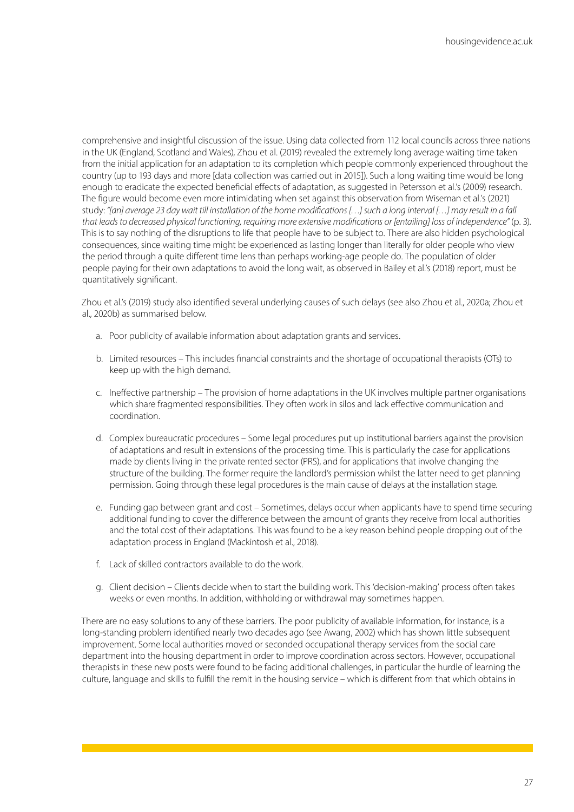comprehensive and insightful discussion of the issue. Using data collected from 112 local councils across three nations in the UK (England, Scotland and Wales), Zhou et al. (2019) revealed the extremely long average waiting time taken from the initial application for an adaptation to its completion which people commonly experienced throughout the country (up to 193 days and more [data collection was carried out in 2015]). Such a long waiting time would be long enough to eradicate the expected beneficial effects of adaptation, as suggested in Petersson et al.'s (2009) research. The figure would become even more intimidating when set against this observation from Wiseman et al.'s (2021) study: *"[an] average 23 day wait till installation of the home modifications […] such a long interval […] may result in a fall that leads to decreased physical functioning, requiring more extensive modifications or [entailing] loss of independence"* (p. 3). This is to say nothing of the disruptions to life that people have to be subject to. There are also hidden psychological consequences, since waiting time might be experienced as lasting longer than literally for older people who view the period through a quite different time lens than perhaps working-age people do. The population of older people paying for their own adaptations to avoid the long wait, as observed in Bailey et al.'s (2018) report, must be quantitatively significant.

Zhou et al.'s (2019) study also identified several underlying causes of such delays (see also Zhou et al., 2020a; Zhou et al., 2020b) as summarised below.

- a. Poor publicity of available information about adaptation grants and services.
- b. Limited resources This includes financial constraints and the shortage of occupational therapists (OTs) to keep up with the high demand.
- c. Ineffective partnership The provision of home adaptations in the UK involves multiple partner organisations which share fragmented responsibilities. They often work in silos and lack effective communication and coordination.
- d. Complex bureaucratic procedures Some legal procedures put up institutional barriers against the provision of adaptations and result in extensions of the processing time. This is particularly the case for applications made by clients living in the private rented sector (PRS), and for applications that involve changing the structure of the building. The former require the landlord's permission whilst the latter need to get planning permission. Going through these legal procedures is the main cause of delays at the installation stage.
- e. Funding gap between grant and cost Sometimes, delays occur when applicants have to spend time securing additional funding to cover the difference between the amount of grants they receive from local authorities and the total cost of their adaptations. This was found to be a key reason behind people dropping out of the adaptation process in England (Mackintosh et al., 2018).
- f. Lack of skilled contractors available to do the work.
- g. Client decision Clients decide when to start the building work. This 'decision-making' process often takes weeks or even months. In addition, withholding or withdrawal may sometimes happen.

There are no easy solutions to any of these barriers. The poor publicity of available information, for instance, is a long-standing problem identified nearly two decades ago (see Awang, 2002) which has shown little subsequent improvement. Some local authorities moved or seconded occupational therapy services from the social care department into the housing department in order to improve coordination across sectors. However, occupational therapists in these new posts were found to be facing additional challenges, in particular the hurdle of learning the culture, language and skills to fulfill the remit in the housing service – which is different from that which obtains in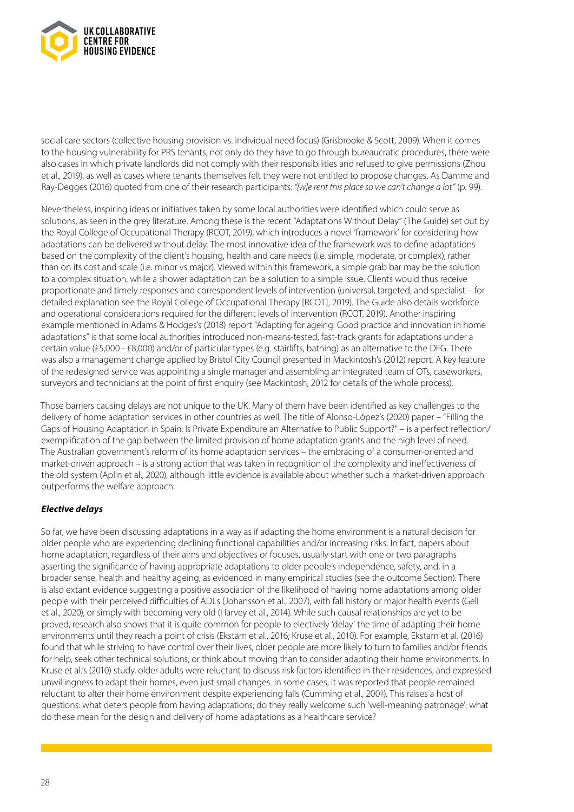

social care sectors (collective housing provision vs. individual need focus) (Grisbrooke & Scott, 2009). When it comes to the housing vulnerability for PRS tenants, not only do they have to go through bureaucratic procedures, there were also cases in which private landlords did not comply with their responsibilities and refused to give permissions (Zhou et al., 2019), as well as cases where tenants themselves felt they were not entitled to propose changes. As Damme and Ray-Degges (2016) quoted from one of their research participants: *"[w]e rent this place so we can't change a lot"* (p. 99).

Nevertheless, inspiring ideas or initiatives taken by some local authorities were identified which could serve as solutions, as seen in the grey literature. Among these is the recent "Adaptations Without Delay" (The Guide) set out by the Royal College of Occupational Therapy (RCOT, 2019), which introduces a novel 'framework' for considering how adaptations can be delivered without delay. The most innovative idea of the framework was to define adaptations based on the complexity of the client's housing, health and care needs (i.e. simple, moderate, or complex), rather than on its cost and scale (i.e. minor vs major). Viewed within this framework, a simple grab bar may be the solution to a complex situation, while a shower adaptation can be a solution to a simple issue. Clients would thus receive proportionate and timely responses and correspondent levels of intervention (universal, targeted, and specialist – for detailed explanation see the Royal College of Occupational Therapy [RCOT], 2019). The Guide also details workforce and operational considerations required for the different levels of intervention (RCOT, 2019). Another inspiring example mentioned in Adams & Hodges's (2018) report "Adapting for ageing: Good practice and innovation in home adaptations" is that some local authorities introduced non-means-tested, fast-track grants for adaptations under a certain value (£5,000 - £8,000) and/or of particular types (e.g. stairlifts, bathing) as an alternative to the DFG. There was also a management change applied by Bristol City Council presented in Mackintosh's (2012) report. A key feature of the redesigned service was appointing a single manager and assembling an integrated team of OTs, caseworkers, surveyors and technicians at the point of first enquiry (see Mackintosh, 2012 for details of the whole process).

Those barriers causing delays are not unique to the UK. Many of them have been identified as key challenges to the delivery of home adaptation services in other countries as well. The title of Alonso-López's (2020) paper – "Filling the Gaps of Housing Adaptation in Spain: Is Private Expenditure an Alternative to Public Support?" – is a perfect reflection/ exemplification of the gap between the limited provision of home adaptation grants and the high level of need. The Australian government's reform of its home adaptation services – the embracing of a consumer-oriented and market-driven approach – is a strong action that was taken in recognition of the complexity and ineffectiveness of the old system (Aplin et al., 2020), although little evidence is available about whether such a market-driven approach outperforms the welfare approach.

#### *Elective delays*

So far, we have been discussing adaptations in a way as if adapting the home environment is a natural decision for older people who are experiencing declining functional capabilities and/or increasing risks. In fact, papers about home adaptation, regardless of their aims and objectives or focuses, usually start with one or two paragraphs asserting the significance of having appropriate adaptations to older people's independence, safety, and, in a broader sense, health and healthy ageing, as evidenced in many empirical studies (see the outcome Section). There is also extant evidence suggesting a positive association of the likelihood of having home adaptations among older people with their perceived difficulties of ADLs (Johansson et al., 2007), with fall history or major health events (Gell et al., 2020), or simply with becoming very old (Harvey et al., 2014). While such causal relationships are yet to be proved, research also shows that it is quite common for people to electively 'delay' the time of adapting their home environments until they reach a point of crisis (Ekstam et al., 2016; Kruse et al., 2010). For example, Ekstam et al. (2016) found that while striving to have control over their lives, older people are more likely to turn to families and/or friends for help, seek other technical solutions, or think about moving than to consider adapting their home environments. In Kruse et al.'s (2010) study, older adults were reluctant to discuss risk factors identified in their residences, and expressed unwillingness to adapt their homes, even just small changes. In some cases, it was reported that people remained reluctant to alter their home environment despite experiencing falls (Cumming et al., 2001). This raises a host of questions: what deters people from having adaptations; do they really welcome such 'well-meaning patronage'; what do these mean for the design and delivery of home adaptations as a healthcare service?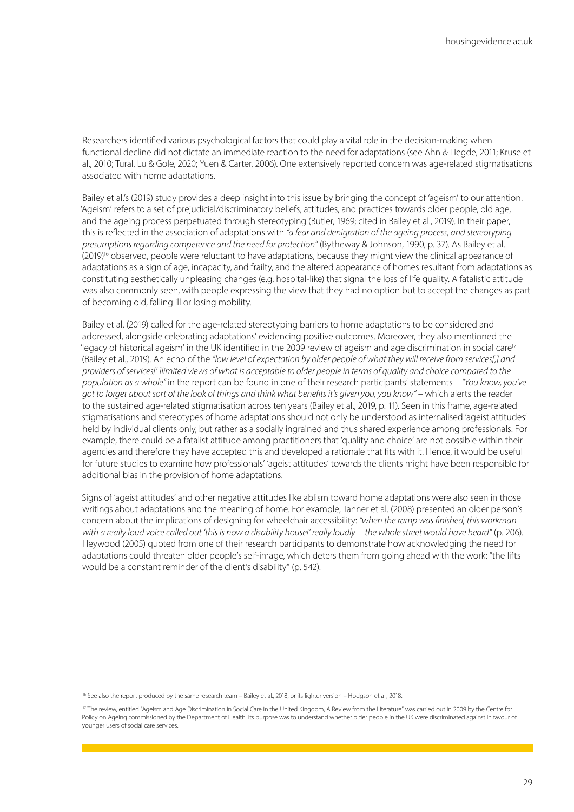Researchers identified various psychological factors that could play a vital role in the decision-making when functional decline did not dictate an immediate reaction to the need for adaptations (see Ahn & Hegde, 2011; Kruse et al., 2010; Tural, Lu & Gole, 2020; Yuen & Carter, 2006). One extensively reported concern was age-related stigmatisations associated with home adaptations.

Bailey et al.'s (2019) study provides a deep insight into this issue by bringing the concept of 'ageism' to our attention. 'Ageism' refers to a set of prejudicial/discriminatory beliefs, attitudes, and practices towards older people, old age, and the ageing process perpetuated through stereotyping (Butler, 1969; cited in Bailey et al., 2019). In their paper, this is reflected in the association of adaptations with *"a fear and denigration of the ageing process, and stereotyping presumptions regarding competence and the need for protection"* (Bytheway & Johnson, 1990, p. 37). As Bailey et al. (2019)<sup>16</sup> observed, people were reluctant to have adaptations, because they might view the clinical appearance of adaptations as a sign of age, incapacity, and frailty, and the altered appearance of homes resultant from adaptations as constituting aesthetically unpleasing changes (e.g. hospital-like) that signal the loss of life quality. A fatalistic attitude was also commonly seen, with people expressing the view that they had no option but to accept the changes as part of becoming old, falling ill or losing mobility.

Bailey et al. (2019) called for the age-related stereotyping barriers to home adaptations to be considered and addressed, alongside celebrating adaptations' evidencing positive outcomes. Moreover, they also mentioned the 'legacy of historical ageism' in the UK identified in the 2009 review of ageism and age discrimination in social care<sup>17</sup> (Bailey et al., 2019). An echo of the *"low level of expectation by older people of what they will receive from services[,] and providers of services[' ]limited views of what is acceptable to older people in terms of quality and choice compared to the population as a whole"* in the report can be found in one of their research participants' statements – *"You know, you've*  got to forget about sort of the look of things and think what benefits it's given you, you know" – which alerts the reader to the sustained age-related stigmatisation across ten years (Bailey et al., 2019, p. 11). Seen in this frame, age-related stigmatisations and stereotypes of home adaptations should not only be understood as internalised 'ageist attitudes' held by individual clients only, but rather as a socially ingrained and thus shared experience among professionals. For example, there could be a fatalist attitude among practitioners that 'quality and choice' are not possible within their agencies and therefore they have accepted this and developed a rationale that fits with it. Hence, it would be useful for future studies to examine how professionals' 'ageist attitudes' towards the clients might have been responsible for additional bias in the provision of home adaptations.

Signs of 'ageist attitudes' and other negative attitudes like ablism toward home adaptations were also seen in those writings about adaptations and the meaning of home. For example, Tanner et al. (2008) presented an older person's concern about the implications of designing for wheelchair accessibility: *"when the ramp was finished, this workman with a really loud voice called out 'this is now a disability house!' really loudly—the whole street would have heard"* (p. 206). Heywood (2005) quoted from one of their research participants to demonstrate how acknowledging the need for adaptations could threaten older people's self-image, which deters them from going ahead with the work: "the lifts would be a constant reminder of the client's disability" (p. 542).

<sup>16</sup> See also the report produced by the same research team – Bailey et al., 2018, or its lighter version – Hodgson et al., 2018.

<sup>&</sup>lt;sup>17</sup> The review, entitled "Ageism and Age Discrimination in Social Care in the United Kingdom, A Review from the Literature" was carried out in 2009 by the Centre for Policy on Ageing commissioned by the Department of Health. Its purpose was to understand whether older people in the UK were discriminated against in favour of younger users of social care services.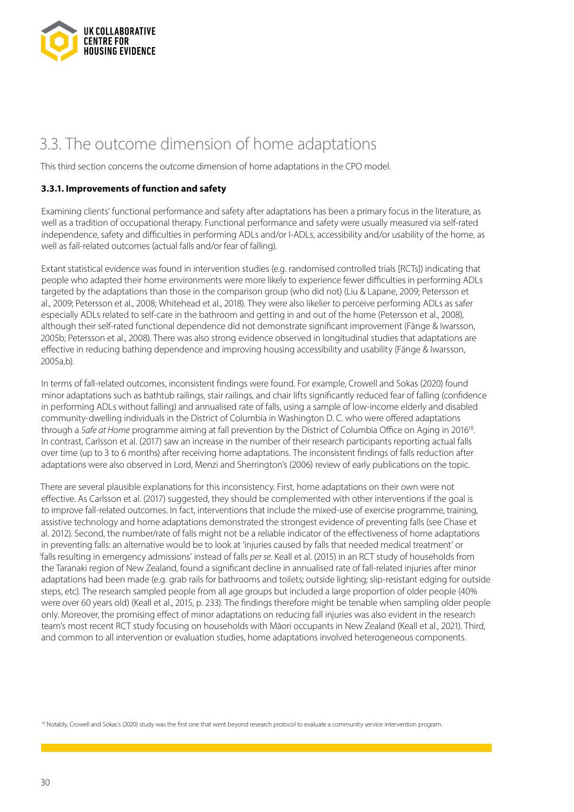

### 3.3. The outcome dimension of home adaptations

This third section concerns the outcome dimension of home adaptations in the CPO model.

#### **3.3.1. Improvements of function and safety**

Examining clients' functional performance and safety after adaptations has been a primary focus in the literature, as well as a tradition of occupational therapy. Functional performance and safety were usually measured via self-rated independence, safety and difficulties in performing ADLs and/or I-ADLs, accessibility and/or usability of the home, as well as fall-related outcomes (actual falls and/or fear of falling).

Extant statistical evidence was found in intervention studies (e.g. randomised controlled trials [RCTs]) indicating that people who adapted their home environments were more likely to experience fewer difficulties in performing ADLs targeted by the adaptations than those in the comparison group (who did not) (Liu & Lapane, 2009; Petersson et al., 2009; Petersson et al., 2008; Whitehead et al., 2018). They were also likelier to perceive performing ADLs as safer especially ADLs related to self-care in the bathroom and getting in and out of the home (Petersson et al., 2008), although their self-rated functional dependence did not demonstrate significant improvement (Fänge & Iwarsson, 2005b; Petersson et al., 2008). There was also strong evidence observed in longitudinal studies that adaptations are effective in reducing bathing dependence and improving housing accessibility and usability (Fänge & Iwarsson, 2005a,b).

In terms of fall-related outcomes, inconsistent findings were found. For example, Crowell and Sokas (2020) found minor adaptations such as bathtub railings, stair railings, and chair lifts significantly reduced fear of falling (confidence in performing ADLs without falling) and annualised rate of falls, using a sample of low-income elderly and disabled community-dwelling individuals in the District of Columbia in Washington D. C. who were offered adaptations through a *Safe at Home* programme aiming at fall prevention by the District of Columbia Office on Aging in 201618. In contrast, Carlsson et al. (2017) saw an increase in the number of their research participants reporting actual falls over time (up to 3 to 6 months) after receiving home adaptations. The inconsistent findings of falls reduction after adaptations were also observed in Lord, Menzi and Sherrington's (2006) review of early publications on the topic.

There are several plausible explanations for this inconsistency. First, home adaptations on their own were not effective. As Carlsson et al. (2017) suggested, they should be complemented with other interventions if the goal is to improve fall-related outcomes. In fact, interventions that include the mixed-use of exercise programme, training, assistive technology and home adaptations demonstrated the strongest evidence of preventing falls (see Chase et al. 2012). Second, the number/rate of falls might not be a reliable indicator of the effectiveness of home adaptations in preventing falls: an alternative would be to look at 'injuries caused by falls that needed medical treatment' or 'falls resulting in emergency admissions' instead of falls *per se.* Keall et al. (2015) in an RCT study of households from the Taranaki region of New Zealand, found a significant decline in annualised rate of fall-related injuries after minor adaptations had been made (e.g. grab rails for bathrooms and toilets; outside lighting; slip-resistant edging for outside steps, etc). The research sampled people from all age groups but included a large proportion of older people (40% were over 60 years old) (Keall et al., 2015, p. 233). The findings therefore might be tenable when sampling older people only. Moreover, the promising effect of minor adaptations on reducing fall injuries was also evident in the research team's most recent RCT study focusing on households with Māori occupants in New Zealand (Keall et al., 2021). Third, and common to all intervention or evaluation studies, home adaptations involved heterogeneous components.

18 Notably, Crowell and Sokas's (2020) study was the first one that went beyond research protocol to evaluate a community service intervention program.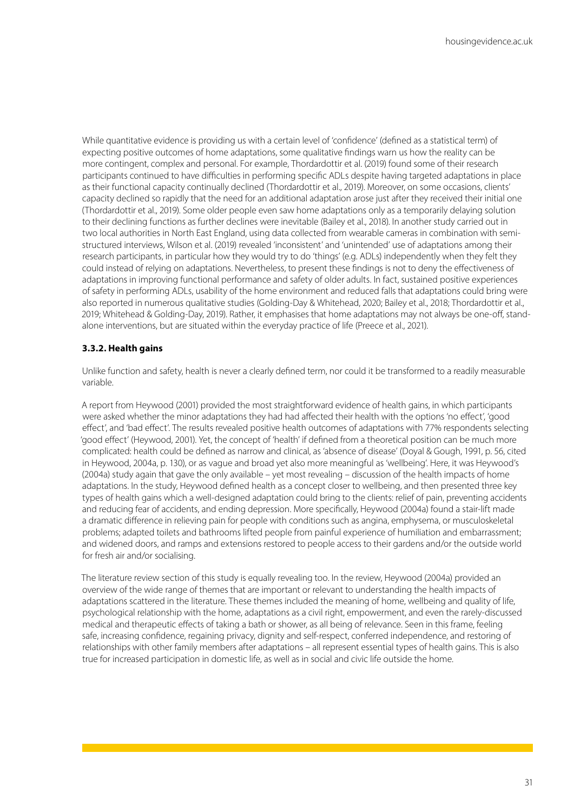While quantitative evidence is providing us with a certain level of 'confidence' (defined as a statistical term) of expecting positive outcomes of home adaptations, some qualitative findings warn us how the reality can be more contingent, complex and personal. For example, Thordardottir et al. (2019) found some of their research participants continued to have difficulties in performing specific ADLs despite having targeted adaptations in place as their functional capacity continually declined (Thordardottir et al., 2019). Moreover, on some occasions, clients' capacity declined so rapidly that the need for an additional adaptation arose just after they received their initial one (Thordardottir et al., 2019). Some older people even saw home adaptations only as a temporarily delaying solution to their declining functions as further declines were inevitable (Bailey et al., 2018). In another study carried out in two local authorities in North East England, using data collected from wearable cameras in combination with semistructured interviews, Wilson et al. (2019) revealed 'inconsistent' and 'unintended' use of adaptations among their research participants, in particular how they would try to do 'things' (e.g. ADLs) independently when they felt they could instead of relying on adaptations. Nevertheless, to present these findings is not to deny the effectiveness of adaptations in improving functional performance and safety of older adults. In fact, sustained positive experiences of safety in performing ADLs, usability of the home environment and reduced falls that adaptations could bring were also reported in numerous qualitative studies (Golding-Day & Whitehead, 2020; Bailey et al., 2018; Thordardottir et al., 2019; Whitehead & Golding-Day, 2019). Rather, it emphasises that home adaptations may not always be one-off, standalone interventions, but are situated within the everyday practice of life (Preece et al., 2021).

#### **3.3.2. Health gains**

Unlike function and safety, health is never a clearly defined term, nor could it be transformed to a readily measurable variable.

A report from Heywood (2001) provided the most straightforward evidence of health gains, in which participants were asked whether the minor adaptations they had had affected their health with the options 'no effect', 'good effect', and 'bad effect'. The results revealed positive health outcomes of adaptations with 77% respondents selecting 'good effect' (Heywood, 2001). Yet, the concept of 'health' if defined from a theoretical position can be much more complicated: health could be defined as narrow and clinical, as 'absence of disease' (Doyal & Gough, 1991, p. 56, cited in Heywood, 2004a, p. 130), or as vague and broad yet also more meaningful as 'wellbeing'. Here, it was Heywood's (2004a) study again that gave the only available – yet most revealing – discussion of the health impacts of home adaptations. In the study, Heywood defined health as a concept closer to wellbeing, and then presented three key types of health gains which a well-designed adaptation could bring to the clients: relief of pain, preventing accidents and reducing fear of accidents, and ending depression. More specifically, Heywood (2004a) found a stair-lift made a dramatic difference in relieving pain for people with conditions such as angina, emphysema, or musculoskeletal problems; adapted toilets and bathrooms lifted people from painful experience of humiliation and embarrassment; and widened doors, and ramps and extensions restored to people access to their gardens and/or the outside world for fresh air and/or socialising.

The literature review section of this study is equally revealing too. In the review, Heywood (2004a) provided an overview of the wide range of themes that are important or relevant to understanding the health impacts of adaptations scattered in the literature. These themes included the meaning of home, wellbeing and quality of life, psychological relationship with the home, adaptations as a civil right, empowerment, and even the rarely-discussed medical and therapeutic effects of taking a bath or shower, as all being of relevance. Seen in this frame, feeling safe, increasing confidence, regaining privacy, dignity and self-respect, conferred independence, and restoring of relationships with other family members after adaptations – all represent essential types of health gains. This is also true for increased participation in domestic life, as well as in social and civic life outside the home.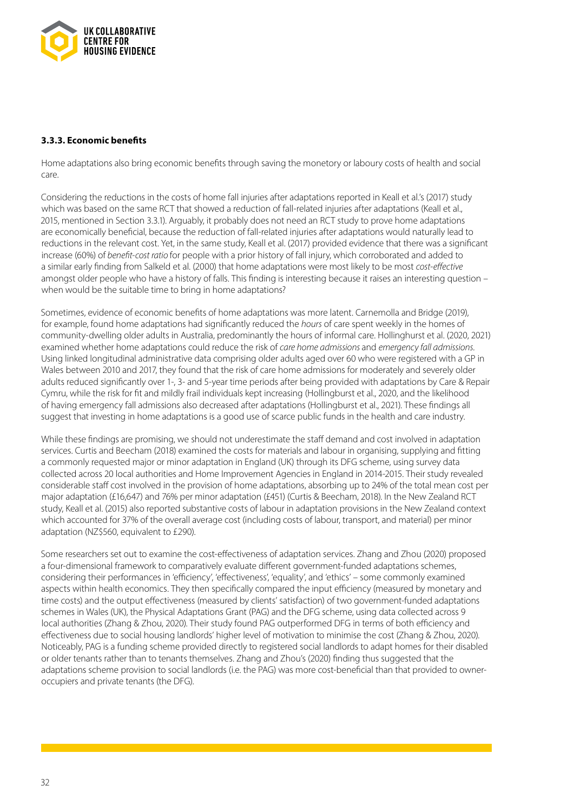

#### **3.3.3. Economic benefits**

Home adaptations also bring economic benefits through saving the monetory or laboury costs of health and social care.

Considering the reductions in the costs of home fall injuries after adaptations reported in Keall et al.'s (2017) study which was based on the same RCT that showed a reduction of fall-related injuries after adaptations (Keall et al., 2015, mentioned in Section 3.3.1). Arguably, it probably does not need an RCT study to prove home adaptations are economically beneficial, because the reduction of fall-related injuries after adaptations would naturally lead to reductions in the relevant cost. Yet, in the same study, Keall et al. (2017) provided evidence that there was a significant increase (60%) of *benefit-cost ratio* for people with a prior history of fall injury, which corroborated and added to a similar early finding from Salkeld et al. (2000) that home adaptations were most likely to be most *cost-effective* amongst older people who have a history of falls. This finding is interesting because it raises an interesting question – when would be the suitable time to bring in home adaptations?

Sometimes, evidence of economic benefits of home adaptations was more latent. Carnemolla and Bridge (2019), for example, found home adaptations had significantly reduced the *hours* of care spent weekly in the homes of community-dwelling older adults in Australia, predominantly the hours of informal care. Hollinghurst et al. (2020, 2021) examined whether home adaptations could reduce the risk of *care home admissions* and *emergency fall admissions.*  Using linked longitudinal administrative data comprising older adults aged over 60 who were registered with a GP in Wales between 2010 and 2017, they found that the risk of care home admissions for moderately and severely older adults reduced significantly over 1-, 3- and 5-year time periods after being provided with adaptations by Care & Repair Cymru, while the risk for fit and mildly frail individuals kept increasing (Hollingburst et al., 2020, and the likelihood of having emergency fall admissions also decreased after adaptations (Hollingburst et al., 2021). These findings all suggest that investing in home adaptations is a good use of scarce public funds in the health and care industry.

While these findings are promising, we should not underestimate the staff demand and cost involved in adaptation services. Curtis and Beecham (2018) examined the costs for materials and labour in organising, supplying and fitting a commonly requested major or minor adaptation in England (UK) through its DFG scheme, using survey data collected across 20 local authorities and Home Improvement Agencies in England in 2014-2015. Their study revealed considerable staff cost involved in the provision of home adaptations, absorbing up to 24% of the total mean cost per major adaptation (£16,647) and 76% per minor adaptation (£451) (Curtis & Beecham, 2018). In the New Zealand RCT study, Keall et al. (2015) also reported substantive costs of labour in adaptation provisions in the New Zealand context which accounted for 37% of the overall average cost (including costs of labour, transport, and material) per minor adaptation (NZ\$560, equivalent to £290).

Some researchers set out to examine the cost-effectiveness of adaptation services. Zhang and Zhou (2020) proposed a four-dimensional framework to comparatively evaluate different government-funded adaptations schemes, considering their performances in 'efficiency', 'effectiveness', 'equality', and 'ethics' – some commonly examined aspects within health economics. They then specifically compared the input efficiency (measured by monetary and time costs) and the output effectiveness (measured by clients' satisfaction) of two government-funded adaptations schemes in Wales (UK), the Physical Adaptations Grant (PAG) and the DFG scheme, using data collected across 9 local authorities (Zhang & Zhou, 2020). Their study found PAG outperformed DFG in terms of both efficiency and effectiveness due to social housing landlords' higher level of motivation to minimise the cost (Zhang & Zhou, 2020). Noticeably, PAG is a funding scheme provided directly to registered social landlords to adapt homes for their disabled or older tenants rather than to tenants themselves. Zhang and Zhou's (2020) finding thus suggested that the adaptations scheme provision to social landlords (i.e. the PAG) was more cost-beneficial than that provided to owneroccupiers and private tenants (the DFG).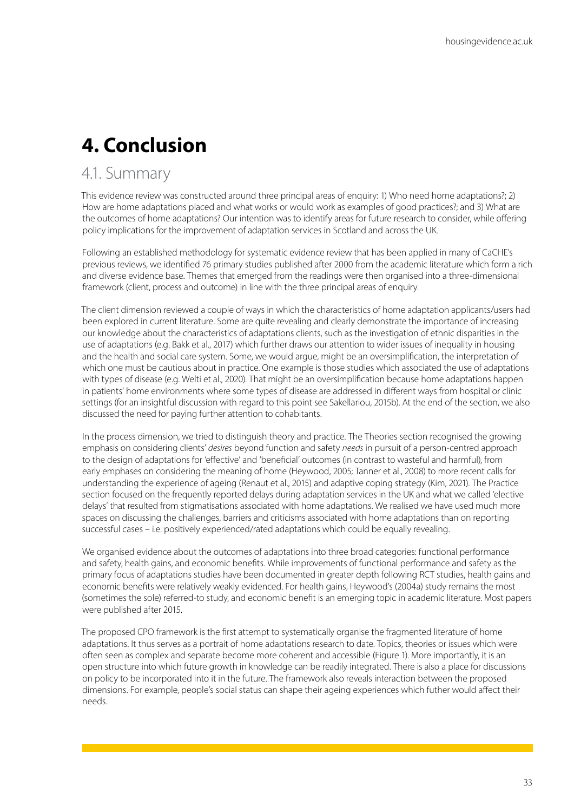# **4. Conclusion**

### 4.1. Summary

This evidence review was constructed around three principal areas of enquiry: 1) Who need home adaptations?; 2) How are home adaptations placed and what works or would work as examples of good practices?; and 3) What are the outcomes of home adaptations? Our intention was to identify areas for future research to consider, while offering policy implications for the improvement of adaptation services in Scotland and across the UK.

Following an established methodology for systematic evidence review that has been applied in many of CaCHE's previous reviews, we identified 76 primary studies published after 2000 from the academic literature which form a rich and diverse evidence base. Themes that emerged from the readings were then organised into a three-dimensional framework (client, process and outcome) in line with the three principal areas of enquiry.

The client dimension reviewed a couple of ways in which the characteristics of home adaptation applicants/users had been explored in current literature. Some are quite revealing and clearly demonstrate the importance of increasing our knowledge about the characteristics of adaptations clients, such as the investigation of ethnic disparities in the use of adaptations (e.g. Bakk et al., 2017) which further draws our attention to wider issues of inequality in housing and the health and social care system. Some, we would argue, might be an oversimplification, the interpretation of which one must be cautious about in practice. One example is those studies which associated the use of adaptations with types of disease (e.g. Welti et al., 2020). That might be an oversimplification because home adaptations happen in patients' home environments where some types of disease are addressed in different ways from hospital or clinic settings (for an insightful discussion with regard to this point see Sakellariou, 2015b). At the end of the section, we also discussed the need for paying further attention to cohabitants.

In the process dimension, we tried to distinguish theory and practice. The Theories section recognised the growing emphasis on considering clients' *desires* beyond function and safety *needs* in pursuit of a person-centred approach to the design of adaptations for 'effective' and 'beneficial' outcomes (in contrast to wasteful and harmful), from early emphases on considering the meaning of home (Heywood, 2005; Tanner et al., 2008) to more recent calls for understanding the experience of ageing (Renaut et al., 2015) and adaptive coping strategy (Kim, 2021). The Practice section focused on the frequently reported delays during adaptation services in the UK and what we called 'elective delays' that resulted from stigmatisations associated with home adaptations. We realised we have used much more spaces on discussing the challenges, barriers and criticisms associated with home adaptations than on reporting successful cases – i.e. positively experienced/rated adaptations which could be equally revealing.

We organised evidence about the outcomes of adaptations into three broad categories: functional performance and safety, health gains, and economic benefits. While improvements of functional performance and safety as the primary focus of adaptations studies have been documented in greater depth following RCT studies, health gains and economic benefits were relatively weakly evidenced. For health gains, Heywood's (2004a) study remains the most (sometimes the sole) referred-to study, and economic benefit is an emerging topic in academic literature. Most papers were published after 2015.

The proposed CPO framework is the first attempt to systematically organise the fragmented literature of home adaptations. It thus serves as a portrait of home adaptations research to date. Topics, theories or issues which were often seen as complex and separate become more coherent and accessible (Figure 1). More importantly, it is an open structure into which future growth in knowledge can be readily integrated. There is also a place for discussions on policy to be incorporated into it in the future. The framework also reveals interaction between the proposed dimensions. For example, people's social status can shape their ageing experiences which futher would affect their needs.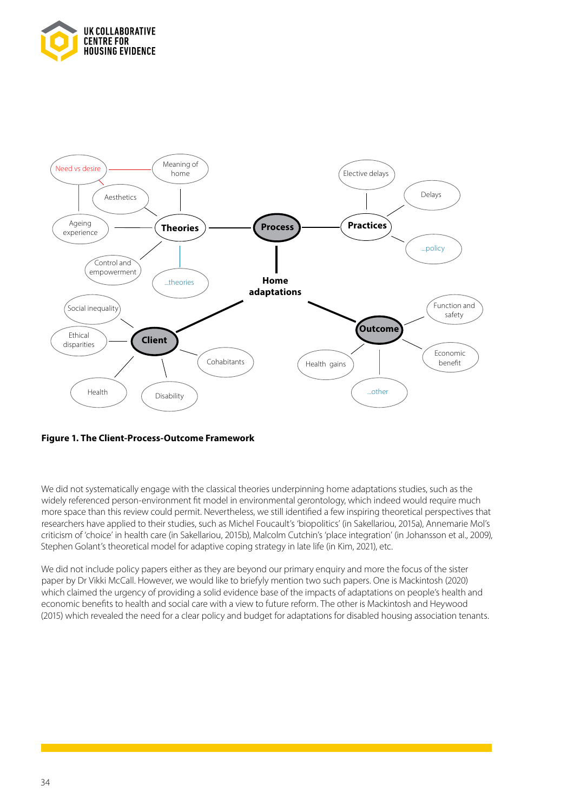



#### **Figure 1. The Client-Process-Outcome Framework**

We did not systematically engage with the classical theories underpinning home adaptations studies, such as the widely referenced person-environment fit model in environmental gerontology, which indeed would require much more space than this review could permit. Nevertheless, we still identified a few inspiring theoretical perspectives that researchers have applied to their studies, such as Michel Foucault's 'biopolitics' (in Sakellariou, 2015a), Annemarie Mol's criticism of 'choice' in health care (in Sakellariou, 2015b), Malcolm Cutchin's 'place integration' (in Johansson et al., 2009), Stephen Golant's theoretical model for adaptive coping strategy in late life (in Kim, 2021), etc.

We did not include policy papers either as they are beyond our primary enquiry and more the focus of the sister paper by Dr Vikki McCall. However, we would like to briefyly mention two such papers. One is Mackintosh (2020) which claimed the urgency of providing a solid evidence base of the impacts of adaptations on people's health and economic benefits to health and social care with a view to future reform. The other is Mackintosh and Heywood (2015) which revealed the need for a clear policy and budget for adaptations for disabled housing association tenants.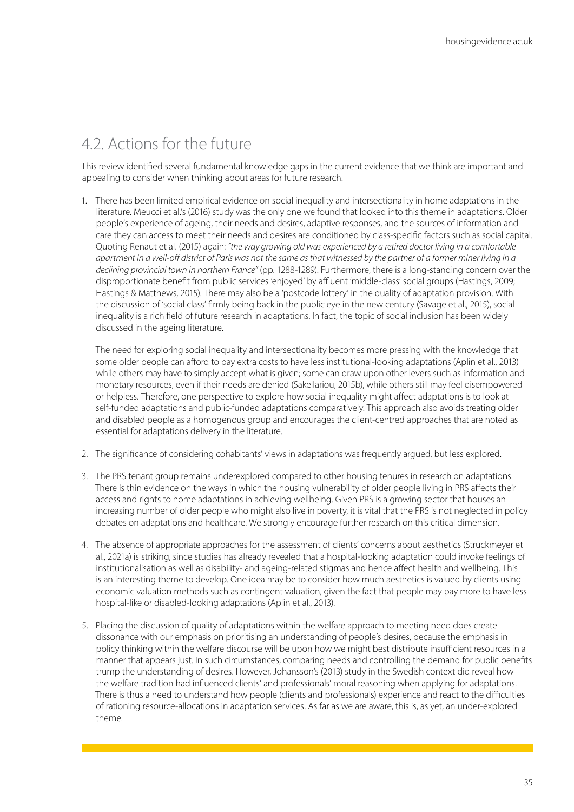### 4.2. Actions for the future

This review identified several fundamental knowledge gaps in the current evidence that we think are important and appealing to consider when thinking about areas for future research.

1. There has been limited empirical evidence on social inequality and intersectionality in home adaptations in the literature. Meucci et al.'s (2016) study was the only one we found that looked into this theme in adaptations. Older people's experience of ageing, their needs and desires, adaptive responses, and the sources of information and care they can access to meet their needs and desires are conditioned by class-specific factors such as social capital. Quoting Renaut et al. (2015) again: *"the way growing old was experienced by a retired doctor living in a comfortable apartment in a well-off district of Paris was not the same as that witnessed by the partner of a former miner living in a declining provincial town in northern France"* (pp. 1288-1289). Furthermore, there is a long-standing concern over the disproportionate benefit from public services 'enjoyed' by affluent 'middle-class' social groups (Hastings, 2009; Hastings & Matthews, 2015). There may also be a 'postcode lottery' in the quality of adaptation provision. With the discussion of 'social class' firmly being back in the public eye in the new century (Savage et al., 2015), social inequality is a rich field of future research in adaptations. In fact, the topic of social inclusion has been widely discussed in the ageing literature.

The need for exploring social inequality and intersectionality becomes more pressing with the knowledge that some older people can afford to pay extra costs to have less institutional-looking adaptations (Aplin et al., 2013) while others may have to simply accept what is given; some can draw upon other levers such as information and monetary resources, even if their needs are denied (Sakellariou, 2015b), while others still may feel disempowered or helpless. Therefore, one perspective to explore how social inequality might affect adaptations is to look at self-funded adaptations and public-funded adaptations comparatively. This approach also avoids treating older and disabled people as a homogenous group and encourages the client-centred approaches that are noted as essential for adaptations delivery in the literature.

- 2. The significance of considering cohabitants' views in adaptations was frequently argued, but less explored.
- 3. The PRS tenant group remains underexplored compared to other housing tenures in research on adaptations. There is thin evidence on the ways in which the housing vulnerability of older people living in PRS affects their access and rights to home adaptations in achieving wellbeing. Given PRS is a growing sector that houses an increasing number of older people who might also live in poverty, it is vital that the PRS is not neglected in policy debates on adaptations and healthcare. We strongly encourage further research on this critical dimension.
- 4. The absence of appropriate approaches for the assessment of clients' concerns about aesthetics (Struckmeyer et al., 2021a) is striking, since studies has already revealed that a hospital-looking adaptation could invoke feelings of institutionalisation as well as disability- and ageing-related stigmas and hence affect health and wellbeing. This is an interesting theme to develop. One idea may be to consider how much aesthetics is valued by clients using economic valuation methods such as contingent valuation, given the fact that people may pay more to have less hospital-like or disabled-looking adaptations (Aplin et al., 2013).
- 5. Placing the discussion of quality of adaptations within the welfare approach to meeting need does create dissonance with our emphasis on prioritising an understanding of people's desires, because the emphasis in policy thinking within the welfare discourse will be upon how we might best distribute insufficient resources in a manner that appears just. In such circumstances, comparing needs and controlling the demand for public benefits trump the understanding of desires. However, Johansson's (2013) study in the Swedish context did reveal how the welfare tradition had influenced clients' and professionals' moral reasoning when applying for adaptations. There is thus a need to understand how people (clients and professionals) experience and react to the difficulties of rationing resource-allocations in adaptation services. As far as we are aware, this is, as yet, an under-explored theme.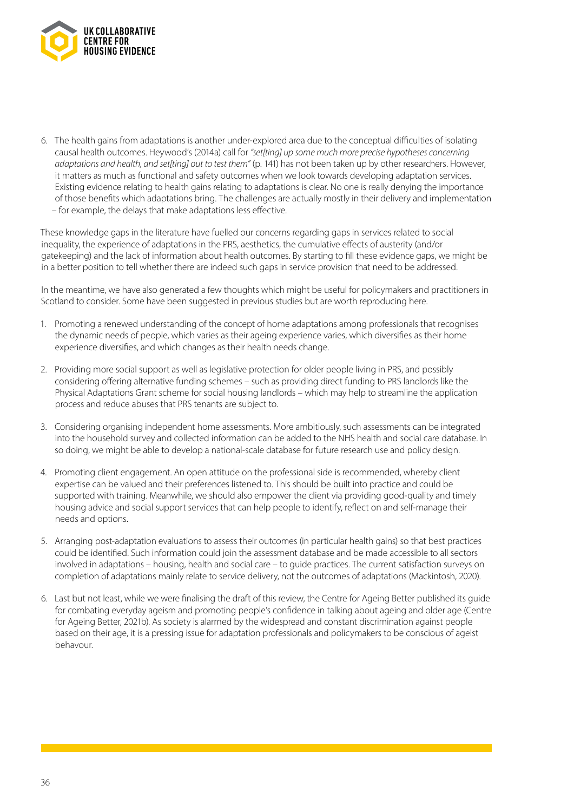

6. The health gains from adaptations is another under-explored area due to the conceptual difficulties of isolating causal health outcomes. Heywood's (2014a) call for *"set[ting] up some much more precise hypotheses concerning adaptations and health, and set[ting] out to test them"* (p. 141) has not been taken up by other researchers. However, it matters as much as functional and safety outcomes when we look towards developing adaptation services. Existing evidence relating to health gains relating to adaptations is clear. No one is really denying the importance of those benefits which adaptations bring. The challenges are actually mostly in their delivery and implementation – for example, the delays that make adaptations less effective.

These knowledge gaps in the literature have fuelled our concerns regarding gaps in services related to social inequality, the experience of adaptations in the PRS, aesthetics, the cumulative effects of austerity (and/or gatekeeping) and the lack of information about health outcomes. By starting to fill these evidence gaps, we might be in a better position to tell whether there are indeed such gaps in service provision that need to be addressed.

In the meantime, we have also generated a few thoughts which might be useful for policymakers and practitioners in Scotland to consider. Some have been suggested in previous studies but are worth reproducing here.

- 1. Promoting a renewed understanding of the concept of home adaptations among professionals that recognises the dynamic needs of people, which varies as their ageing experience varies, which diversifies as their home experience diversifies, and which changes as their health needs change.
- 2. Providing more social support as well as legislative protection for older people living in PRS, and possibly considering offering alternative funding schemes – such as providing direct funding to PRS landlords like the Physical Adaptations Grant scheme for social housing landlords – which may help to streamline the application process and reduce abuses that PRS tenants are subject to.
- 3. Considering organising independent home assessments. More ambitiously, such assessments can be integrated into the household survey and collected information can be added to the NHS health and social care database. In so doing, we might be able to develop a national-scale database for future research use and policy design.
- 4. Promoting client engagement. An open attitude on the professional side is recommended, whereby client expertise can be valued and their preferences listened to. This should be built into practice and could be supported with training. Meanwhile, we should also empower the client via providing good-quality and timely housing advice and social support services that can help people to identify, reflect on and self-manage their needs and options.
- 5. Arranging post-adaptation evaluations to assess their outcomes (in particular health gains) so that best practices could be identified. Such information could join the assessment database and be made accessible to all sectors involved in adaptations – housing, health and social care – to guide practices. The current satisfaction surveys on completion of adaptations mainly relate to service delivery, not the outcomes of adaptations (Mackintosh, 2020).
- 6. Last but not least, while we were finalising the draft of this review, the Centre for Ageing Better published its guide for combating everyday ageism and promoting people's confidence in talking about ageing and older age (Centre for Ageing Better, 2021b). As society is alarmed by the widespread and constant discrimination against people based on their age, it is a pressing issue for adaptation professionals and policymakers to be conscious of ageist behavour.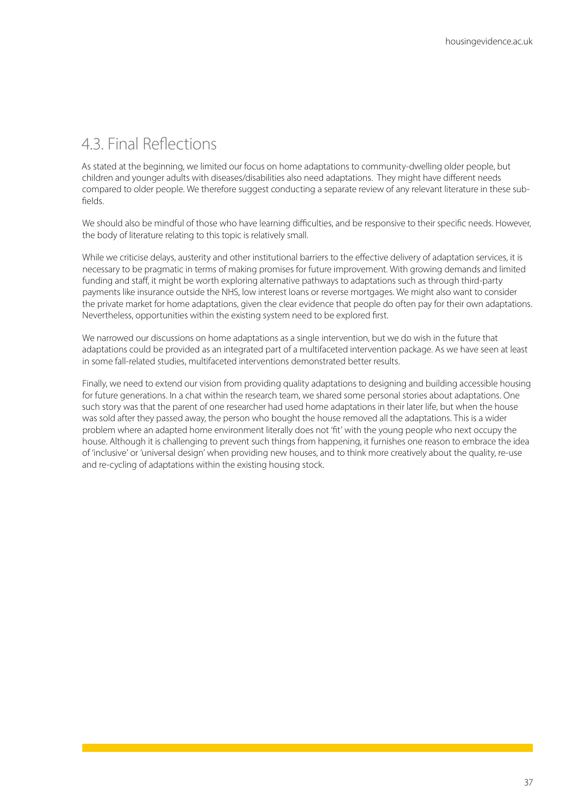### 4.3. Final Reflections

As stated at the beginning, we limited our focus on home adaptations to community-dwelling older people, but children and younger adults with diseases/disabilities also need adaptations. They might have different needs compared to older people. We therefore suggest conducting a separate review of any relevant literature in these subfields.

We should also be mindful of those who have learning difficulties, and be responsive to their specific needs. However, the body of literature relating to this topic is relatively small.

While we criticise delays, austerity and other institutional barriers to the effective delivery of adaptation services, it is necessary to be pragmatic in terms of making promises for future improvement. With growing demands and limited funding and staff, it might be worth exploring alternative pathways to adaptations such as through third-party payments like insurance outside the NHS, low interest loans or reverse mortgages. We might also want to consider the private market for home adaptations, given the clear evidence that people do often pay for their own adaptations. Nevertheless, opportunities within the existing system need to be explored first.

We narrowed our discussions on home adaptations as a single intervention, but we do wish in the future that adaptations could be provided as an integrated part of a multifaceted intervention package. As we have seen at least in some fall-related studies, multifaceted interventions demonstrated better results.

Finally, we need to extend our vision from providing quality adaptations to designing and building accessible housing for future generations. In a chat within the research team, we shared some personal stories about adaptations. One such story was that the parent of one researcher had used home adaptations in their later life, but when the house was sold after they passed away, the person who bought the house removed all the adaptations. This is a wider problem where an adapted home environment literally does not 'fit' with the young people who next occupy the house. Although it is challenging to prevent such things from happening, it furnishes one reason to embrace the idea of 'inclusive' or 'universal design' when providing new houses, and to think more creatively about the quality, re-use and re-cycling of adaptations within the existing housing stock.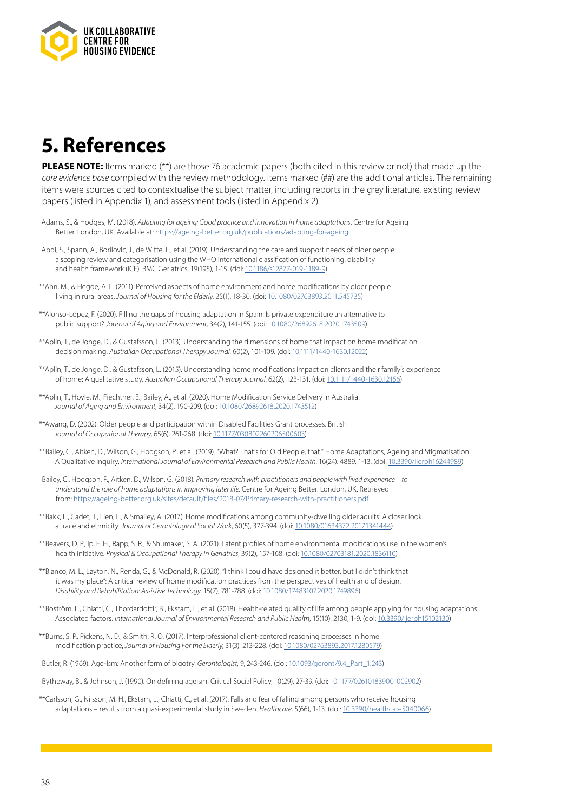

## **5. References**

**PLEASE NOTE:** Items marked (\*\*) are those 76 academic papers (both cited in this review or not) that made up the *core evidence base* compiled with the review methodology. Items marked (##) are the additional articles. The remaining items were sources cited to contextualise the subject matter, including reports in the grey literature, existing review papers (listed in Appendix 1), and assessment tools (listed in Appendix 2).

- Adams, S., & Hodges, M. (2018). *Adapting for ageing: Good practice and innovation in home adaptations*. Centre for Ageing Better. London, UK. Available at: [https://ageing-better.org.uk/publications/adapting-for-ageing.](https://ageing-better.org.uk/publications/adapting-for-ageing)
- Abdi, S., Spann, A., Borilovic, J., de Witte, L., et al. (2019). Understanding the care and support needs of older people: a scoping review and categorisation using the WHO international classification of functioning, disability and health framework (ICF). BMC Geriatrics, 19(195), 1-15. (doi: [10.1186/s12877-019-1189-9\)](https://bmcgeriatr.biomedcentral.com/articles/10.1186/s12877-019-1189-9)
- \*\*Ahn, M., & Hegde, A. L. (2011). Perceived aspects of home environment and home modifications by older people living in rural areas. *Journal of Housing for the Elderly*, 25(1), 18-30. (doi: [10.1080/02763893.2011.545735\)](https://www.tandfonline.com/doi/full/10.1080/02763893.2011.545735)
- \*\*Alonso-López, F. (2020). Filling the gaps of housing adaptation in Spain: Is private expenditure an alternative to public support? *Journal of Aging and Environment*, 34(2), 141-155. (doi: [10.1080/26892618.2020.1743509\)](https://www.tandfonline.com/doi/full/10.1080/26892618.2020.1743509)
- \*\*Aplin, T., de Jonge, D., & Gustafsson, L. (2013). Understanding the dimensions of home that impact on home modification decision making. *Australian Occupational Therapy Journal*, 60(2), 101-109. (doi: [10.1111/1440-1630.12022\)](https://onlinelibrary.wiley.com/doi/10.1111/1440-1630.12022?__cf_chl_tk=h9eXwTiTUO2guZIVPtS3LYXcmy8oDSp0c19Hch2PPMA-1652358764-0-gaNycGzNCKU)
- \*\*Aplin, T., de Jonge, D., & Gustafsson, L. (2015). Understanding home modifications impact on clients and their family's experience of home: A qualitative study. *Australian Occupational Therapy Journal*, 62(2), 123-131. (doi: [10.1111/1440-1630.12156](https://onlinelibrary.wiley.com/doi/10.1111/1440-1630.12156))
- \*\*Aplin, T., Hoyle, M., Fiechtner, E., Bailey, A., et al. (2020). Home Modification Service Delivery in Australia. *Journal of Aging and Environment*, 34(2), 190-209. (doi: [10.1080/26892618.2020.1743512\)](https://www.tandfonline.com/doi/full/10.1080/26892618.2020.1743512)
- \*\*Awang, D. (2002). Older people and participation within Disabled Facilities Grant processes. British *Journal of Occupational Therapy*, 65(6), 261-268. (doi: [10.1177/030802260206500603](https://journals.sagepub.com/doi/10.1177/030802260206500603))
- \*\*Bailey, C., Aitken, D., Wilson, G., Hodgson, P., et al. (2019). "What? That's for Old People, that." Home Adaptations, Ageing and Stigmatisation: A Qualitative Inquiry. *International Journal of Environmental Research and Public Health*, 16(24): 4889, 1-13. (doi: [10.3390/ijerph16244989\)](https://www.mdpi.com/1660-4601/16/24/4989)
- Bailey, C., Hodgson, P., Aitken, D., Wilson, G. (2018). *Primary research with practitioners and people with lived experience to understand the role of home adaptations in improving later life*. Centre for Ageing Better. London, UK. Retrieved from:<https://ageing-better.org.uk/sites/default/files/2018-07/Primary-research-with-practitioners.pdf>
- \*\*Bakk, L., Cadet, T., Lien, L., & Smalley, A. (2017). Home modifications among community-dwelling older adults: A closer look at race and ethnicity. *Journal of Gerontological Social Work*, 60(5), 377-394. (doi: [10.1080/01634372.2017.1341444\)](https://www.tandfonline.com/doi/full/10.1080/01634372.2017.1341444)
- \*\*Beavers, D. P., Ip, E. H., Rapp, S. R., & Shumaker, S. A. (2021). Latent profiles of home environmental modifications use in the women's health initiative. *Physical & Occupational Therapy In Geriatrics*, 39(2), 157-168. (doi: [10.1080/02703181.2020.1836110](https://www.tandfonline.com/doi/full/10.1080/02703181.2020.1836110))
- \*\*Bianco, M. L., Layton, N., Renda, G., & McDonald, R. (2020). "I think I could have designed it better, but I didn't think that it was my place": A critical review of home modification practices from the perspectives of health and of design. *Disability and Rehabilitation: Assistive Technology*, 15(7), 781-788. (doi: [10.1080/17483107.2020.1749896\)](https://www.tandfonline.com/doi/full/10.1080/17483107.2020.1749896)
- \*\*Boström, L., Chiatti, C., Thordardottir, B., Ekstam, L., et al. (2018). Health-related quality of life among people applying for housing adaptations: Associated factors. *International Journal of Environmental Research and Public Health*, 15(10): 2130, 1-9. (doi: [10.3390/ijerph15102130](https://www.mdpi.com/1660-4601/15/10/2130))
- \*\*Burns, S. P., Pickens, N. D., & Smith, R. O. (2017). Interprofessional client-centered reasoning processes in home modification practice, *Journal of Housing For the Elderly*, 31(3), 213-228. (doi: [10.1080/02763893.2017.1280579](https://www.tandfonline.com/doi/full/10.1080/02763893.2017.1280579))
- Butler, R. (1969). Age-Ism: Another form of bigotry. *Gerontologist*, 9, 243-246. (doi: [10.1093/geront/9.4\\_Part\\_1.243](https://academic.oup.com/gerontologist/article/9/4_Part_1/243/569551))
- Bytheway, B., & Johnson, J. (1990). On defining ageism. Critical Social Policy, 10(29), 27-39. (doi: [10.1177/026101839001002902\)](https://journals-sagepub-com.ezproxy.lib.gla.ac.uk/doi/10.1177/026101839001002902)
- \*\*Carlsson, G., Nilsson, M. H., Ekstam, L., Chiatti, C., et al. (2017). Falls and fear of falling among persons who receive housing adaptations – results from a quasi-experimental study in Sweden. *Healthcare*, 5(66), 1-13. (doi: [10.3390/healthcare5040066](https://www.mdpi.com/2227-9032/5/4/66))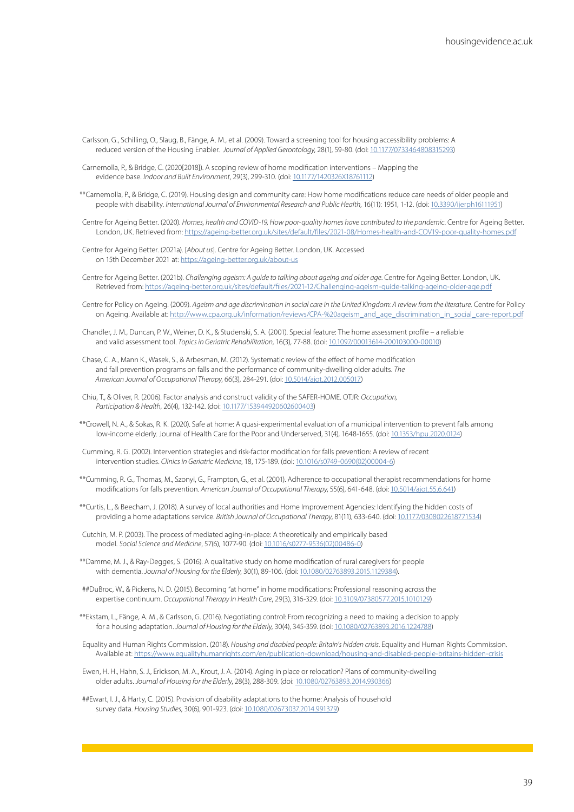- Carlsson, G., Schilling, O., Slaug, B., Fänge, A. M., et al. (2009). Toward a screening tool for housing accessibility problems: A reduced version of the Housing Enabler. *Journal of Applied Gerontology*, 28(1), 59-80. (doi: [10.1177/0733464808315293](https://journals.sagepub.com/doi/10.1177/0733464808315293))
- Carnemolla, P., & Bridge, C. (2020[2018]). A scoping review of home modification interventions Mapping the evidence base. *Indoor and Built Environment*, 29(3), 299-310. (doi: [10.1177/1420326X18761112](https://journals.sagepub.com/doi/10.1177/1420326X18761112))
- \*\*Carnemolla, P., & Bridge, C. (2019). Housing design and community care: How home modifications reduce care needs of older people and people with disability. *International Journal of Environmental Research and Public Health*, 16(11): 1951, 1-12. (doi: [10.3390/ijerph16111951](https://www.mdpi.com/1660-4601/16/11/1951))
- Centre for Ageing Better. (2020). *Homes, health and COVID-19, How poor-quality homes have contributed to the pandemic*. Centre for Ageing Better. London, UK. Retrieved from: <https://ageing-better.org.uk/sites/default/files/2021-08/Homes-health-and-COV19-poor-quality-homes.pdf>
- Centre for Ageing Better. (2021a). [*About us*]. Centre for Ageing Better. London, UK. Accessed on 15th December 2021 at:<https://ageing-better.org.uk/about-us>
- Centre for Ageing Better. (2021b). *Challenging ageism: A guide to talking about ageing and older age*. Centre for Ageing Better. London, UK. Retrieved from: <https://ageing-better.org.uk/sites/default/files/2021-12/Challenging-ageism-guide-talking-ageing-older-age.pdf>
- Centre for Policy on Ageing. (2009). *Ageism and age discrimination in social care in the United Kingdom: A review from the literature.* Centre for Policy on Ageing. Available at: [http://www.cpa.org.uk/information/reviews/CPA-%20ageism\\_and\\_age\\_discrimination\\_in\\_social\\_care-report.pdf](http://www.cpa.org.uk/information/reviews/CPA-%20ageism_and_age_discrimination_in_social_care-report.pdf)
- Chandler, J. M., Duncan, P. W., Weiner, D. K., & Studenski, S. A. (2001). Special feature: The home assessment profile a reliable and valid assessment tool. *Topics in Geriatric Rehabilitation*, 16(3), 77-88. (doi: [10.1097/00013614-200103000-00010\)](https://journals.lww.com/topicsingeriatricrehabilitation/Fulltext/2001/03000/Special_Feature__The_Home_Assessment_Profile_A.10.aspx)
- Chase, C. A., Mann K., Wasek, S., & Arbesman, M. (2012). Systematic review of the effect of home modification and fall prevention programs on falls and the performance of community-dwelling older adults. *The American Journal of Occupational Therapy*, 66(3), 284-291. (doi: [10.5014/ajot.2012.005017](https://research.aota.org/ajot/article-abstract/66/3/284/5642/Systematic-Review-of-the-Effect-of-Home?redirectedFrom=fulltext))
- Chiu, T., & Oliver, R. (2006). Factor analysis and construct validity of the SAFER-HOME. OTJR: *Occupation, Participation & Health*, 26(4), 132-142. (doi: [10.1177/153944920602600403](https://journals.sagepub.com/doi/10.1177/153944920602600403))
- \*\*Crowell, N. A., & Sokas, R. K. (2020). Safe at home: A quasi-experimental evaluation of a municipal intervention to prevent falls among low-income elderly. Journal of Health Care for the Poor and Underserved, 31(4), 1648-1655. (doi: [10.1353/hpu.2020.0124](https://muse.jhu.edu/article/772764))
- Cumming, R. G. (2002). Intervention strategies and risk-factor modification for falls prevention: A review of recent intervention studies. *Clinics in Geriatric Medicine*, 18, 175-189. (doi: [10.1016/s0749-0690\(02\)00004-6\)](https://www.sciencedirect.com/science/article/abs/pii/S0749069002000046?via%3Dihub)
- \*\*Cumming, R. G., Thomas, M., Szonyi, G., Frampton, G., et al. (2001). Adherence to occupational therapist recommendations for home modifications for falls prevention. *American Journal of Occupational Therapy*, 55(6), 641-648. (doi: [10.5014/ajot.55.6.641\)](https://doi.org/10.5014/ajot.55.6.641)
- \*\*Curtis, L., & Beecham, J. (2018). A survey of local authorities and Home Improvement Agencies: Identifying the hidden costs of providing a home adaptations service. *British Journal of Occupational Therapy*, 81(11), 633-640. (doi: [10.1177/0308022618771534\)](https://doi.org/10.1177%2F0308022618771534)
- Cutchin, M. P. (2003). The process of mediated aging-in-place: A theoretically and empirically based model. *Social Science and Medicine*, 57(6), 1077-90. (doi: [10.1016/s0277-9536\(02\)00486-0](https://doi.org/10.1016/S0277-9536(02)00486-0))
- \*\*Damme, M. J., & Ray-Degges, S. (2016). A qualitative study on home modification of rural caregivers for people with dementia. *Journal of Housing for the Elderly*, 30(1), 89-106. (doi: [10.1080/02763893.2015.1129384\)](https://doi.org/10.1080/02763893.2015.1129384).
- ##DuBroc, W., & Pickens, N. D. (2015). Becoming "at home" in home modifications: Professional reasoning across the expertise continuum. *Occupational Therapy In Health Care*, 29(3), 316-329. (doi: [10.3109/07380577.2015.1010129](https://www.tandfonline.com/doi/full/10.3109/07380577.2015.1010129))
- \*\*Ekstam, L., Fänge, A. M., & Carlsson, G. (2016). Negotiating control: From recognizing a need to making a decision to apply for a housing adaptation. *Journal of Housing for the Elderly*, 30(4), 345-359. (doi: [10.1080/02763893.2016.1224788\)](https://www.tandfonline.com/doi/full/10.1080/02763893.2016.1224788)
- Equality and Human Rights Commission. (2018). *Housing and disabled people: Britain's hidden crisis*. Equality and Human Rights Commission. Available at:<https://www.equalityhumanrights.com/en/publication-download/housing-and-disabled-people-britains-hidden-crisis>
- Ewen, H. H., Hahn, S. J., Erickson, M. A., Krout, J. A. (2014). Aging in place or relocation? Plans of community-dwelling older adults. *Journal of Housing for the Elderly*, 28(3), 288-309. (doi: [10.1080/02763893.2014.930366\)](https://doi.org/10.1080/02763893.2014.930366)
- ##Ewart, I. J., & Harty, C. (2015). Provision of disability adaptations to the home: Analysis of household survey data. *Housing Studies*, 30(6), 901-923. (doi: [10.1080/02673037.2014.991379\)](https://doi.org/10.1080/02673037.2014.991379)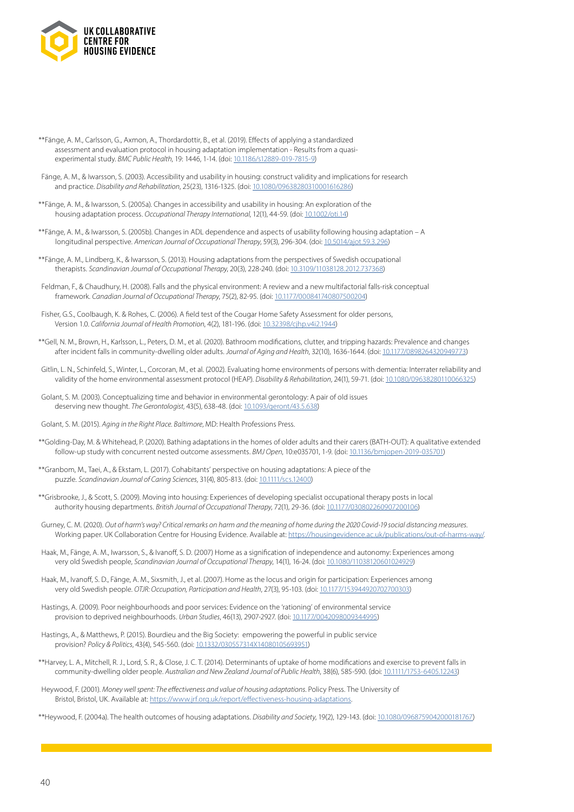

- \*\*Fänge, A. M., Carlsson, G., Axmon, A., Thordardottir, B., et al. (2019). Effects of applying a standardized assessment and evaluation protocol in housing adaptation implementation - Results from a quasiexperimental study. *BMC Public Health*, 19: 1446, 1-14. (doi: [10.1186/s12889-019-7815-9](https://bmcpublichealth.biomedcentral.com/articles/10.1186/s12889-019-7815-9))
- Fänge, A. M., & Iwarsson, S. (2003). Accessibility and usability in housing: construct validity and implications for research and practice. *Disability and Rehabilitation*, 25(23), 1316-1325. (doi: [10.1080/09638280310001616286](https://www.tandfonline.com/doi/abs/10.1080/09638280310001616286))
- \*\*Fänge, A. M., & Iwarsson, S. (2005a). Changes in accessibility and usability in housing: An exploration of the housing adaptation process. *Occupational Therapy International*, 12(1), 44-59. (doi: [10.1002/oti.14](https://onlinelibrary.wiley.com/doi/10.1002/oti.14#:~:text=https%3A//doi.org/10.1002/oti.14))
- \*\*Fänge, A. M., & Iwarsson, S. (2005b). Changes in ADL dependence and aspects of usability following housing adaptation A longitudinal perspective. *American Journal of Occupational Therapy*, 59(3), 296-304. (doi: [10.5014/ajot.59.3.296](https://doi.org/10.5014/ajot.59.3.296))
- \*\*Fänge, A. M., Lindberg, K., & Iwarsson, S. (2013). Housing adaptations from the perspectives of Swedish occupational therapists. *Scandinavian Journal of Occupational Therapy*, 20(3), 228-240. (doi: [10.3109/11038128.2012.737368](https://doi.org/10.3109/11038128.2012.737368))
- Feldman, F., & Chaudhury, H. (2008). Falls and the physical environment: A review and a new multifactorial falls-risk conceptual framework. *Canadian Journal of Occupational Therapy*, 75(2), 82-95. (doi: [10.1177/000841740807500204](https://journals.sagepub.com/doi/10.1177/000841740807500204))
- Fisher, G.S., Coolbaugh, K. & Rohes, C. (2006). A field test of the Cougar Home Safety Assessment for older persons, Version 1.0. *California Journal of Health Promotion*, 4(2), 181-196. (doi: [10.32398/cjhp.v4i2.1944](https://doi.org/10.32398/cjhp.v4i2.1944))
- \*\*Gell, N. M., Brown, H., Karlsson, L., Peters, D. M., et al. (2020). Bathroom modifications, clutter, and tripping hazards: Prevalence and changes after incident falls in community-dwelling older adults. *Journal of Aging and Health*, 32(10), 1636-1644. (doi: [10.1177/0898264320949773](https://journals.sagepub.com/doi/10.1177/0898264320949773))
- Gitlin, L. N., Schinfeld, S., Winter, L., Corcoran, M., et al. (2002). Evaluating home environments of persons with dementia: Interrater reliability and validity of the home environmental assessment protocol (HEAP). *Disability & Rehabilitation*, 24(1), 59-71. (doi: [10.1080/09638280110066325\)](https://www.tandfonline.com/doi/abs/10.1080/09638280110066325)
- Golant, S. M. (2003). Conceptualizing time and behavior in environmental gerontology: A pair of old issues deserving new thought. *The Gerontologist*, 43(5), 638-48. (doi: [10.1093/geront/43.5.638](https://academic.oup.com/gerontologist/article/43/5/638/633798))
- Golant, S. M. (2015). *Aging in the Right Place. Baltimore*, MD: Health Professions Press.
- \*\*Golding-Day, M. & Whitehead, P. (2020). Bathing adaptations in the homes of older adults and their carers (BATH-OUT): A qualitative extended follow-up study with concurrent nested outcome assessments. *BMJ Open*, 10:e035701, 1-9. (doi: [10.1136/bmjopen-2019-035701\)](https://bmjopen.bmj.com/content/10/11/e035701)
- \*\*Granbom, M., Taei, A., & Ekstam, L. (2017). Cohabitants' perspective on housing adaptations: A piece of the puzzle. *Scandinavian Journal of Caring Sciences*, 31(4), 805-813. (doi: [10.1111/scs.12400\)](https://onlinelibrary.wiley.com/doi/10.1111/scs.12400)
- \*\*Grisbrooke, J., & Scott, S. (2009). Moving into housing: Experiences of developing specialist occupational therapy posts in local authority housing departments. *British Journal of Occupational Therapy*, 72(1), 29-36. (doi: [10.1177/030802260907200106](https://journals.sagepub.com/doi/10.1177/030802260907200106))
- Gurney, C. M. (2020). *Out of harm's way? Critical remarks on harm and the meaning of home during the 2020 Covid-19 social distancing measures*. Working paper. UK Collaboration Centre for Housing Evidence. Available at: [https://housingevidence.ac.uk/publications/out-of-harms-way/.](https://housingevidence.ac.uk/publications/out-of-harms-way/)
- Haak, M., Fänge, A. M., Iwarsson, S., & Ivanoff, S. D. (2007) Home as a signification of independence and autonomy: Experiences among very old Swedish people, *Scandinavian Journal of Occupational Therapy*, 14(1), 16-24. (doi: [10.1080/11038120601024929](https://www.tandfonline.com/doi/full/10.1080/11038120601024929))
- Haak, M., Ivanoff, S. D., Fänge, A. M., Sixsmith, J., et al. (2007). Home as the locus and origin for participation: Experiences among very old Swedish people. *OTJR: Occupation, Participation and Health*, 27(3), 95-103. (doi: [10.1177/153944920702700303\)](https://journals.sagepub.com/doi/10.1177/153944920702700303)
- Hastings, A. (2009). Poor neighbourhoods and poor services: Evidence on the 'rationing' of environmental service provision to deprived neighbourhoods. *Urban Studies*, 46(13), 2907-2927. (doi: [10.1177/0042098009344995](https://journals.sagepub.com/doi/10.1177/0042098009344995))
- Hastings, A., & Matthews, P. (2015). Bourdieu and the Big Society: empowering the powerful in public service provision? *Policy & Politics*, 43(4), 545-560. (doi: [10.1332/030557314X14080105693951](https://www.ingentaconnect.com/content/tpp/pap/2015/00000043/00000004/art00005))
- \*\*Harvey, L. A., Mitchell, R. J., Lord, S. R., & Close, J. C. T. (2014). Determinants of uptake of home modifications and exercise to prevent falls in community-dwelling older people. *Australian and New Zealand Journal of Public Health*, 38(6), 585-590. (doi: [10.1111/1753-6405.12243\)](https://onlinelibrary.wiley.com/doi/10.1111/1753-6405.12243)
- Heywood, F. (2001). *Money well spent: The effectiveness and value of housing adaptations*. Policy Press. The University of Bristol, Bristol, UK. Available at: <https://www.jrf.org.uk/report/effectiveness-housing-adaptations>.
- \*\*Heywood, F. (2004a). The health outcomes of housing adaptations. *Disability and Society*, 19(2), 129-143. (doi: [10.1080/0968759042000181767](https://www.tandfonline.com/doi/full/10.1080/0968759042000181767))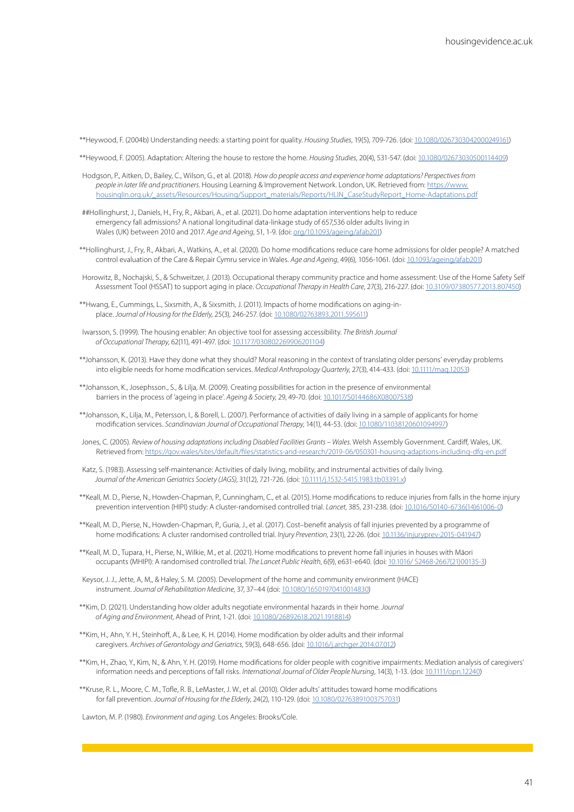\*\*Heywood, F. (2004b) Understanding needs: a starting point for quality. *Housing Studies*, 19(5), 709-726. (doi: [10.1080/0267303042000249161](https://www.tandfonline.com/doi/full/10.1080/0267303042000249161))

\*\*Heywood, F. (2005). Adaptation: Altering the house to restore the home. *Housing Studies*, 20(4), 531-547. (doi: [10.1080/02673030500114409](https://www.tandfonline.com/doi/full/10.1080/02673030500114409))

- Hodgson, P., Aitken, D., Bailey, C., Wilson, G., et al. (2018). *How do people access and experience home adaptations? Perspectives from people in later life and practitioners*. Housing Learning & Improvement Network. London, UK. Retrieved from: [https://www.](https://www.housinglin.org.uk/_assets/Resources/Housing/Support_materials/Reports/HLIN_CaseStudyReport_Home-Adaptations.pdf) [housinglin.org.uk/\\_assets/Resources/Housing/Support\\_materials/Reports/HLIN\\_CaseStudyReport\\_Home-Adaptations.pdf](https://www.housinglin.org.uk/_assets/Resources/Housing/Support_materials/Reports/HLIN_CaseStudyReport_Home-Adaptations.pdf)
- ##Hollinghurst, J., Daniels, H., Fry, R., Akbari, A., et al. (2021). Do home adaptation interventions help to reduce emergency fall admissions? A national longitudinal data-linkage study of 657,536 older adults living in Wales (UK) between 2010 and 2017. *Age and Ageing*, 51, 1-9. (doi: [org/10.1093/ageing/afab201](https://academic.oup.com/ageing/article/51/1/afab201/6399893))
- \*\*Hollinghurst, J., Fry, R., Akbari, A., Watkins, A., et al. (2020). Do home modifications reduce care home admissions for older people? A matched control evaluation of the Care & Repair Cymru service in Wales. *Age and Ageing*, 49(6), 1056-1061. (doi: [10.1093/ageing/afab201](https://academic.oup.com/ageing/article/51/1/afab201/6399893))
- Horowitz, B., Nochajski, S., & Schweitzer, J. (2013). Occupational therapy community practice and home assessment: Use of the Home Safety Self Assessment Tool (HSSAT) to support aging in place. *Occupational Therapy in Health Care*, 27(3), 216-227. (doi: [10.3109/07380577.2013.807450\)](https://pubmed.ncbi.nlm.nih.gov/23855608/)
- \*\*Hwang, E., Cummings, L., Sixsmith, A., & Sixsmith, J. (2011). Impacts of home modifications on aging-inplace. *Journal of Housing for the Elderly*, 25(3), 246-257. (doi: [10.1080/02763893.2011.595611\)](https://www.tandfonline.com/doi/full/10.1080/02763893.2011.595611)
- Iwarsson, S. (1999). The housing enabler: An objective tool for assessing accessibility. *The British Journal of Occupational Therapy*, 62(11), 491-497. (doi: [10.1177/030802269906201104\)](https://journals-sagepub-com.ezproxy.lib.gla.ac.uk/doi/10.1177/030802269906201104)
- \*\*Johansson, K. (2013). Have they done what they should? Moral reasoning in the context of translating older persons' everyday problems into eligible needs for home modification services. *Medical Anthropology Quarterly*, 27(3), 414-433. (doi: [10.1111/maq.12053](https://anthrosource.onlinelibrary.wiley.com/doi/10.1111/maq.12053))
- \*\*Johansson, K., Josephsson., S., & Lilja, M. (2009). Creating possibilities for action in the presence of environmental barriers in the process of 'ageing in place'. *Ageing & Society*, 29, 49-70. (doi: [10.1017/S0144686X08007538\)](https://www.cambridge.org/core/journals/ageing-and-society/article/creating-possibilities-for-action-in-the-presence-of-environmental-barriers-in-the-process-of-ageing-in-place/D596B13AC42D71D445DB97A3D0C85B58)
- \*\*Johansson, K., Lilja, M., Petersson, I., & Borell, L. (2007). Performance of activities of daily living in a sample of applicants for home modification services. *Scandinavian Journal of Occupational Therapy*, 14(1), 44-53. (doi: [10.1080/11038120601094997](https://www.tandfonline.com/doi/full/10.1080/11038120601094997))
- Jones, C. (2005). *Review of housing adaptations including Disabled Facilities Grants Wales*. Welsh Assembly Government. Cardiff, Wales, UK. Retrieved from: [https://gov.wales/sites/default/files/statistics-and-research/2019-06/050301-housing-adaptions-including-dfg-en.pdf](https://gov.wales/sites/default/files/statistics-and-research/2019-06/050301-housing-adaptions-inclu)
- Katz, S. (1983). Assessing self-maintenance: Activities of daily living, mobility, and instrumental activities of daily living. *Journal of the American Geriatrics Society (JAGS)*, 31(12), 721-726. (doi: [10.1111/j.1532-5415.1983.tb03391.x](https://doi.org/10.1111/j.1532-5415.1983.tb03391.x))
- \*\*Keall, M. D., Pierse, N., Howden-Chapman, P., Cunningham, C., et al. (2015). Home modifications to reduce injuries from falls in the home injury prevention intervention (HIPI) study: A cluster-randomised controlled trial. *Lancet*, 385, 231-238. (doi: [10.1016/S0140-6736\(14\)61006-0\)](https://www.sciencedirect.com/science/article/pii/S0140673614610060?via%3Dihub)
- \*\*Keall, M. D., Pierse, N., Howden-Chapman, P., Guria, J., et al. (2017). Cost–benefit analysis of fall injuries prevented by a programme of home modifications: A cluster randomised controlled trial. *Injury Prevention*, 23(1), 22-26. (doi: [10.1136/injuryprev-2015-041947\)](https://www.sciencedirect.com/science/article/pii/S0140673614610060?via%3Dihub)
- \*\*Keall, M. D., Tupara, H., Pierse, N., Wilkie, M., et al. (2021). Home modifications to prevent home fall injuries in houses with Māori occupants (MHIPI): A randomised controlled trial. *The Lancet Public Health*, 6(9), e631-e640. (doi: [10.1016/ S2468-2667\(21\)00135-3\)](https://www.sciencedirect.com/science/article/pii/S2468266721001353?via%3Dihub)
- Keysor, J. J., Jette, A, M,, & Haley, S. M. (2005). Development of the home and community environment (HACE) instrument. *Journal of Rehabilitation Medicine*, 37, 37–44 (doi: [10.1080/16501970410014830\)](https://medicaljournals.se/jrm/content/abstract/10.1080/16501970410014830)
- \*\*Kim, D. (2021). Understanding how older adults negotiate environmental hazards in their home. *Journal of Aging and Environment*, Ahead of Print, 1-21. (doi: [10.1080/26892618.2021.1918814\)](https://www.tandfonline.com/doi/full/10.1080/26892618.2021.1918814)
- \*\*Kim, H., Ahn, Y. H., Steinhoff, A., & Lee, K. H. (2014). Home modification by older adults and their informal caregivers. *Archives of Gerontology and Geriatrics*, 59(3), 648-656. (doi: [10.1016/j.archger.2014.07.012\)](https://www.sciencedirect.com/science/article/pii/S0167494314001150?via%3Dihub)
- \*\*Kim, H., Zhao, Y., Kim, N., & Ahn, Y. H. (2019). Home modifications for older people with cognitive impairments: Mediation analysis of caregivers' information needs and perceptions of fall risks. *International Journal of Older People Nursing*, 14(3), 1-13. (doi: [10.1111/opn.12240\)](https://doi.org/10.1111/opn.12240)
- \*\*Kruse, R. L., Moore, C. M., Tofle, R. B., LeMaster, J. W., et al. (2010). Older adults' attitudes toward home modifications for fall prevention. *Journal of Housing for the Elderly*, 24(2), 110-129. (doi: [10.1080/02763891003757031](https://www.tandfonline.com/doi/full/10.1080/02763891003757031))

Lawton, M. P. (1980). *Environment and aging*. Los Angeles: Brooks/Cole.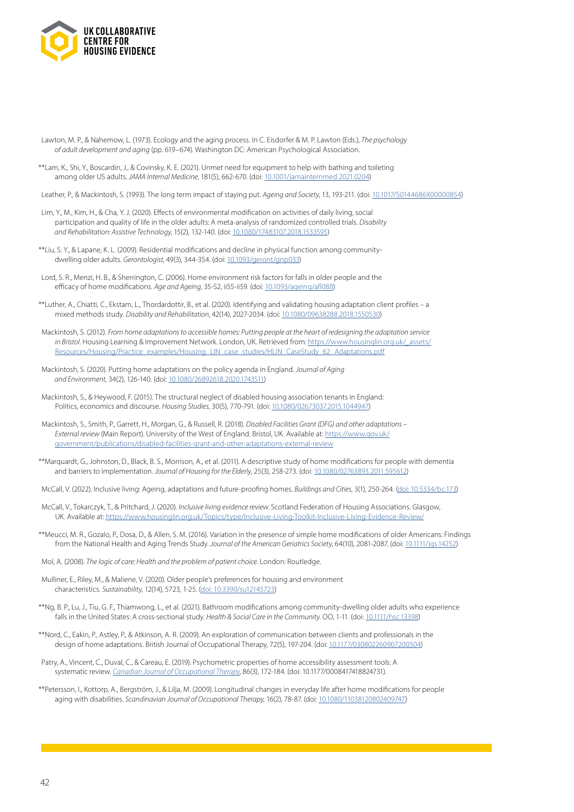

- Lawton, M. P., & Nahemow, L. (1973). Ecology and the aging process. In C. Eisdorfer & M. P. Lawton (Eds.), *The psychology of adult development and aging* (pp. 619–674). Washington DC: American Psychological Association.
- \*\*Lam, K., Shi, Y., Boscardin, J., & Covinsky, K. E. (2021). Unmet need for equipment to help with bathing and toileting among older US adults. *JAMA Internal Medicine*, 181(5), 662-670. (doi: [10.1001/jamainternmed.2021.0204](https://jamanetwork.com/journals/jamainternalmedicine/fullarticle/2777849))

Leather, P., & Mackintosh, S. (1993). The long term impact of staying put. *Ageing and Society*, 13, 193-211. (doi: [10.1017/S0144686X00000854](https://www.cambridge.org/core/journals/ageing-and-society/article/long-term-impact-of-staying-put/5BDBD5C4553D869AC52989415100180D))

- Lim, Y., M., Kim, H., & Cha, Y. J. (2020). Effects of environmental modification on activities of daily living, social participation and quality of life in the older adults: A meta-analysis of randomized controlled trials. *Disability and Rehabilitation: Assistive Technology*, 15(2), 132-140. (doi: [10.1080/17483107.2018.1533595\)](https://www.tandfonline.com/doi/full/10.1080/17483107.2018.1533595)
- \*\*Liu, S. Y., & Lapane, K. L. (2009). Residential modifications and decline in physical function among communitydwelling older adults. *Gerontologist*, 49(3), 344-354. (doi: [10.1093/geront/gnp033\)](https://academic.oup.com/gerontologist/article/49/3/344/749013)
- Lord, S. R., Menzi, H. B., & Sherrington, C. (2006). Home environment risk factors for falls in older people and the efficacy of home modifications. *Age and Ageing*, 35-S2, ii55-ii59. (doi: [10.1093/ageing/afl088\)](https://academic.oup.com/ageing/article/35/suppl_2/ii55/15823)
- \*\*Luther, A., Chiatti, C., Ekstam, L., Thordardottir, B., et al. (2020). Identifying and validating housing adaptation client profiles a mixed methods study. *Disability and Rehabilitation*, 42(14), 2027-2034. (doi: [10.1080/09638288.2018.1550530](https://www.tandfonline.com/doi/full/10.1080/09638288.2018.1550530))
- Mackintosh, S. (2012). *From home adaptations to accessible homes: Putting people at the heart of redesigning the adaptation service in Bristol*. Housing Learning & Improvement Network. London, UK. Retrieved from: [https://www.housinglin.org.uk/\\_assets/](https://www.housinglin.org.uk/_assets/Resources/Housing/Practice_examples/Housing_LIN_case_studies/HLIN_CaseStudy_62_Adaptations.pdf) [Resources/Housing/Practice\\_examples/Housing\\_LIN\\_case\\_studies/HLIN\\_CaseStudy\\_62\\_Adaptations.pdf](https://www.housinglin.org.uk/_assets/Resources/Housing/Practice_examples/Housing_LIN_case_studies/HLIN_CaseStudy_62_Adaptations.pdf)
- Mackintosh, S. (2020). Putting home adaptations on the policy agenda in England. *Journal of Aging and Environment*, 34(2), 126-140. (doi: [10.1080/26892618.2020.1743511\)](https://www.tandfonline.com/doi/full/10.1080/26892618.2020.1743511)
- Mackintosh, S., & Heywood, F. (2015). The structural neglect of disabled housing association tenants in England: Politics, economics and discourse. *Housing Studies*, 30(5), 770-791. (doi: [10.1080/02673037.2015.1044947\)](https://www.tandfonline.com/doi/full/10.1080/02673037.2015.1044947)
- Mackintosh, S., Smith, P., Garrett, H., Morgan, G., & Russell, R. (2018). *Disabled Facilities Grant (DFG) and other adaptations External review* (Main Report). University of the West of England. Bristol, UK. Available at: [https://www.gov.uk/](https://www.gov.uk/government/publications/disabled-facilities-grant-and-other-adaptations-external-review) [government/publications/disabled-facilities-grant-and-other-adaptations-external-review](https://www.gov.uk/government/publications/disabled-facilities-grant-and-other-adaptations-external-review)
- \*\*Marquardt, G., Johnston, D., Black, B. S., Morrison, A., et al. (2011). A descriptive study of home modifications for people with dementia and barriers to implementation. *Journal of Housing for the Elderly*, 25(3), 258-273. (doi: [10.1080/02763893.2011.595612\)](https://www.tandfonline.com/doi/full/10.1080/02763893.2011.595612)
- McCall, V. (2022). Inclusive living: Ageing, adaptations and future-proofing homes. *Buildings and Cities*, 3(1), 250-264. ([doi: 10.5334/bc.173](https://journal-buildingscities.org/articles/10.5334/bc.173/))
- McCall, V., Tokarczyk, T., & Pritchard, J. (2020). *Inclusive living evidence review.* Scotland Federation of Housing Associations. Glasgow, UK. Available at: <https://www.housinglin.org.uk/Topics/type/Inclusive-Living-Toolkit-Inclusive-Living-Evidence-Review/>
- \*\*Meucci, M. R., Gozalo, P., Dosa, D., & Allen, S. M. (2016). Variation in the presence of simple home modifications of older Americans: Findings from the National Health and Aging Trends Study. *Journal of the American Geriatrics Society*, 64(10), 2081-2087. (doi: [10.1111/jgs.14252](https://agsjournals.onlinelibrary.wiley.com/doi/10.1111/jgs.14252))
- Mol, A. (2008). *The logic of care: Health and the problem of patient choice*. London: Routledge.
- Mulliner, E., Riley, M., & Maliene, V. (2020). Older people's preferences for housing and environment characteristics. *Sustainability*, 12(14), 5723, 1-25. [\(doi: 10.3390/su12145723\)](https://www.mdpi.com/2071-1050/12/14/5723)
- \*\*Ng, B. P., Lu, J., Tiu, G. F., Thiamwong, L., et al. (2021). Bathroom modifications among community-dwelling older adults who experience falls in the United States: A cross-sectional study. *Health & Social Care in the Community*. OO, 1-11. (doi: [10.1111/hsc.13398](https://onlinelibrary.wiley.com/doi/10.1111/hsc.13398))
- \*\*Nord, C., Eakin, P., Astley, P., & Atkinson, A. R. (2009). An exploration of communication between clients and professionals in the design of home adaptations. British Journal of Occupational Therapy, 72(5), 197-204. (doi: [10.1177/030802260907200504\)](https://journals.sagepub.com/doi/10.1177/030802260907200504)
- Patry, A., Vincent, C., Duval, C., & Careau, E. (2019). Psychometric properties of home accessibility assessment tools: A systematic review. *[Canadian Journal of Occupational Therapy](https://journals.sagepub.com/doi/10.1177/0008417418824731)*, 86(3), 172-184. (doi: 10.1177/0008417418824731).
- \*\*Petersson, I., Kottorp, A., Bergström, J., & Lilja, M. (2009). Longitudinal changes in everyday life after home modifications for people aging with disabilities. *Scandinavian Journal of Occupational Therapy*, 16(2), 78-87. (doi: [10.1080/11038120802409747](https://www.tandfonline.com/doi/full/10.1080/11038120802409747))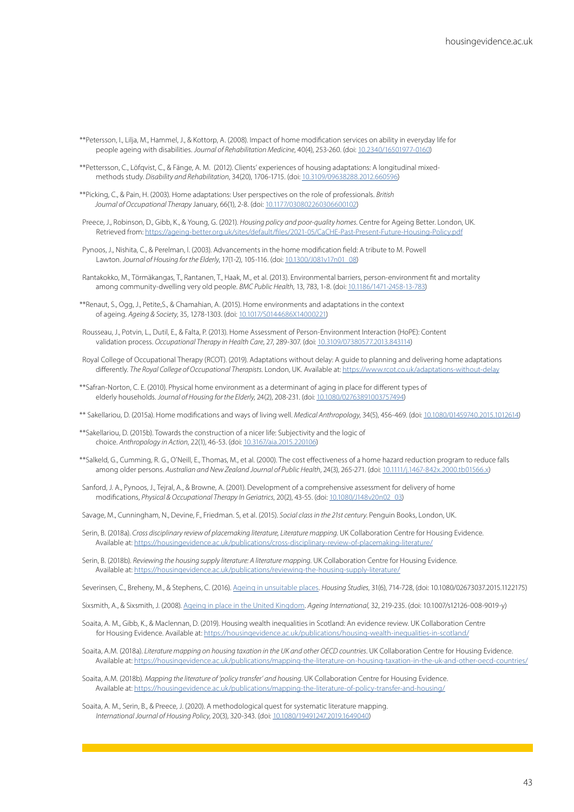- \*\*Petersson, I., Lilja, M., Hammel, J., & Kottorp, A. (2008). Impact of home modification services on ability in everyday life for people ageing with disabilities. *Journal of Rehabilitation Medicine*, 40(4), 253-260. (doi: [10.2340/16501977-0160](https://medicaljournals.se/jrm/content/abstract/10.2340/16501977-0160))
- \*\*Pettersson, C., Löfqvist, C., & Fänge, A. M. (2012). Clients' experiences of housing adaptations: A longitudinal mixedmethods study. *Disability and Rehabilitation*, 34(20), 1706-1715. (doi: [10.3109/09638288.2012.660596](https://medicaljournals.se/jrm/content/abstract/10.2340/16501977-0160))
- \*\*Picking, C., & Pain, H. (2003). Home adaptations: User perspectives on the role of professionals. *British Journal of Occupational Therapy* January, 66(1), 2-8. (doi: [10.1177/030802260306600102\)](https://journals.sagepub.com/doi/10.1177/030802260306600102)
- Preece, J., Robinson, D., Gibb, K., & Young, G. (2021). *Housing policy and poor-quality homes*. Centre for Ageing Better. London, UK. Retrieved from: <https://ageing-better.org.uk/sites/default/files/2021-05/CaCHE-Past-Present-Future-Housing-Policy.pdf>
- Pynoos, J., Nishita, C., & Perelman, l. (2003). Advancements in the home modification field: A tribute to M. Powell Lawton. *Journal of Housing for the Elderly*, 17(1-2), 105-116. (doi: [10.1300/J081v17n01\\_08\)](https://www.tandfonline.com/doi/abs/10.1300/J081v17n01_08)
- Rantakokko, M., Törmäkangas, T., Rantanen, T., Haak, M., et al. (2013). Environmental barriers, person-environment fit and mortality among community-dwelling very old people. *BMC Public Health*, 13, 783, 1-8. (doi: [10.1186/1471-2458-13-783\)](https://www.tandfonline.com/doi/abs/10.1300/J081v17n01_08)
- \*\*Renaut, S., Ogg, J., Petite,S., & Chamahian, A. (2015). Home environments and adaptations in the context of ageing. *Ageing & Society*, 35, 1278-1303. (doi: [10.1017/S0144686X14000221](https://www.cambridge.org/core/journals/ageing-and-society/article/home-environments-and-adaptations-in-the-context-of-ageing/211D4F238B1BEF2AED4A1673D81FE93F))
- Rousseau, J., Potvin, L., Dutil, E., & Falta, P. (2013). Home Assessment of Person-Environment Interaction (HoPE): Content validation process. *Occupational Therapy in Health Care*, 27, 289-307. (doi: [10.3109/07380577.2013.843114\)](https://www.tandfonline.com/doi/full/10.3109/07380577.2013.843114)
- Royal College of Occupational Therapy (RCOT). (2019). Adaptations without delay: A guide to planning and delivering home adaptations differently. *The Royal College of Occupational Therapists*. London, UK. Available at: <https://www.rcot.co.uk/adaptations-without-delay>
- \*\*Safran-Norton, C. E. (2010). Physical home environment as a determinant of aging in place for different types of elderly households. *Journal of Housing for the Elderly*, 24(2), 208-231. (doi: [10.1080/02763891003757494\)](https://www.tandfonline.com/doi/full/10.1080/02763891003757494)
- \*\* Sakellariou, D. (2015a). Home modifications and ways of living well. *Medical Anthropology*, 34(5), 456-469. (doi: [10.1080/01459740.2015.1012614\)](https://www.tandfonline.com/doi/full/10.1080/01459740.2015.1012614)
- \*\*Sakellariou, D. (2015b). Towards the construction of a nicer life: Subjectivity and the logic of choice. *Anthropology in Action*, 22(1), 46-53. (doi: [10.3167/aia.2015.220106](https://www.berghahnjournals.com/view/journals/aia/22/1/aia220106.xml))
- \*\*Salkeld, G., Cumming, R. G., O'Neill, E., Thomas, M., et al. (2000). The cost effectiveness of a home hazard reduction program to reduce falls among older persons. *Australian and New Zealand Journal of Public Health*, 24(3), 265-271. (doi: [10.1111/j.1467-842x.2000.tb01566.x\)](https://onlinelibrary.wiley.com/doi/10.1111/j.1467-842X.2000.tb01566.x)
- Sanford, J. A., Pynoos, J., Tejral, A., & Browne, A. (2001). Development of a comprehensive assessment for delivery of home modifications, *Physical & Occupational Therapy In Geriatrics*, 20(2), 43-55. (doi: [10.1080/J148v20n02\\_03\)](https://www.tandfonline.com/doi/abs/10.1080/J148v20n02_03)

Savage, M., Cunningham, N., Devine, F., Friedman. S, et al. (2015). *Social class in the 21st century*. Penguin Books, London, UK.

- Serin, B. (2018a). *Cross disciplinary review of placemaking literature, Literature mapping*. UK Collaboration Centre for Housing Evidence. Available at:<https://housingevidence.ac.uk/publications/cross-disciplinary-review-of-placemaking-literature/>
- Serin, B. (2018b). *Reviewing the housing supply literature: A literature mapping*. UK Collaboration Centre for Housing Evidence. Available at:<https://housingevidence.ac.uk/publications/reviewing-the-housing-supply-literature/>

Severinsen, C., Breheny, M., & Stephens, C. (2016). [Ageing in unsuitable places.](https://www.tandfonline.com/doi/full/10.1080/02673037.2015.1122175) *Housing Studies*, 31(6), 714-728, (doi: 10.1080/02673037.2015.1122175)

Sixsmith, A., & Sixsmith, J. (2008). [Ageing in place in the United Kingdom.](https://link.springer.com/article/10.1007/s12126-008-9019-y) *Ageing International*, 32, 219-235. (doi: 10.1007/s12126-008-9019-y)

- Soaita, A. M., Gibb, K., & Maclennan, D. (2019). Housing wealth inequalities in Scotland: An evidence review. UK Collaboration Centre for Housing Evidence. Available at: <https://housingevidence.ac.uk/publications/housing-wealth-inequalities-in-scotland/>
- Soaita, A.M. (2018a). *Literature mapping on housing taxation in the UK and other OECD countries*. UK Collaboration Centre for Housing Evidence. Available at:<https://housingevidence.ac.uk/publications/mapping-the-literature-on-housing-taxation-in-the-uk-and-other-oecd-countries/>
- Soaita, A.M. (2018b). *Mapping the literature of 'policy transfer' and housing*. UK Collaboration Centre for Housing Evidence. Available at:<https://housingevidence.ac.uk/publications/mapping-the-literature-of-policy-transfer-and-housing/>
- Soaita, A. M., Serin, B., & Preece, J. (2020). A methodological quest for systematic literature mapping. *International Journal of Housing Policy*, 20(3), 320-343. (doi: [10.1080/19491247.2019.1649040\)](https://www.tandfonline.com/doi/full/10.1080/19491247.2019.1649040)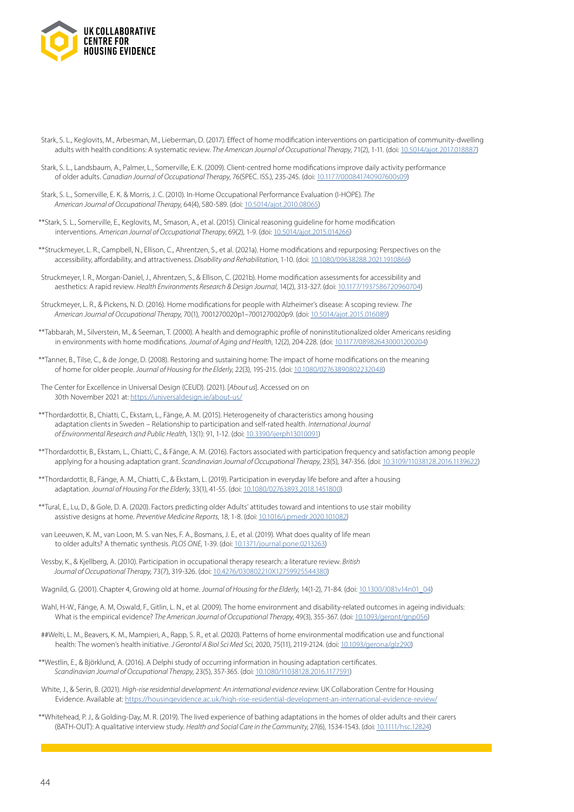

- Stark, S. L., Keglovits, M., Arbesman, M., Lieberman, D. (2017). Effect of home modification interventions on participation of community-dwelling adults with health conditions: A systematic review. *The American Journal of Occupational Therapy*, 71(2), 1-11. (doi: [10.5014/ajot.2017.018887](https://research.aota.org/ajot/article-abstract/71/2/7102290010p1/6293/Effect-of-Home-Modification-Interventions-on-the?redirectedFrom=fulltext))
- Stark, S. L., Landsbaum, A., Palmer, L., Somerville, E. K. (2009). Client-centred home modifications improve daily activity performance of older adults. *Canadian Journal of Occupational Therapy*, 76(SPEC. ISS.), 235-245. (doi: [10.1177/000841740907600s09](https://journals.sagepub.com/doi/10.1177/000841740907600s09))
- Stark, S. L., Somerville, E. K. & Morris, J. C. (2010). In-Home Occupational Performance Evaluation (I-HOPE). *The American Journal of Occupational Therapy*, 64(4), 580-589. (doi: [10.5014/ajot.2010.08065](https://doi.org/10.5014/ajot.2010.08065))
- \*\*Stark, S. L., Somerville, E., Keglovits, M., Smason, A., et al. (2015). Clinical reasoning guideline for home modification interventions. *American Journal of Occupational Therapy*, 69(2), 1-9. (doi: [10.5014/ajot.2015.014266\)](https://research.aota.org/ajot/article-abstract/69/2/6902290030p1/5975/Clinical-Reasoning-Guideline-for-Home-Modification?redirectedFrom=fulltext)
- \*\*Struckmeyer, L. R., Campbell, N., Ellison, C., Ahrentzen, S., et al. (2021a). Home modifications and repurposing: Perspectives on the accessibility, affordability, and attractiveness. *Disability and Rehabilitation*, 1-10. (doi: [10.1080/09638288.2021.1910866](https://www.tandfonline.com/doi/full/10.1080/09638288.2021.1910866))
- Struckmeyer, l. R., Morgan-Daniel, J., Ahrentzen, S., & Ellison, C. (2021b). Home modification assessments for accessibility and aesthetics: A rapid review. *Health Environments Research & Design Journal*, 14(2), 313-327. (doi: [10.1177/1937586720960704](https://journals.sagepub.com/doi/10.1177/1937586720960704))
- Struckmeyer, L. R., & Pickens, N. D. (2016). Home modifications for people with Alzheimer's disease: A scoping review. *The American Journal of Occupational Therapy*, 70(1), 7001270020p1–7001270020p9. (doi: [10.5014/ajot.2015.016089\)](https://research.aota.org/ajot/article-abstract/70/1/7001270020p1/6112/Home-Modifications-for-People-With-Alzheimer-s?redirectedFrom=fulltext)
- \*\*Tabbarah, M., Silverstein, M., & Seeman, T. (2000). A health and demographic profile of noninstitutionalized older Americans residing in environments with home modifications. *Journal of Aging and Health*, 12(2), 204-228. (doi: [10.1177/089826430001200204\)](https://journals.sagepub.com/doi/10.1177/089826430001200204)
- \*\*Tanner, B., Tilse, C., & de Jonge, D. (2008). Restoring and sustaining home: The impact of home modifications on the meaning of home for older people. *Journal of Housing for the Elderly*, 22(3), 195-215. (doi: [10.1080/02763890802232048](https://www.tandfonline.com/doi/full/10.1080/02763890802232048))
- The Center for Excellence in Universal Design (CEUD). (2021). [*About us*]. Accessed on on 30th November 2021 at:<https://universaldesign.ie/about-us/>
- \*\*Thordardottir, B., Chiatti, C., Ekstam, L., Fänge, A. M. (2015). Heterogeneity of characteristics among housing adaptation clients in Sweden – Relationship to participation and self-rated health. *International Journal of Environmental Research and Public Health*, 13(1): 91, 1-12. (doi: [10.3390/ijerph13010091](https://www.mdpi.com/1660-4601/13/1/91))
- \*\*Thordardottir, B., Ekstam, L., Chiatti, C., & Fänge, A. M. (2016). Factors associated with participation frequency and satisfaction among people applying for a housing adaptation grant. *Scandinavian Journal of Occupational Therapy*, 23(5), 347-356. (doi: [10.3109/11038128.2016.1139622\)](https://www.tandfonline.com/doi/full/10.3109/11038128.2016.1139622)
- \*\*Thordardottir, B., Fänge, A. M., Chiatti, C., & Ekstam, L. (2019). Participation in everyday life before and after a housing adaptation. *Journal of Housing For the Elderly*, 33(1), 41-55. (doi: [10.1080/02763893.2018.1451800](https://www.tandfonline.com/doi/full/10.1080/02763893.2018.1451800))
- \*\*Tural, E., Lu, D., & Gole, D. A. (2020). Factors predicting older Adults' attitudes toward and intentions to use stair mobility assistive designs at home. *Preventive Medicine Reports*, 18, 1-8. (doi: [10.1016/j.pmedr.2020.101082\)](https://doi.org/10.1016/j.pmedr.2020.101082)
- van Leeuwen, K. M., van Loon, M. S. van Nes, F. A., Bosmans, J. E., et al. (2019). What does quality of life mean to older adults? A thematic synthesis. *PLOS ONE*, 1-39. (doi: [10.1371/journal.pone.0213263](https://journals.plos.org/plosone/article?id=10.1371/journal.pone.0213263))
- Vessby, K., & Kjellberg, A. (2010). Participation in occupational therapy research: a literature review. *British Journal of Occupational Therapy*, 73(7), 319-326. (doi: [10.4276/030802210X12759925544380](https://journals.sagepub.com/doi/10.4276/030802210X12759925544380))
- Wagnild, G. (2001). Chapter 4, Growing old at home. *Journal of Housing for the Elderly*, 14(1-2), 71-84. (doi: [10.1300/J081v14n01\\_04\)](https://www.tandfonline.com/doi/abs/10.1300/J081v14n01_04)
- Wahl, H-W., Fänge, A. M, Oswald, F., Gitlin, L. N., et al. (2009). The home environment and disability-related outcomes in ageing individuals: What is the empirical evidence? *The American Journal of Occupational Therapy*, 49(3), 355-367. (doi: [10.1093/geront/gnp056\)](https://academic.oup.com/gerontologist/article/49/3/355/752071)
- ##Welti, L. M., Beavers, K. M., Mampieri, A., Rapp, S. R., et al. (2020). Patterns of home environmental modification use and functional health: The women's health initiative. *J Gerontol A Biol Sci Med Sci*, 2020, 75(11), 2119-2124. (doi: [10.1093/gerona/glz290](https://academic.oup.com/biomedgerontology/article/75/11/2119/5677529))
- \*\*Westlin, E., & Björklund, A. (2016). A Delphi study of occurring information in housing adaptation certificates. *Scandinavian Journal of Occupational Therapy*, 23(5), 357-365. (doi: [10.1080/11038128.2016.1177591\)](https://www.tandfonline.com/doi/full/10.1080/11038128.2016.1177591)
- White, J., & Serin, B. (2021). *High-rise residential development: An international evidence review*. UK Collaboration Centre for Housing Evidence. Available at: <https://housingevidence.ac.uk/high-rise-residential-development-an-international-evidence-review/>
- \*\*Whitehead, P. J., & Golding-Day, M. R. (2019). The lived experience of bathing adaptations in the homes of older adults and their carers (BATH-OUT): A qualitative interview study. *Health and Social Care in the Community*, 27(6), 1534-1543. (doi: [10.1111/hsc.12824](https://onlinelibrary.wiley.com/doi/10.1111/hsc.12824))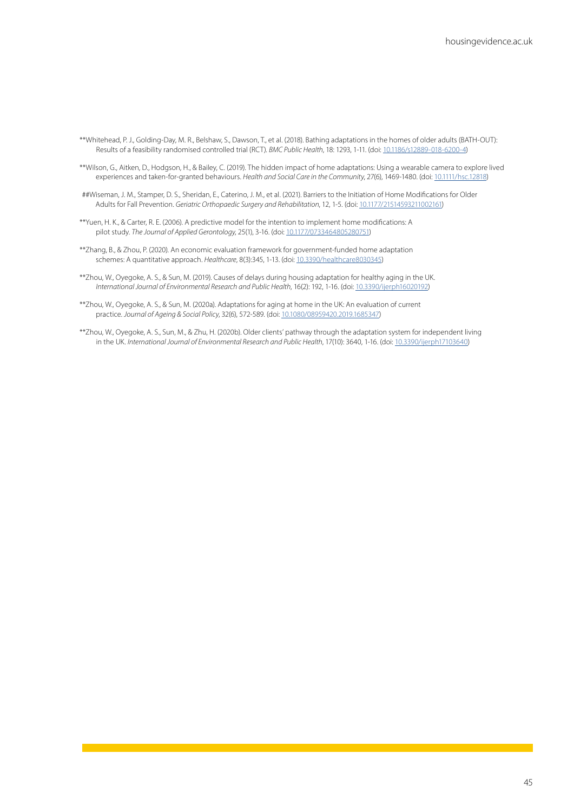\*\*Whitehead, P. J., Golding-Day, M. R., Belshaw, S., Dawson, T., et al. (2018). Bathing adaptations in the homes of older adults (BATH-OUT): Results of a feasibility randomised controlled trial (RCT). *BMC Public Health*, 18: 1293, 1-11. (doi: [10.1186/s12889-018-6200-4\)](https://bmcpublichealth.biomedcentral.com/articles/10.1186/s12889-018-6200-4)

\*\*Wilson, G., Aitken, D., Hodgson, H., & Bailey, C. (2019). The hidden impact of home adaptations: Using a wearable camera to explore lived experiences and taken-for-granted behaviours. *Health and Social Care in the Community*, 27(6), 1469-1480. (doi: [10.1111/hsc.12818\)](https://onlinelibrary.wiley.com/doi/10.1111/hsc.12818)

##Wiseman, J. M., Stamper, D. S., Sheridan, E., Caterino, J. M., et al. (2021). Barriers to the Initiation of Home Modifications for Older Adults for Fall Prevention. *Geriatric Orthopaedic Surgery and Rehabilitation*, 12, 1-5. (doi: [10.1177/21514593211002161](https://journals.sagepub.com/doi/10.1177/21514593211002161))

\*\*Yuen, H. K., & Carter, R. E. (2006). A predictive model for the intention to implement home modifications: A pilot study. *The Journal of Applied Gerontology*, 25(1), 3-16. (doi: [10.1177/0733464805280751](https://journals.sagepub.com/doi/10.1177/0733464805280751))

\*\*Zhang, B., & Zhou, P. (2020). An economic evaluation framework for government-funded home adaptation schemes: A quantitative approach. *Healthcare*, 8(3):345, 1-13. (doi: [10.3390/healthcare8030345\)](https://www.mdpi.com/2227-9032/8/3/345)

\*\*Zhou, W., Oyegoke, A. S., & Sun, M. (2019). Causes of delays during housing adaptation for healthy aging in the UK. *International Journal of Environmental Research and Public Health*, 16(2): 192, 1-16. (doi: [10.3390/ijerph16020192\)](https://www.mdpi.com/1660-4601/16/2/192)

\*\*Zhou, W., Oyegoke, A. S., & Sun, M. (2020a). Adaptations for aging at home in the UK: An evaluation of current practice. *Journal of Ageing & Social Policy*, 32(6), 572-589. (doi: [10.1080/08959420.2019.1685347](https://www.tandfonline.com/doi/full/10.1080/08959420.2019.1685347))

\*\*Zhou, W., Oyegoke, A. S., Sun, M., & Zhu, H. (2020b). Older clients' pathway through the adaptation system for independent living in the UK. *International Journal of Environmental Research and Public Health*, 17(10): 3640, 1-16. (doi: [10.3390/ijerph17103640](https://www.mdpi.com/1660-4601/17/10/3640))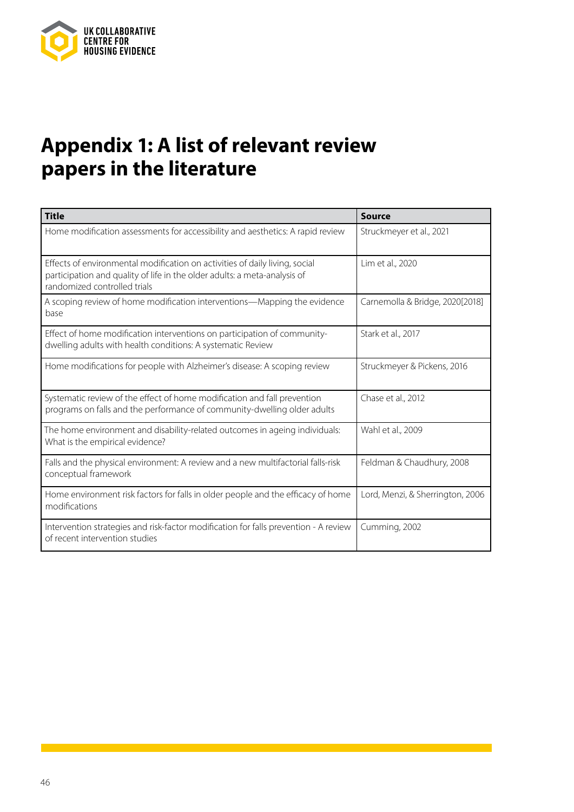

# **Appendix 1: A list of relevant review papers in the literature**

| <b>Title</b>                                                                                                                                                                             | <b>Source</b>                    |
|------------------------------------------------------------------------------------------------------------------------------------------------------------------------------------------|----------------------------------|
| Home modification assessments for accessibility and aesthetics: A rapid review                                                                                                           | Struckmeyer et al., 2021         |
| Effects of environmental modification on activities of daily living, social<br>participation and quality of life in the older adults: a meta-analysis of<br>randomized controlled trials | Lim et al., 2020                 |
| A scoping review of home modification interventions—Mapping the evidence<br>base                                                                                                         | Carnemolla & Bridge, 2020[2018]  |
| Effect of home modification interventions on participation of community-<br>dwelling adults with health conditions: A systematic Review                                                  | Stark et al., 2017               |
| Home modifications for people with Alzheimer's disease: A scoping review                                                                                                                 | Struckmeyer & Pickens, 2016      |
| Systematic review of the effect of home modification and fall prevention<br>programs on falls and the performance of community-dwelling older adults                                     | Chase et al., 2012               |
| The home environment and disability-related outcomes in ageing individuals:<br>What is the empirical evidence?                                                                           | Wahl et al., 2009                |
| Falls and the physical environment: A review and a new multifactorial falls-risk<br>conceptual framework                                                                                 | Feldman & Chaudhury, 2008        |
| Home environment risk factors for falls in older people and the efficacy of home<br>modifications                                                                                        | Lord, Menzi, & Sherrington, 2006 |
| Intervention strategies and risk-factor modification for falls prevention - A review<br>of recent intervention studies                                                                   | Cumming, 2002                    |